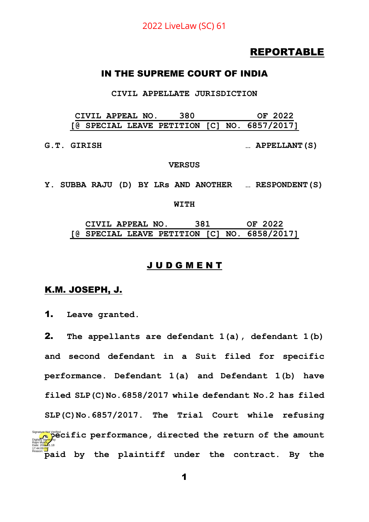# REPORTABLE

#### IN THE SUPREME COURT OF INDIA

**CIVIL APPELLATE JURISDICTION**

**CIVIL APPEAL NO. 380 OF 2022 [@ SPECIAL LEAVE PETITION [C] NO. 6857/2017]**

**G.T. GIRISH … APPELLANT(S)**

#### **VERSUS**

**Y. SUBBA RAJU (D) BY LRs AND ANOTHER … RESPONDENT(S)**

#### **WITH**

**CIVIL APPEAL NO. 381 OF 2022 [@ SPECIAL LEAVE PETITION [C] NO. 6858/2017]**

#### J U D G M E N T

#### K.M. JOSEPH, J.

1. **Leave granted.** 

2. **The appellants are defendant 1(a), defendant 1(b) and second defendant in a Suit filed for specific performance. Defendant 1(a) and Defendant 1(b) have filed SLP(C)No.6858/2017 while defendant No.2 has filed SLP(C)No.6857/2017. The Trial Court while refusing spartic performance, directed the return of the amount paid by the plaintiff under the contract. By the**  Rajni Mukhi Date: 2022.01.18 17:44:09<sup>1S</sup> Reason: Signature Not Verified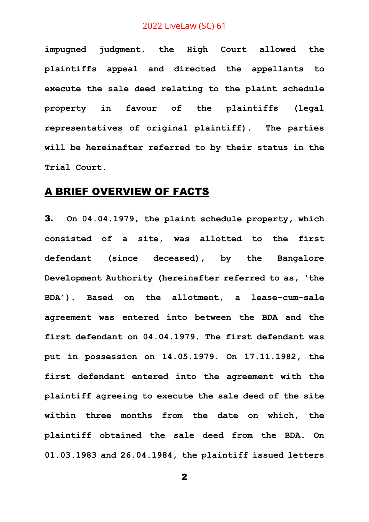**impugned judgment, the High Court allowed the plaintiffs appeal and directed the appellants to execute the sale deed relating to the plaint schedule property in favour of the plaintiffs (legal representatives of original plaintiff). The parties will be hereinafter referred to by their status in the Trial Court.**

## A BRIEF OVERVIEW OF FACTS

3. **On 04.04.1979, the plaint schedule property, which consisted of a site, was allotted to the first defendant (since deceased), by the Bangalore Development Authority (hereinafter referred to as, 'the BDA'). Based on the allotment, a lease-cum-sale agreement was entered into between the BDA and the first defendant on 04.04.1979. The first defendant was put in possession on 14.05.1979. On 17.11.1982, the first defendant entered into the agreement with the plaintiff agreeing to execute the sale deed of the site within three months from the date on which, the plaintiff obtained the sale deed from the BDA. On 01.03.1983 and 26.04.1984, the plaintiff issued letters**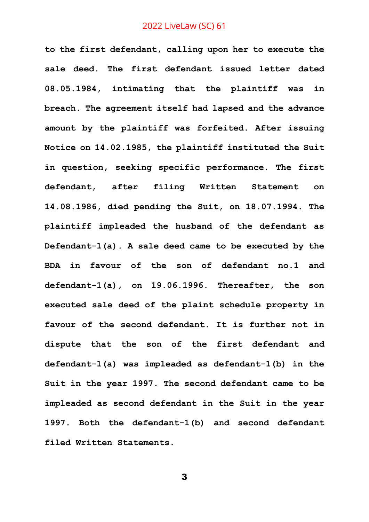**to the first defendant, calling upon her to execute the sale deed. The first defendant issued letter dated 08.05.1984, intimating that the plaintiff was in breach. The agreement itself had lapsed and the advance amount by the plaintiff was forfeited. After issuing Notice on 14.02.1985, the plaintiff instituted the Suit in question, seeking specific performance. The first defendant, after filing Written Statement on 14.08.1986, died pending the Suit, on 18.07.1994. The plaintiff impleaded the husband of the defendant as Defendant-1(a). A sale deed came to be executed by the BDA in favour of the son of defendant no.1 and defendant-1(a), on 19.06.1996. Thereafter, the son executed sale deed of the plaint schedule property in favour of the second defendant. It is further not in dispute that the son of the first defendant and defendant-1(a) was impleaded as defendant-1(b) in the Suit in the year 1997. The second defendant came to be impleaded as second defendant in the Suit in the year 1997. Both the defendant-1(b) and second defendant filed Written Statements.**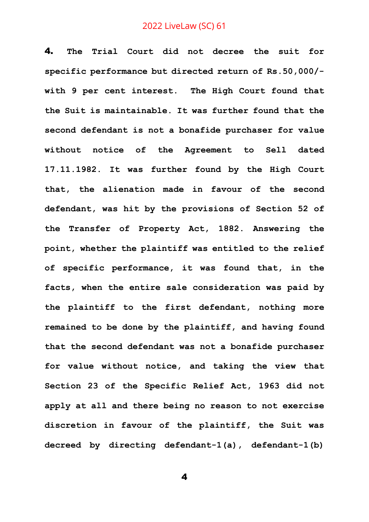4. **The Trial Court did not decree the suit for specific performance but directed return of Rs.50,000/ with 9 per cent interest. The High Court found that the Suit is maintainable. It was further found that the second defendant is not a bonafide purchaser for value without notice of the Agreement to Sell dated 17.11.1982. It was further found by the High Court that, the alienation made in favour of the second defendant, was hit by the provisions of Section 52 of the Transfer of Property Act, 1882. Answering the point, whether the plaintiff was entitled to the relief of specific performance, it was found that, in the facts, when the entire sale consideration was paid by the plaintiff to the first defendant, nothing more remained to be done by the plaintiff, and having found that the second defendant was not a bonafide purchaser for value without notice, and taking the view that Section 23 of the Specific Relief Act, 1963 did not apply at all and there being no reason to not exercise discretion in favour of the plaintiff, the Suit was decreed by directing defendant-1(a), defendant-1(b)**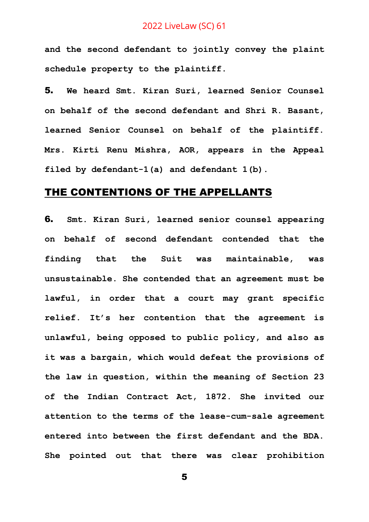**and the second defendant to jointly convey the plaint schedule property to the plaintiff.**

5. **We heard Smt. Kiran Suri, learned Senior Counsel on behalf of the second defendant and Shri R. Basant, learned Senior Counsel on behalf of the plaintiff. Mrs. Kirti Renu Mishra, AOR, appears in the Appeal filed by defendant-1(a) and defendant 1(b).**

# THE CONTENTIONS OF THE APPELLANTS

6. **Smt. Kiran Suri, learned senior counsel appearing on behalf of second defendant contended that the finding that the Suit was maintainable, was unsustainable. She contended that an agreement must be lawful, in order that a court may grant specific relief. It's her contention that the agreement is unlawful, being opposed to public policy, and also as it was a bargain, which would defeat the provisions of the law in question, within the meaning of Section 23 of the Indian Contract Act, 1872. She invited our attention to the terms of the lease-cum-sale agreement entered into between the first defendant and the BDA. She pointed out that there was clear prohibition**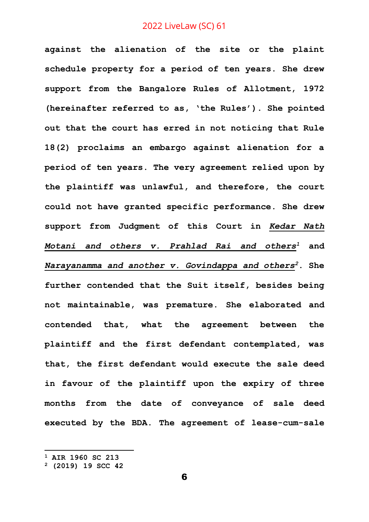**against the alienation of the site or the plaint schedule property for a period of ten years. She drew support from the Bangalore Rules of Allotment, 1972 (hereinafter referred to as, 'the Rules'). She pointed out that the court has erred in not noticing that Rule 18(2) proclaims an embargo against alienation for a period of ten years. The very agreement relied upon by the plaintiff was unlawful, and therefore, the court could not have granted specific performance. She drew support from Judgment of this Court in** *Kedar Nath Motani and others v. Prahlad Rai and others<sup>1</sup>* **and**  *Narayanamma and another v. Govindappa and others<sup>2</sup>***. She further contended that the Suit itself, besides being not maintainable, was premature. She elaborated and contended that, what the agreement between the plaintiff and the first defendant contemplated, was that, the first defendant would execute the sale deed in favour of the plaintiff upon the expiry of three months from the date of conveyance of sale deed executed by the BDA. The agreement of lease-cum-sale** 

**<sup>1</sup> AIR 1960 SC 213**

**<sup>2</sup> (2019) 19 SCC 42**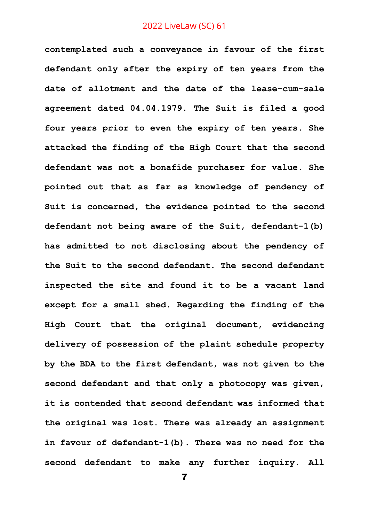**contemplated such a conveyance in favour of the first defendant only after the expiry of ten years from the date of allotment and the date of the lease-cum-sale agreement dated 04.04.1979. The Suit is filed a good four years prior to even the expiry of ten years. She attacked the finding of the High Court that the second defendant was not a bonafide purchaser for value. She pointed out that as far as knowledge of pendency of Suit is concerned, the evidence pointed to the second defendant not being aware of the Suit, defendant-1(b) has admitted to not disclosing about the pendency of the Suit to the second defendant. The second defendant inspected the site and found it to be a vacant land except for a small shed. Regarding the finding of the High Court that the original document, evidencing delivery of possession of the plaint schedule property by the BDA to the first defendant, was not given to the second defendant and that only a photocopy was given, it is contended that second defendant was informed that the original was lost. There was already an assignment in favour of defendant-1(b). There was no need for the second defendant to make any further inquiry. All**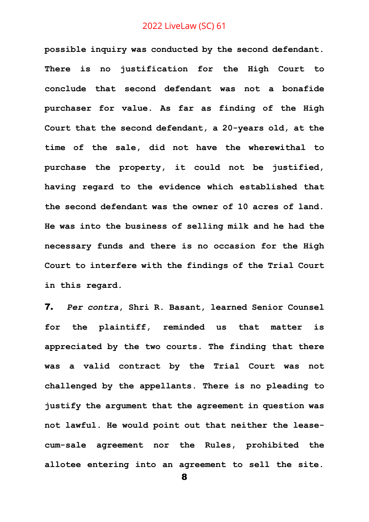**possible inquiry was conducted by the second defendant. There is no justification for the High Court to conclude that second defendant was not a bonafide purchaser for value. As far as finding of the High Court that the second defendant, a 20-years old, at the time of the sale, did not have the wherewithal to purchase the property, it could not be justified, having regard to the evidence which established that the second defendant was the owner of 10 acres of land. He was into the business of selling milk and he had the necessary funds and there is no occasion for the High Court to interfere with the findings of the Trial Court in this regard.** 

7. *Per contra***, Shri R. Basant, learned Senior Counsel for the plaintiff, reminded us that matter is appreciated by the two courts. The finding that there was a valid contract by the Trial Court was not challenged by the appellants. There is no pleading to justify the argument that the agreement in question was not lawful. He would point out that neither the leasecum-sale agreement nor the Rules, prohibited the allotee entering into an agreement to sell the site.**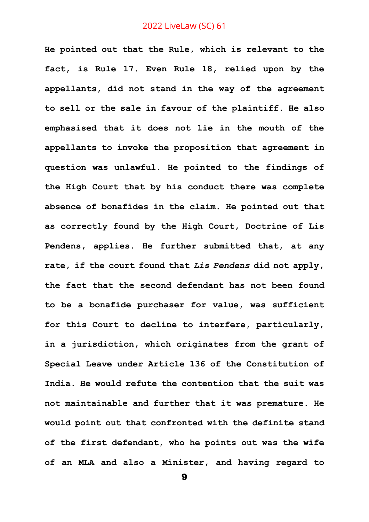**He pointed out that the Rule, which is relevant to the fact, is Rule 17. Even Rule 18, relied upon by the appellants, did not stand in the way of the agreement to sell or the sale in favour of the plaintiff. He also emphasised that it does not lie in the mouth of the appellants to invoke the proposition that agreement in question was unlawful. He pointed to the findings of the High Court that by his conduct there was complete absence of bonafides in the claim. He pointed out that as correctly found by the High Court, Doctrine of Lis Pendens, applies. He further submitted that, at any rate, if the court found that** *Lis Pendens* **did not apply, the fact that the second defendant has not been found to be a bonafide purchaser for value, was sufficient for this Court to decline to interfere, particularly, in a jurisdiction, which originates from the grant of Special Leave under Article 136 of the Constitution of India. He would refute the contention that the suit was not maintainable and further that it was premature. He would point out that confronted with the definite stand of the first defendant, who he points out was the wife of an MLA and also a Minister, and having regard to**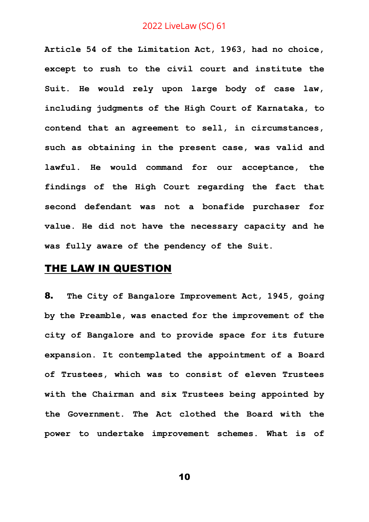**Article 54 of the Limitation Act, 1963, had no choice, except to rush to the civil court and institute the Suit. He would rely upon large body of case law, including judgments of the High Court of Karnataka, to contend that an agreement to sell, in circumstances, such as obtaining in the present case, was valid and lawful. He would command for our acceptance, the findings of the High Court regarding the fact that second defendant was not a bonafide purchaser for value. He did not have the necessary capacity and he was fully aware of the pendency of the Suit.** 

# THE LAW IN QUESTION

8. **The City of Bangalore Improvement Act, 1945, going by the Preamble, was enacted for the improvement of the city of Bangalore and to provide space for its future expansion. It contemplated the appointment of a Board of Trustees, which was to consist of eleven Trustees with the Chairman and six Trustees being appointed by the Government. The Act clothed the Board with the power to undertake improvement schemes. What is of**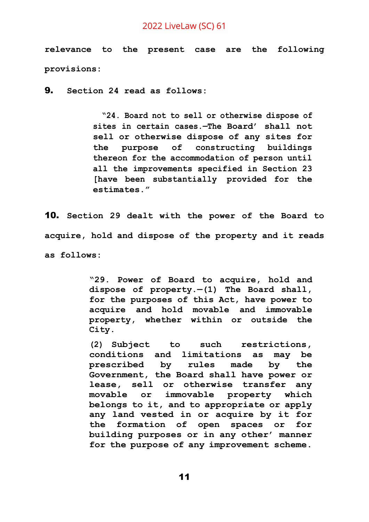**relevance to the present case are the following provisions:** 

9. **Section 24 read as follows:**

**"24. Board not to sell or otherwise dispose of sites in certain cases.—The Board' shall not sell or otherwise dispose of any sites for the purpose of constructing buildings thereon for the accommodation of person until all the improvements specified in Section 23 [have been substantially provided for the estimates."**

10. **Section 29 dealt with the power of the Board to acquire, hold and dispose of the property and it reads as follows:**

> **"29. Power of Board to acquire, hold and dispose of property.—(1) The Board shall, for the purposes of this Act, have power to acquire and hold movable and immovable property, whether within or outside the City.**

> **(2) Subject to such restrictions, conditions and limitations as may be prescribed by rules made by the Government, the Board shall have power or lease, sell or otherwise transfer any movable or immovable property which belongs to it, and to appropriate or apply any land vested in or acquire by it for the formation of open spaces or for building purposes or in any other' manner for the purpose of any improvement scheme.**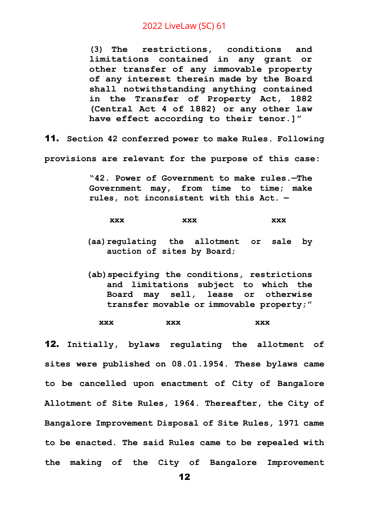**(3) The restrictions, conditions and limitations contained in any grant or other transfer of any immovable property of any interest therein made by the Board shall notwithstanding anything contained in the Transfer of Property Act, 1882 (Central Act 4 of 1882) or any other law have effect according to their tenor.]"**

11. **Section 42 conferred power to make Rules. Following** 

**provisions are relevant for the purpose of this case:**

**"42. Power of Government to make rules.—The Government may, from time to time; make rules, not inconsistent with this Act. —**

| XXX | XXX | XXX |
|-----|-----|-----|
|     |     |     |

- **(aa)regulating the allotment or sale by auction of sites by Board;**
- **(ab)specifying the conditions, restrictions and limitations subject to which the Board may sell, lease or otherwise transfer movable or immovable property;"**

**xxx xxx xxx**

12. **Initially, bylaws regulating the allotment of sites were published on 08.01.1954. These bylaws came to be cancelled upon enactment of City of Bangalore Allotment of Site Rules, 1964. Thereafter, the City of Bangalore Improvement Disposal of Site Rules, 1971 came to be enacted. The said Rules came to be repealed with the making of the City of Bangalore Improvement**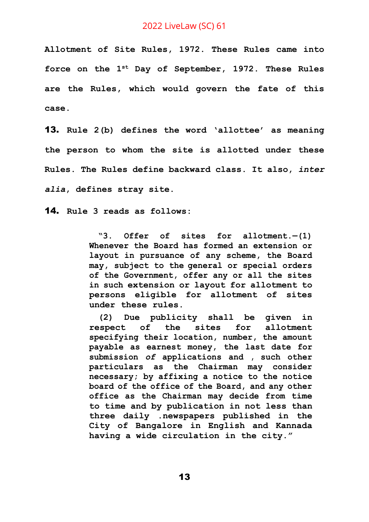**Allotment of Site Rules, 1972. These Rules came into force on the 1st Day of September, 1972. These Rules are the Rules, which would govern the fate of this case.**

13. **Rule 2(b) defines the word 'allottee' as meaning the person to whom the site is allotted under these Rules. The Rules define backward class. It also,** *inter alia***, defines stray site.**

14. **Rule 3 reads as follows:** 

**"3. Offer of sites for allotment.—(1) Whenever the Board has formed an extension or layout in pursuance of any scheme, the Board may, subject to the general or special orders of the Government, offer any or all the sites in such extension or layout for allotment to persons eligible for allotment of sites under these rules.**

**(2) Due publicity shall be given in respect of the sites for allotment specifying their location, number, the amount payable as earnest money, the last date for submission** *of* **applications and , such other particulars as the Chairman may consider necessary; by affixing a notice to the notice board of the office of the Board, and any other office as the Chairman may decide from time to time and by publication in not less than three daily .newspapers published in the City of Bangalore in English and Kannada having a wide circulation in the city."**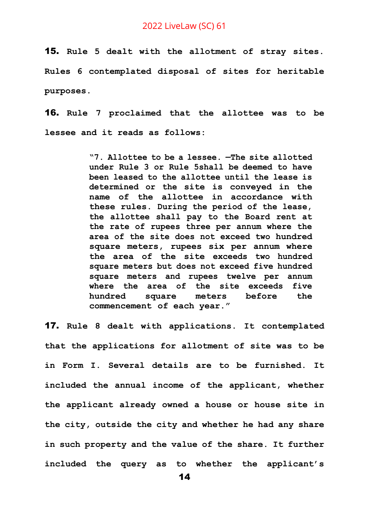15. **Rule 5 dealt with the allotment of stray sites. Rules 6 contemplated disposal of sites for heritable purposes.**

16. **Rule 7 proclaimed that the allottee was to be lessee and it reads as follows:**

> **"7. Allottee to be a lessee. —The site allotted under Rule 3 or Rule 5shall be deemed to have been leased to the allottee until the lease is determined or the site is conveyed in the name of the allottee in accordance with these rules. During the period of the lease, the allottee shall pay to the Board rent at the rate of rupees three per annum where the area of the site does not exceed two hundred square meters, rupees six per annum where the area of the site exceeds two hundred square meters but does not exceed five hundred square meters and rupees twelve per annum where the area of the site exceeds five hundred square meters before the commencement of each year."**

17. **Rule 8 dealt with applications. It contemplated that the applications for allotment of site was to be in Form I. Several details are to be furnished. It included the annual income of the applicant, whether the applicant already owned a house or house site in the city, outside the city and whether he had any share in such property and the value of the share. It further included the query as to whether the applicant's**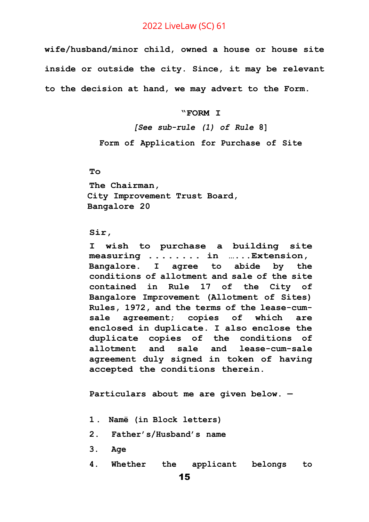**wife/husband/minor child, owned a house or house site inside or outside the city. Since, it may be relevant to the decision at hand, we may advert to the Form.** 

**"FORM I**

*[See sub-rule (1) of Rule* **8] Form of Application for Purchase of Site**

**To**

**The Chairman, City Improvement Trust Board, Bangalore 20**

#### **Sir,**

**I wish to purchase a building site measuring ........ in …...Extension, Bangalore. I agree to abide by the conditions of allotment and sale of the site contained in Rule 17 of the City of Bangalore Improvement (Allotment of Sites) Rules, 1972, and the terms of the lease-cumsale agreement; copies of which are enclosed in duplicate. I also enclose the duplicate copies of the conditions of allotment and sale and lease-cum-sale agreement duly signed in token of having accepted the conditions therein.**

**Particulars about me are given below. —**

- **1. Namë (in Block letters)**
- **2. Father's/Husband's name**
- **3. Age**
- **4. Whether the applicant belongs to**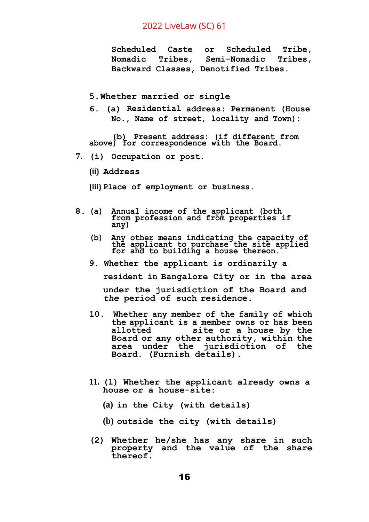**Scheduled Caste or Scheduled Tribe, Nomadic Tribes, Semi-Nomadic Tribes, Backward Classes, Denotified Tribes.**

#### **5.Whether married or single**

**6. (a) Residential address: Permanent (House No., Name of street, locality and Town):**

**(b) Present address: (if different from above) for correspondence with the Board.**

**7. (i) Occupation or post.**

**(ii) Address**

**(iii) Place of employment or business.**

- **8. (a) Annual income of the applicant (both from profession and from properties if any)**
	- **(b) Any other means indicating the capacity of the applicant to purchase the site applied for and to building a house thereon.**
	- **9. Whether the applicant is ordinarily a**

**resident in Bangalore City or in the area**

**under the jurisdiction of the Board and**  *the* **period of such residence.**

- **10. Whether any member of the family of which the applicant is a member owns or has been allotted site or a house by the Board or any other authority, within the area under the jurisdiction of the Board. (Furnish details).**
- **11. (1) Whether the applicant already owns a house or a house-site:**
	- **(a) in the City (with details)**
	- **(b) outside the city (with details)**
- **(2) Whether he/she has any share in such property and the value of the share thereof.**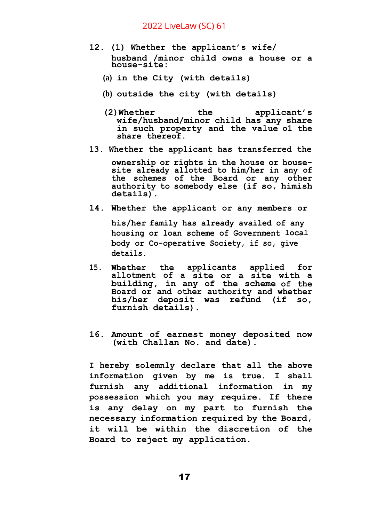- **12. (1) Whether the applicant's wife/ husband /minor child owns a house or a house-site:**
	- **(a) in the City (with details)**
	- **(b) outside the city (with details)**
	- **(2)Whether the applicant's wife/husband/minor child has any share in such property and the value o1 the share thereof.**
- **13. Whether the applicant has transferred the**

**ownership or rights in the house or housesite already allotted to him/her in any of the schemes of the Board or any other authority to somebody else (if so, himish details).**

**14. Whether the applicant or any members or**

**his/her family has already availed of any housing or loan scheme of Government local body or Co-operative Society, if so, give details.**

- **15. Whether the applicants applied for allotment of a site or a site with a building, in any of the scheme of the Board or and other authority and whether his/her deposit was refund (if so, furnish details).**
- **16. Amount of earnest money deposited now (with Challan No. and date).**

**I hereby solemnly declare that all the above information given by me is true. I shall furnish any additional information in my possession which you may require. If there is any delay on my part to furnish the necessary information required by the Board, it will be within the discretion of the Board to reject my application.**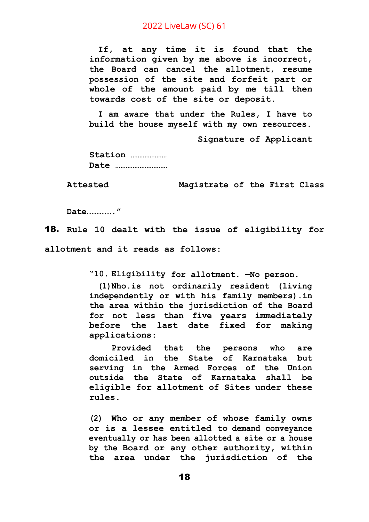**If, at any time it is found that the information given by me above is incorrect, the Board can cancel the allotment, resume possession of the site and forfeit part or whole of the amount paid by me till then towards cost of the site or deposit.**

**I am aware that under the Rules, I have to build the house myself with my own resources.**

**Signature of Applicant**

**Station ………………… Date …………………………**

**Attested Magistrate of the First Class**

**Date……………."**

18. **Rule 10 dealt with the issue of eligibility for** 

**allotment and it reads as follows:**

**"10. Eligibility for allotment. —No person.**

**(1)Nho.is not ordinarily resident (living independently or with his family members).in the area within the jurisdiction of the Board for not less than five years immediately before the last date fixed for making applications:**

**Provided that the persons who are domiciled in the State of Karnataka but serving in the Armed Forces of the Union outside the State of Karnataka shall be eligible for allotment of Sites under these rules.**

**(2) Who or any member of whose family owns or is a lessee entitled to demand conveyance eventually or has been allotted a site or a house by the Board or any other authority, within the area under the jurisdiction of the**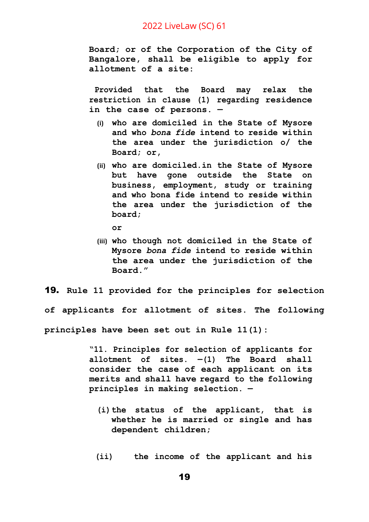**Board; or of the Corporation of the City of Bangalore, shall be eligible to apply for allotment of a site:**

**Provided that the Board may relax the restriction in c1ause (1) regarding residence in the case of persons. —**

- **(i) who are domiciled in the State of Mysore and who** *bona fide* **intend to reside within the area under the jurisdiction o/ the Board; or,**
- **(ii) who are domiciled.in the State of Mysore but have gone outside the State on business, employment, study or training and who bona fide intend to reside within the area under the jurisdiction of the board;**
	- **or**
- **(iii) who though not domiciled in the State of Mysore** *bona fide* **intend to reside within the area under the jurisdiction of the Board."**

19. **Rule 11 provided for the principles for selection of applicants for allotment of sites. The following** 

**principles have been set out in Rule 11(1):**

**"11. Principles for selection of applicants for allotment of sites. —(1) The Board shall consider the case of each applicant on its merits and shall have regard to the following principles in making selection. —**

- **(i)the status of the applicant, that is whether he is married or single and has dependent children;**
- **(ii) the income of the applicant and his**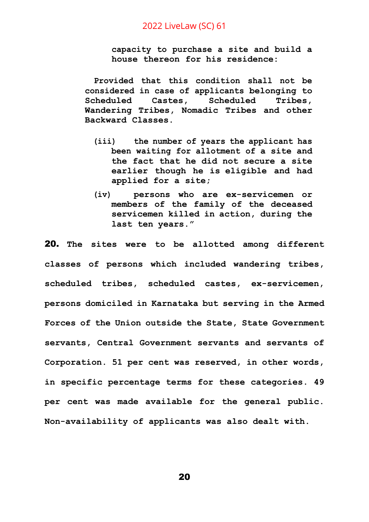**capacity to purchase a site and build a house thereon for his residence:**

**Provided that this condition shall not be considered in case of applicants belonging to Scheduled Castes, Scheduled Tribes, Wandering Tribes, Nomadic Tribes and other Backward Classes.**

- **(iii) the number of years the applicant has been waiting for allotment of a site and the fact that he did not secure a site earlier though he is eligible and had applied for a site;**
- **(iv) persons who are ex-servicemen or members of the family of the deceased servicemen killed in action, during the last ten years."**

20. **The sites were to be allotted among different classes of persons which included wandering tribes, scheduled tribes, scheduled castes, ex-servicemen, persons domiciled in Karnataka but serving in the Armed Forces of the Union outside the State, State Government servants, Central Government servants and servants of Corporation. 51 per cent was reserved, in other words, in specific percentage terms for these categories. 49 per cent was made available for the general public. Non-availability of applicants was also dealt with.**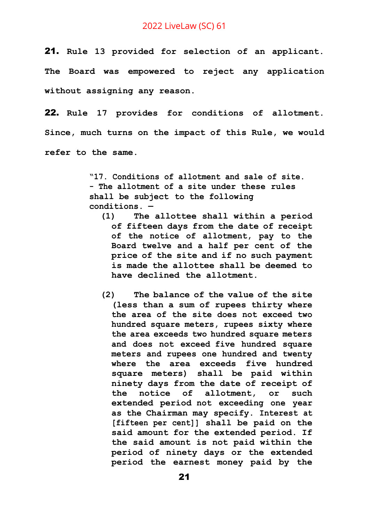21. **Rule 13 provided for selection of an applicant. The Board was empowered to reject any application without assigning any reason.**

22. **Rule 17 provides for conditions of allotment. Since, much turns on the impact of this Rule, we would refer to the same.**

> **"17. Conditions of allotment and sale of site. - The allotment of a site under these rules shall be subject to the following conditions. —**

- **(1) The allottee shall within a period of fifteen days from the date of receipt of the notice of allotment, pay to the Board twelve and a half per cent of the price of the site and if no such payment is made the allottee shall be deemed to have declined the allotment.**
- **(2) The balance of the value of the site (less than a sum of rupees thirty where the area of the site does not exceed two hundred square meters, rupees sixty where the area exceeds two hundred square meters and does not exceed five hundred square meters and rupees one hundred and twenty where the area exceeds five hundred square meters) shall be paid within ninety days from the date of receipt of the notice of allotment, or such extended period not exceeding one year as the Chairman may specify. Interest at [fifteen per cent]] shall be paid on the said amount for the extended period. If the said amount is not paid within the period of ninety days or the extended period the earnest money paid by the**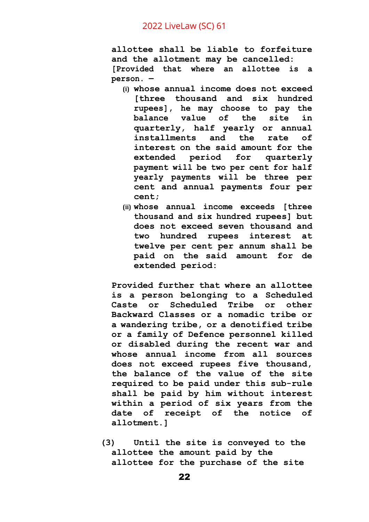**allottee shall be liable to forfeiture and the allotment may be cancelled: [Provided that where an allottee is a person. —**

- **(i) whose annual income does not exceed [three thousand and six hundred rupees], he may choose to pay the balance value of the site in quarterly, half yearly or annual installments and the rate of interest on the said amount for the extended period for quarterly payment will be two per cent for half yearly payments will be three per cent and annual payments four per cent;**
- **(ii) whose annual income exceeds [three thousand and six hundred rupees] but does not exceed seven thousand and two hundred rupees interest at twelve per cent per annum shall be paid on the said amount for de extended period:**

**Provided further that where an allottee is a person belonging to a Scheduled Caste or Scheduled Tribe or other Backward Classes or a nomadic tribe or a wandering tribe, or a denotified tribe or a family of Defence personnel killed or disabled during the recent war and whose annual income from all sources does not exceed rupees five thousand, the balance of the value of the site required to be paid under this sub-rule shall be paid by him without interest within a period of six years from the date of receipt of the notice of allotment.]**

**(3) Until the site is conveyed to the allottee the amount paid by the allottee for the purchase of the site**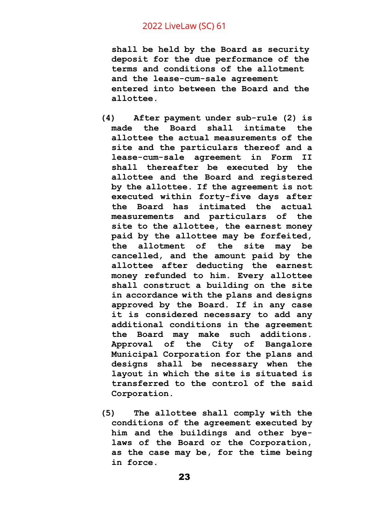**shall be held by the Board as security deposit for the due performance of the terms and conditions of the allotment and the lease-cum-sale agreement entered into between the Board and the allottee.**

- **(4) After payment under sub-rule (2) is made the Board shall intimate the allottee the actual measurements of the site and the particulars thereof and a lease-cum-sale agreement in Form II shall thereafter be executed by the allottee and the Board and registered by the allottee. If the agreement is not executed within forty-five days after the Board has intimated the actual measurements and particulars of the site to the allottee, the earnest money paid by the allottee may be forfeited, the allotment of the site may be cancelled, and the amount paid by the allottee after deducting the earnest money refunded to him. Every allottee shall construct a building on the site in accordance with the plans and designs approved by the Board. If in any case it is considered necessary to add any additional conditions in the agreement the Board may make such additions. Approval of the City of Bangalore Municipal Corporation for the plans and designs shall be necessary when the layout in which the site is situated is transferred to the control of the said Corporation.**
- **(5) The allottee shall comply with the conditions of the agreement executed by him and the buildings and other byelaws of the Board or the Corporation, as the case may be, for the time being in force.**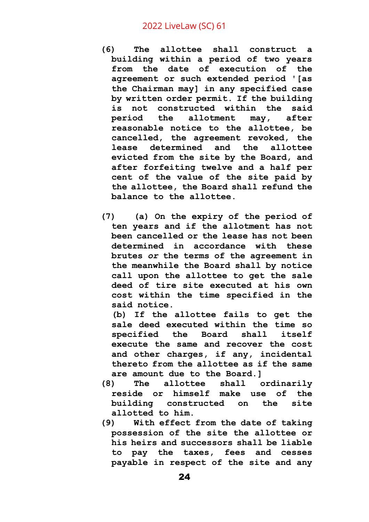- **(6) The allottee shall construct a building within a period of two years from the date of execution of the agreement or such extended period '[as the Chairman may] in any specified case by written order permit. If the building is not constructed within the said period the allotment may, after reasonable notice to the allottee, be cancelled, the agreement revoked, the lease determined and the allottee evicted from the site by the Board, and after forfeiting twelve and a half per cent of the value of the site paid by the allottee, the Board shall refund the balance to the allottee.**
- **(7) (a) On the expiry of the period of ten years and if the allotment has not been cancelled or the lease has not been determined in accordance with these brutes** *or* **the terms of the agreement in the meanwhile the Board shall by notice call upon the allottee to get the sale deed of tire site executed at his own cost within the time specified in the said notice.**

**(b) If the allottee fails to get the sale deed executed within the time so specified the Board shall itself execute the same and recover the cost and other charges, if any, incidental thereto from the allottee as if the same are amount due to the Board.]**

- **(8) The allottee shall ordinarily reside or himself make use of the building constructed on the site allotted to him.**
- **(9) With effect from the date of taking possession of the site the allottee or his heirs and successors shall be liable to pay the taxes, fees and cesses payable in respect of the site and any**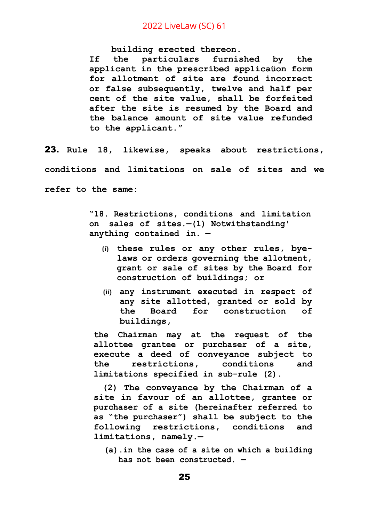**building erected thereon.**

**If the particulars furnished by the applicant in the prescribed app1icaüon form for allotment of site are found incorrect or false subsequently, twelve and half per cent of the site value, shall be forfeited after the site is resumed by the Board and the balance amount of site value refunded to the applicant."**

23. **Rule 18, likewise, speaks about restrictions, conditions and limitations on sale of sites and we refer to the same:**

> **"18. Restrictions, conditions and limitation on sales of sites.—(1) Notwithstanding' anything contained in. —**

- **(i) these rules or any other rules, byelaws or orders governing the allotment, grant or sale of sites by the Board for construction of buildings; or**
- **(ii) any instrument executed in respect of any site allotted, granted or sold by the Board for construction of buildings,**

**the Chairman may at the request of the allottee grantee or purchaser of a site, execute a deed of conveyance subject to the restrictions, conditions and limitations specified in sub-rule (2).**

**(2) The conveyance by the Chairman of a site in favour of an allottee, grantee or purchaser of a site (hereinafter referred to as "the purchaser") shall be subject to the following restrictions, conditions and limitations, namely.—**

**(a).in the case of a site on which a building has not been constructed. —**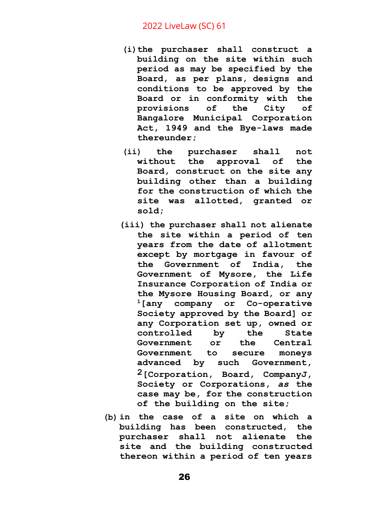- **(i)the purchaser shall construct a building on the site within such period as may be specified by the Board, as per plans, designs and conditions to be approved by the Board or in conformity with the provisions of the City of Bangalore Municipal Corporation Act, 1949 and the Bye-laws made thereunder;**
- **(ii) the purchaser shall not without the approval of the Board, construct on the site any building other than a building for the construction of which the site was allotted, granted or sold;**
- **(iii) the purchaser shall not alienate the site within a period of ten years from the date of allotment except by mortgage in favour of the Government of India, the Government of Mysore, the Life Insurance Corporation of India or the Mysore Housing Board, or any <sup>1</sup>[any company or Co-operative Society approved by the Board] or any Corporation set up, owned or controlled by the State Government or the Central Government to secure moneys advanced by such Government, 2[Corporation, Board, CompanyJ, Society or Corporations,** *as* **the case may be, for the construction of the building on the site;**
- **(b) in the case of a site on which a building has been constructed, the purchaser shall not alienate the site and the building constructed thereon within a period of ten years**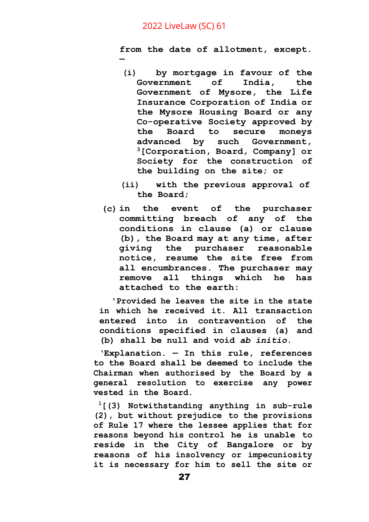**—**

**from the date of allotment, except.**

- **(i) by mortgage in favour of the Government of India, the Government of Mysore, the Life Insurance Corporation of India or the Mysore Housing Board or any Co-operative Society approved by the Board to secure moneys advanced by such Government, <sup>3</sup>[Corporation, Board, Company] or Society for the construction of the building on the site; or**
- **(ii) with the previous approval of the Board;**
- **(c) in the event of the purchaser committing breach of any of the conditions in clause (a) or clause (b), the Board may at any time, after giving the purchaser reasonable notice, resume the site free from all encumbrances. The purchaser may remove all things which he has attached to the earth:**

**'Provided he leaves the site in the state in which he received it. All transaction entered into in contravention of the conditions specified in clauses (a) and (b) shall be null and void** *ab initio***.**

**'Explanation. — In this rule, references to the Board shall be deemed to include the Chairman when authorised by the Board by a general resolution to exercise any power vested in the Board.**

**<sup>1</sup>[(3) Notwithstanding anything in sub-rule (2), but without prejudice to the provisions of Rule 17 where the lessee applies that for reasons beyond his control he is unable to reside in the City of Bangalore or by reasons of his insolvency or impecuniosity it is necessary for him to sell the site or**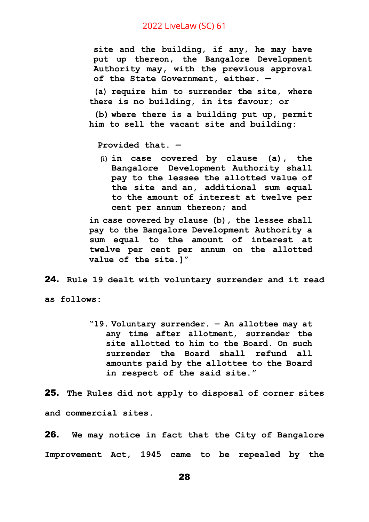**site and the building, if any, he may have put up thereon, the Bangalore Development Authority may, with the previous approval of the State Government, either. —**

**(a) require him to surrender the site, where there is no building, in its favour; or**

**(b) where there is a building put up, permit him to sell the vacant site and building:**

**Provided that. —**

**(i) in case covered by clause (a), the Bangalore Development Authority shall pay to the lessee the allotted value of the site and an, additional sum equal to the amount of interest at twelve per cent per annum thereon; and**

**in case covered by clause (b), the lessee shall pay to the Bangalore Development Authority a sum equal to the amount of interest at twelve per cent per annum on the allotted value of the site.]"**

24. **Rule 19 dealt with voluntary surrender and it read** 

**as follows:**

**"19. Voluntary surrender. — An allottee may at any time after allotment, surrender the site allotted to him to the Board. On such surrender the Board shall refund all amounts paid by the allottee to the Board in respect of the said site."**

25. **The Rules did not apply to disposal of corner sites and commercial sites.**

26. **We may notice in fact that the City of Bangalore Improvement Act, 1945 came to be repealed by the**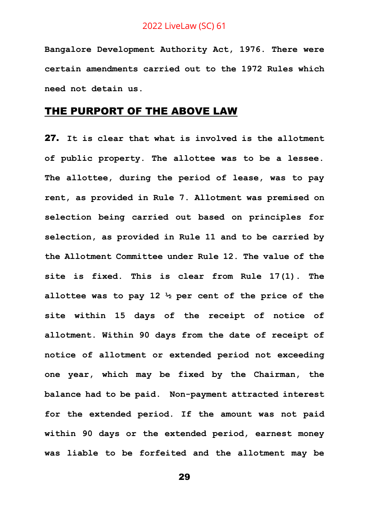**Bangalore Development Authority Act, 1976. There were certain amendments carried out to the 1972 Rules which need not detain us.**

## THE PURPORT OF THE ABOVE LAW

27. **It is clear that what is involved is the allotment of public property. The allottee was to be a lessee. The allottee, during the period of lease, was to pay rent, as provided in Rule 7. Allotment was premised on selection being carried out based on principles for selection, as provided in Rule 11 and to be carried by the Allotment Committee under Rule 12. The value of the site is fixed. This is clear from Rule 17(1). The allottee was to pay 12 ½ per cent of the price of the site within 15 days of the receipt of notice of allotment. Within 90 days from the date of receipt of notice of allotment or extended period not exceeding one year, which may be fixed by the Chairman, the balance had to be paid. Non-payment attracted interest for the extended period. If the amount was not paid within 90 days or the extended period, earnest money was liable to be forfeited and the allotment may be**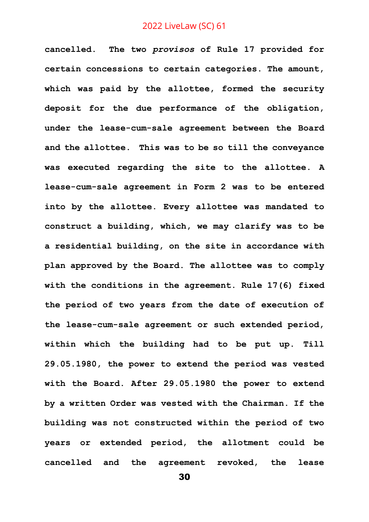**cancelled. The two** *provisos* **of Rule 17 provided for certain concessions to certain categories. The amount, which was paid by the allottee, formed the security deposit for the due performance of the obligation, under the lease-cum-sale agreement between the Board and the allottee. This was to be so till the conveyance was executed regarding the site to the allottee. A lease-cum-sale agreement in Form 2 was to be entered into by the allottee. Every allottee was mandated to construct a building, which, we may clarify was to be a residential building, on the site in accordance with plan approved by the Board. The allottee was to comply with the conditions in the agreement. Rule 17(6) fixed the period of two years from the date of execution of the lease-cum-sale agreement or such extended period, within which the building had to be put up. Till 29.05.1980, the power to extend the period was vested with the Board. After 29.05.1980 the power to extend by a written Order was vested with the Chairman. If the building was not constructed within the period of two years or extended period, the allotment could be cancelled and the agreement revoked, the lease**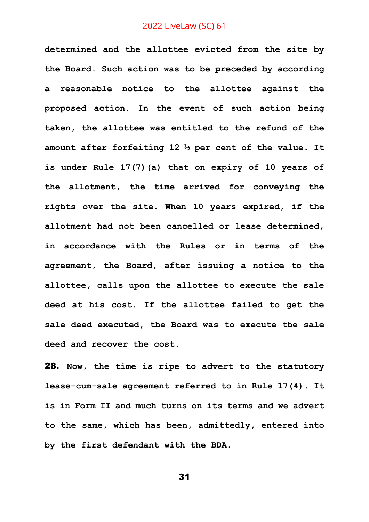**determined and the allottee evicted from the site by the Board. Such action was to be preceded by according a reasonable notice to the allottee against the proposed action. In the event of such action being taken, the allottee was entitled to the refund of the amount after forfeiting 12 ½ per cent of the value. It is under Rule 17(7)(a) that on expiry of 10 years of the allotment, the time arrived for conveying the rights over the site. When 10 years expired, if the allotment had not been cancelled or lease determined, in accordance with the Rules or in terms of the agreement, the Board, after issuing a notice to the allottee, calls upon the allottee to execute the sale deed at his cost. If the allottee failed to get the sale deed executed, the Board was to execute the sale deed and recover the cost.**

28. **Now, the time is ripe to advert to the statutory lease-cum-sale agreement referred to in Rule 17(4). It is in Form II and much turns on its terms and we advert to the same, which has been, admittedly, entered into by the first defendant with the BDA.**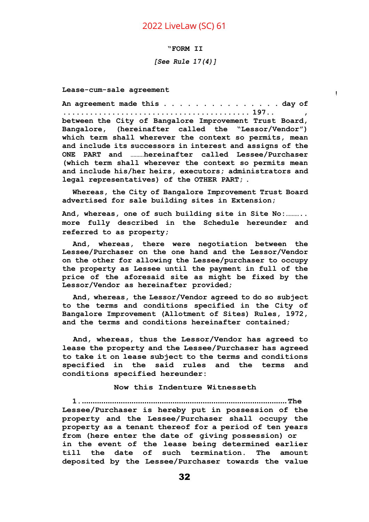#### **"FORM II**

#### *[See Rule 17(4)]*

 $\mathbf{I}$ 

**Lease-cum-sale agreement**

**An agreement made this . . . . . . . . . . . . . . . day of .......................................... 197.. , between the City of Bangalore Improvement Trust Board, Bangalore, (hereinafter called the "Lessor/Vendor") which term shall wherever the context so permits, mean and include its successors in interest and assigns of the ONE PART and ………hereinafter called Lessee/Purchaser (which term shall wherever the context so permits mean and include his/her heirs, executors; administrators and legal representatives) of the OTHER PART; .**

**Whereas, the City of Bangalore Improvement Trust Board advertised for sale building sites in Extension;**

**And, whereas, one of such building site in Site No:……….. more fully described in the Schedule hereunder and referred to as property;**

**And, whereas, there were negotiation between the Lessee/Purchaser on the one hand and the Lessor/Vendor on the other for allowing the Lessee/purchaser to occupy the property as Lessee until the payment in full of the price of the aforesaid site as might be fixed by the Lessor/Vendor as hereinafter provided;**

**And, whereas, the Lessor/Vendor agreed to do so subject to the terms and conditions specified in the City of Bangalore Improvement (Allotment of Sites) Rules, 1972, and the terms and conditions hereinafter contained;**

**And, whereas, thus the Lessor/Vendor has agreed to lease the property and the Lessee/Purchaser has agreed to take it on lease subject to the terms and conditions specified in the said rules and the terms and conditions specified hereunder:**

#### **Now this Indenture Witnesseth**

**1................................................................................................The Lessee/Purchaser is hereby put in possession of the property and the Lessee/Purchaser shall occupy the property as a tenant thereof for a period of ten years from (here enter the date of giving possession) or in the event of the lease being determined earlier till the date of such termination. The amount deposited by the Lessee/Purchaser towards the value**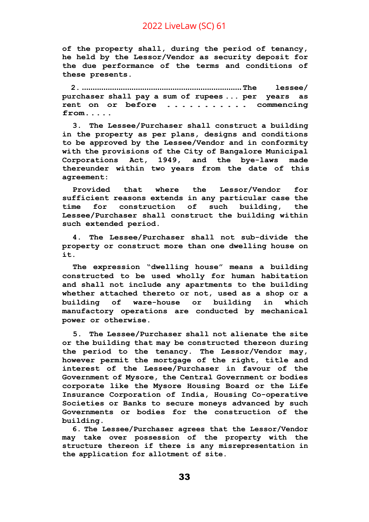**of the property shall, during the period of tenancy, he held by the Lessor/Vendor as security deposit for the due performance of the terms and conditions of these presents.**

**2. .......................................................................... The lessee/ purchaser shall pay a sum of rupees ... per years as rent on or before ........... commencing from.....**

**3. The Lessee/Purchaser shall construct a building in the property as per plans, designs and conditions to be approved by the Lessee/Vendor and in conformity with the provisions of the City of Bangalore Municipal Corporations Act, 1949, and the bye-laws made thereunder within two years from the date of this agreement:**

**Provided that where the Lessor/Vendor for sufficient reasons extends in any particular case the time for construction of such building, the Lessee/Purchaser shall construct the building within such extended period.**

**4. The Lessee/Purchaser shall not sub-divide the property or construct more than one dwelling house on it.**

**The expression "dwelling house" means a building constructed to be used wholly for human habitation and shall not include any apartments to the building whether attached thereto or not, used as a shop or a building of ware-house or building in which manufactory operations are conducted by mechanical power or otherwise.**

**5. The Lessee/Purchaser shall not alienate the site or the building that may be constructed thereon during the period to the tenancy. The Lessor/Vendor may, however permit the mortgage of the right, title and interest of the Lessee/Purchaser in favour of the Government of Mysore, the Central Government or bodies corporate like the Mysore Housing Board or the Life Insurance Corporation of India, Housing Co-operative Societies or Banks to secure moneys advanced by such Governments or bodies for the construction of the building.**

**6. The Lessee/Purchaser agrees that the Lessor/Vendor may take over possession of the property with the structure thereon if there is any misrepresentation in the application for allotment of site.**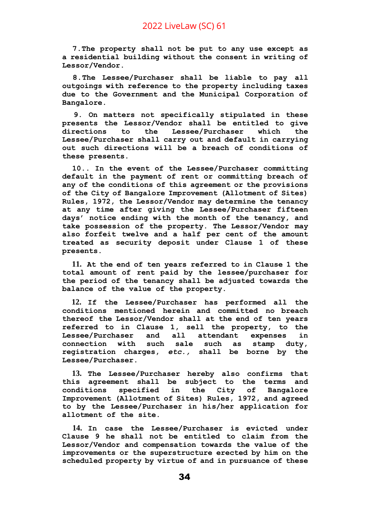**7.The property shall not be put to any use except as a residential building without the consent in writing of Lessor/Vendor.**

**8.The Lessee/Purchaser shall be liable to pay all outgoings with reference to the property including taxes due to the Government and the Municipal Corporation of Bangalore.**

**9. On matters not specifically stipulated in these presents the Lessor/Vendor shall be entitled to give directions to the Lessee/Purchaser which the Lessee/Purchaser shall carry out and default in carrying out such directions will be a breach of conditions of these presents.**

**10.. In the event of the Lessee/Purchaser committing default in the payment of rent or committing breach of any of the conditions of this agreement or the provisions of the City of Bangalore Improvement (Allotment of Sites) Rules, 1972, the Lessor/Vendor may determine the tenancy at any time after giving the Lessee/Purchaser fifteen days' notice ending with the month of the tenancy, and take possession of the property. The Lessor/Vendor may also forfeit twelve and a half per cent of the amount treated as security deposit under Clause 1 of these presents.**

**11. At the end of ten years referred to in Clause 1 the total amount of rent paid by the lessee/purchaser for the period of the tenancy shall be adjusted towards the balance of the value of the property.**

**12. If the Lessee/Purchaser has performed all the conditions mentioned herein and committed no breach thereof the Lessor/Vendor shall at the end of ten years referred to in Clause 1, sell the property, to the Lessee/Purchaser and all attendant expenses in connection with such sale such as stamp duty, registration charges,** *etc.,* **shall be borne by the Lessee/Purchaser.**

**13. The Lessee/Purchaser hereby also confirms that this agreement shall be subject to the terms and conditions specified in the City of Bangalore Improvement (Allotment of Sites) Rules, 1972, and agreed to by the Lessee/Purchaser in his/her application for allotment of the site.**

**14. In case the Lessee/Purchaser is evicted under Clause 9 he shall not be entitled to claim from the Lessor/Vendor and compensation towards the value of the improvements or the superstructure erected by him on the scheduled property by virtue of and in pursuance of these**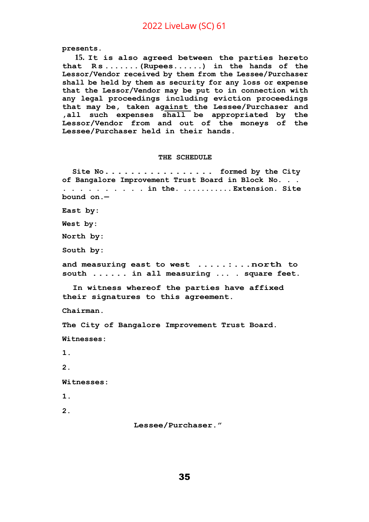**presents.**

**15. It is also agreed between the parties hereto that R s .......(Rupees......) in the hands of the Lessor/Vendor received by them from the Lessee/Purchaser shall be held by them as security for any loss or expense that the Lessor/Vendor may be put to in connection with any legal proceedings including eviction proceedings that may be, taken against the Lessee/Purchaser and ,all such expenses shall be appropriated by the Lessor/Vendor from and out of the moneys of the Lessee/Purchaser held in their hands.**

#### **THE SCHEDULE**

**Site No................. formed by the City of Bangalore Improvement Trust Board in Block No. . . . . . . . . . . . . in the. ........... Extension. Site bound on.—**

**East by:**

**West by:**

**North by:**

**South by:**

**and measuring east to west .....:...north to south ...... in all measuring ... . square feet.**

**In witness whereof the parties have affixed their signatures to this agreement.**

**Chairman.**

**The City of Bangalore Improvement Trust Board.**

**Witnesses:**

**1.**

**2.**

**Witnesses:**

**1.**

**2.**

**Lessee/Purchaser."**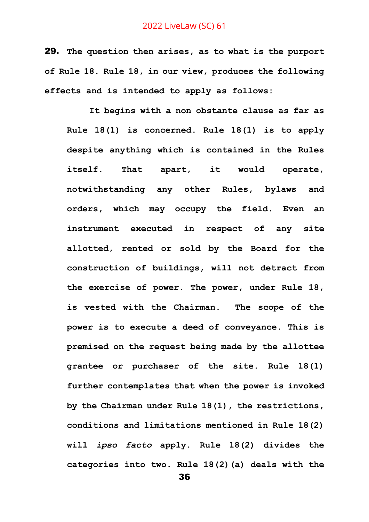29. **The question then arises, as to what is the purport of Rule 18. Rule 18, in our view, produces the following effects and is intended to apply as follows:**

**It begins with a non obstante clause as far as Rule 18(1) is concerned. Rule 18(1) is to apply despite anything which is contained in the Rules itself. That apart, it would operate, notwithstanding any other Rules, bylaws and orders, which may occupy the field. Even an instrument executed in respect of any site allotted, rented or sold by the Board for the construction of buildings, will not detract from the exercise of power. The power, under Rule 18, is vested with the Chairman. The scope of the power is to execute a deed of conveyance. This is premised on the request being made by the allottee grantee or purchaser of the site. Rule 18(1) further contemplates that when the power is invoked by the Chairman under Rule 18(1), the restrictions, conditions and limitations mentioned in Rule 18(2) will** *ipso facto* **apply. Rule 18(2) divides the categories into two. Rule 18(2)(a) deals with the**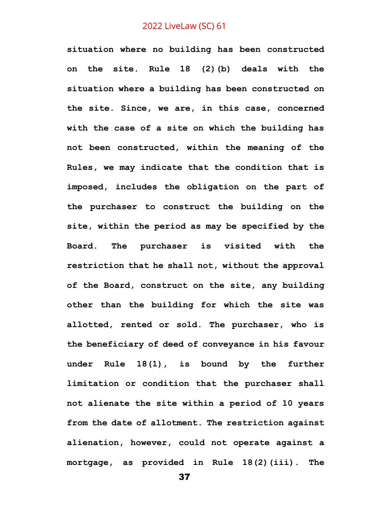**situation where no building has been constructed on the site. Rule 18 (2)(b) deals with the situation where a building has been constructed on the site. Since, we are, in this case, concerned with the case of a site on which the building has not been constructed, within the meaning of the Rules, we may indicate that the condition that is imposed, includes the obligation on the part of the purchaser to construct the building on the site, within the period as may be specified by the Board. The purchaser is visited with the restriction that he shall not, without the approval of the Board, construct on the site, any building other than the building for which the site was allotted, rented or sold. The purchaser, who is the beneficiary of deed of conveyance in his favour under Rule 18(1), is bound by the further limitation or condition that the purchaser shall not alienate the site within a period of 10 years from the date of allotment. The restriction against alienation, however, could not operate against a mortgage, as provided in Rule 18(2)(iii). The**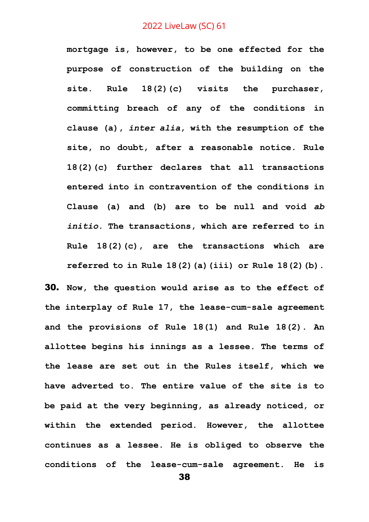**mortgage is, however, to be one effected for the purpose of construction of the building on the site. Rule 18(2)(c) visits the purchaser, committing breach of any of the conditions in clause (a),** *inter alia***, with the resumption of the site, no doubt, after a reasonable notice. Rule 18(2)(c) further declares that all transactions entered into in contravention of the conditions in Clause (a) and (b) are to be null and void** *ab initio***. The transactions, which are referred to in Rule 18(2)(c), are the transactions which are referred to in Rule 18(2)(a)(iii) or Rule 18(2)(b).**

30. **Now, the question would arise as to the effect of the interplay of Rule 17, the lease-cum-sale agreement and the provisions of Rule 18(1) and Rule 18(2). An allottee begins his innings as a lessee. The terms of the lease are set out in the Rules itself, which we have adverted to. The entire value of the site is to be paid at the very beginning, as already noticed, or within the extended period. However, the allottee continues as a lessee. He is obliged to observe the conditions of the lease-cum-sale agreement. He is**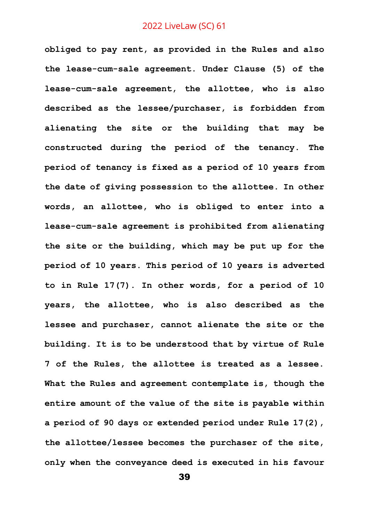**obliged to pay rent, as provided in the Rules and also the lease-cum-sale agreement. Under Clause (5) of the lease-cum-sale agreement, the allottee, who is also described as the lessee/purchaser, is forbidden from alienating the site or the building that may be constructed during the period of the tenancy. The period of tenancy is fixed as a period of 10 years from the date of giving possession to the allottee. In other words, an allottee, who is obliged to enter into a lease-cum-sale agreement is prohibited from alienating the site or the building, which may be put up for the period of 10 years. This period of 10 years is adverted to in Rule 17(7). In other words, for a period of 10 years, the allottee, who is also described as the lessee and purchaser, cannot alienate the site or the building. It is to be understood that by virtue of Rule 7 of the Rules, the allottee is treated as a lessee. What the Rules and agreement contemplate is, though the entire amount of the value of the site is payable within a period of 90 days or extended period under Rule 17(2), the allottee/lessee becomes the purchaser of the site, only when the conveyance deed is executed in his favour**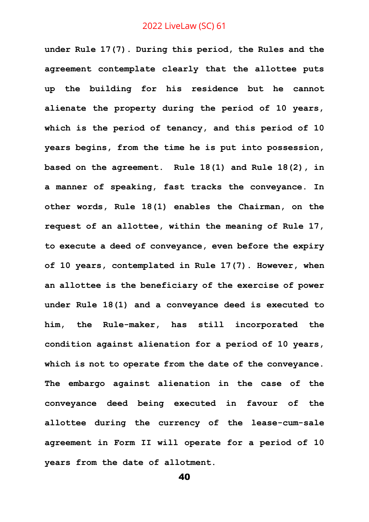**under Rule 17(7). During this period, the Rules and the agreement contemplate clearly that the allottee puts up the building for his residence but he cannot alienate the property during the period of 10 years, which is the period of tenancy, and this period of 10 years begins, from the time he is put into possession, based on the agreement. Rule 18(1) and Rule 18(2), in a manner of speaking, fast tracks the conveyance. In other words, Rule 18(1) enables the Chairman, on the request of an allottee, within the meaning of Rule 17, to execute a deed of conveyance, even before the expiry of 10 years, contemplated in Rule 17(7). However, when an allottee is the beneficiary of the exercise of power under Rule 18(1) and a conveyance deed is executed to him, the Rule-maker, has still incorporated the condition against alienation for a period of 10 years, which is not to operate from the date of the conveyance. The embargo against alienation in the case of the conveyance deed being executed in favour of the allottee during the currency of the lease-cum-sale agreement in Form II will operate for a period of 10 years from the date of allotment.**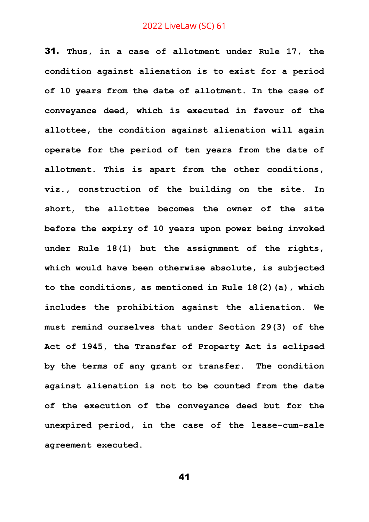31. **Thus, in a case of allotment under Rule 17, the condition against alienation is to exist for a period of 10 years from the date of allotment. In the case of conveyance deed, which is executed in favour of the allottee, the condition against alienation will again operate for the period of ten years from the date of allotment. This is apart from the other conditions, viz., construction of the building on the site. In short, the allottee becomes the owner of the site before the expiry of 10 years upon power being invoked under Rule 18(1) but the assignment of the rights, which would have been otherwise absolute, is subjected to the conditions, as mentioned in Rule 18(2)(a), which includes the prohibition against the alienation. We must remind ourselves that under Section 29(3) of the Act of 1945, the Transfer of Property Act is eclipsed by the terms of any grant or transfer. The condition against alienation is not to be counted from the date of the execution of the conveyance deed but for the unexpired period, in the case of the lease-cum-sale agreement executed.**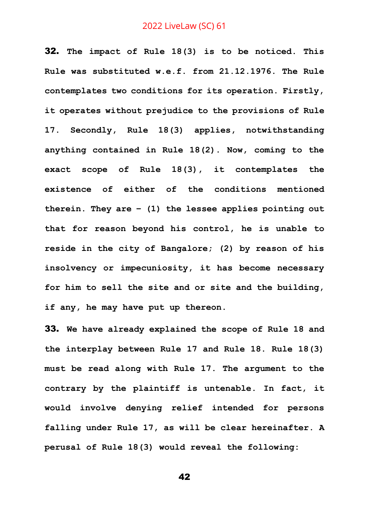32. **The impact of Rule 18(3) is to be noticed. This Rule was substituted w.e.f. from 21.12.1976. The Rule contemplates two conditions for its operation. Firstly, it operates without prejudice to the provisions of Rule 17. Secondly, Rule 18(3) applies, notwithstanding anything contained in Rule 18(2). Now, coming to the exact scope of Rule 18(3), it contemplates the existence of either of the conditions mentioned therein. They are – (1) the lessee applies pointing out that for reason beyond his control, he is unable to reside in the city of Bangalore; (2) by reason of his insolvency or impecuniosity, it has become necessary for him to sell the site and or site and the building, if any, he may have put up thereon.** 

33. **We have already explained the scope of Rule 18 and the interplay between Rule 17 and Rule 18. Rule 18(3) must be read along with Rule 17. The argument to the contrary by the plaintiff is untenable. In fact, it would involve denying relief intended for persons falling under Rule 17, as will be clear hereinafter. A perusal of Rule 18(3) would reveal the following:**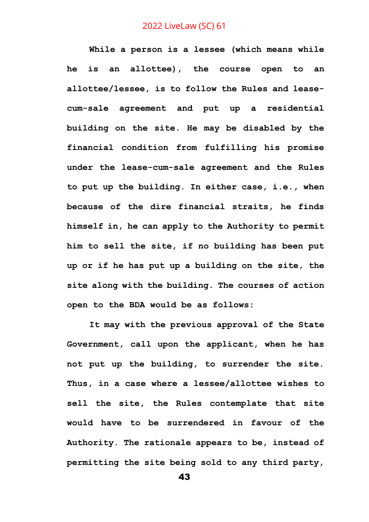**While a person is a lessee (which means while he is an allottee), the course open to an allottee/lessee, is to follow the Rules and leasecum-sale agreement and put up a residential building on the site. He may be disabled by the financial condition from fulfilling his promise under the lease-cum-sale agreement and the Rules to put up the building. In either case, i.e., when because of the dire financial straits, he finds himself in, he can apply to the Authority to permit him to sell the site, if no building has been put up or if he has put up a building on the site, the site along with the building. The courses of action open to the BDA would be as follows:**

**It may with the previous approval of the State Government, call upon the applicant, when he has not put up the building, to surrender the site. Thus, in a case where a lessee/allottee wishes to sell the site, the Rules contemplate that site would have to be surrendered in favour of the Authority. The rationale appears to be, instead of permitting the site being sold to any third party,**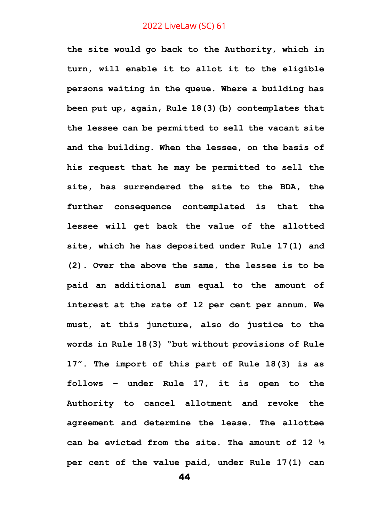**the site would go back to the Authority, which in turn, will enable it to allot it to the eligible persons waiting in the queue. Where a building has been put up, again, Rule 18(3)(b) contemplates that the lessee can be permitted to sell the vacant site and the building. When the lessee, on the basis of his request that he may be permitted to sell the site, has surrendered the site to the BDA, the further consequence contemplated is that the lessee will get back the value of the allotted site, which he has deposited under Rule 17(1) and (2). Over the above the same, the lessee is to be paid an additional sum equal to the amount of interest at the rate of 12 per cent per annum. We must, at this juncture, also do justice to the words in Rule 18(3) "but without provisions of Rule 17". The import of this part of Rule 18(3) is as follows – under Rule 17, it is open to the Authority to cancel allotment and revoke the agreement and determine the lease. The allottee can be evicted from the site. The amount of 12 ½ per cent of the value paid, under Rule 17(1) can**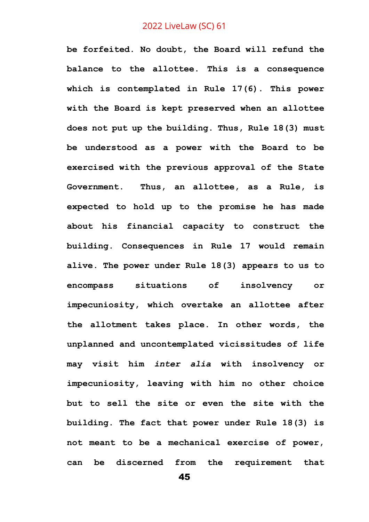**be forfeited. No doubt, the Board will refund the balance to the allottee. This is a consequence which is contemplated in Rule 17(6). This power with the Board is kept preserved when an allottee does not put up the building. Thus, Rule 18(3) must be understood as a power with the Board to be exercised with the previous approval of the State Government. Thus, an allottee, as a Rule, is expected to hold up to the promise he has made about his financial capacity to construct the building. Consequences in Rule 17 would remain alive. The power under Rule 18(3) appears to us to encompass situations of insolvency or impecuniosity, which overtake an allottee after the allotment takes place. In other words, the unplanned and uncontemplated vicissitudes of life may visit him** *inter alia* **with insolvency or impecuniosity, leaving with him no other choice but to sell the site or even the site with the building. The fact that power under Rule 18(3) is not meant to be a mechanical exercise of power, can be discerned from the requirement that**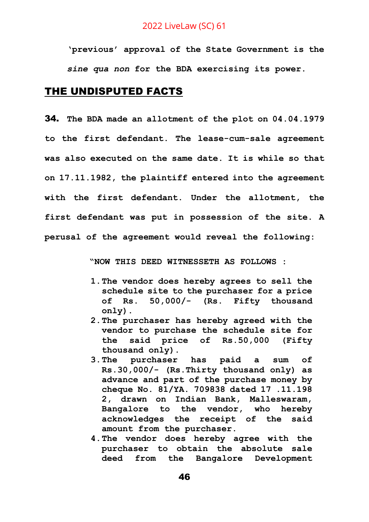**'previous' approval of the State Government is the**  *sine qua non* **for the BDA exercising its power.**

# THE UNDISPUTED FACTS

34. **The BDA made an allotment of the plot on 04.04.1979 to the first defendant. The lease-cum-sale agreement was also executed on the same date. It is while so that on 17.11.1982, the plaintiff entered into the agreement with the first defendant. Under the allotment, the first defendant was put in possession of the site. A perusal of the agreement would reveal the following:** 

**"NOW THIS DEED WITNESSETH AS FOLLOWS :**

- **1.The vendor does hereby agrees to sell the schedule site to the purchaser for a price of Rs. 50,000/- (Rs. Fifty thousand only).**
- **2.The purchaser has hereby agreed with the vendor to purchase the schedule site for the said price of Rs.50,000 (Fifty thousand only).**
- **3.The purchaser has paid a sum of Rs.30,000/- (Rs.Thirty thousand only) as advance and part of the purchase money by cheque No. 81/YA. 709838 dated 17 .11.198 2, drawn on Indian Bank, Malleswaram, Bangalore to the vendor, who hereby acknowledges the receipt of the said amount from the purchaser.**
- **4.The vendor does hereby agree with the purchaser to obtain the absolute sale deed from the Bangalore Development**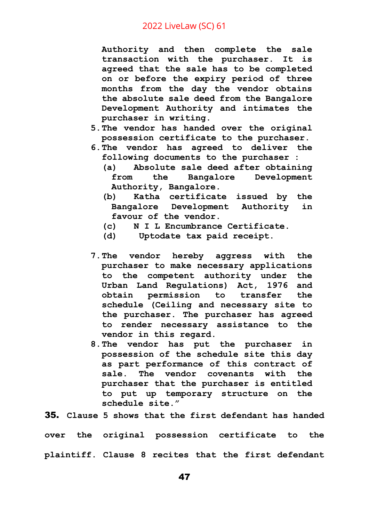**Authority and then complete the sale transaction with the purchaser. It is agreed that the sale has to be completed on or before the expiry period of three months from the day the vendor obtains the absolute sale deed from the Bangalore Development Authority and intimates the purchaser in writing.**

- **5.The vendor has handed over the original possession certificate to the purchaser.**
- **6.The vendor has agreed to deliver the following documents to the purchaser :**
	- **(a) Absolute sale deed after obtaining from the Bangalore Development Authority, Bangalore.**
	- **(b) Katha certificate issued by the Bangalore Development Authority in favour of the vendor.**
	- **(c) N I L Encumbrance Certificate.**
	- **(d) Uptodate tax paid receipt.**
- **7.The vendor hereby aggress with the purchaser to make necessary applications to the competent authority under the Urban Land Regulations) Act, 1976 and obtain permission to transfer the schedule (Ceiling and necessary site to the purchaser. The purchaser has agreed to render necessary assistance to the vendor in this regard.**
- **8.The vendor has put the purchaser in possession of the schedule site this day as part performance of this contract of sale. The vendor covenants with the purchaser that the purchaser is entitled to put up temporary structure on the schedule site."**

35. **Clause 5 shows that the first defendant has handed** 

**over the original possession certificate to the plaintiff. Clause 8 recites that the first defendant**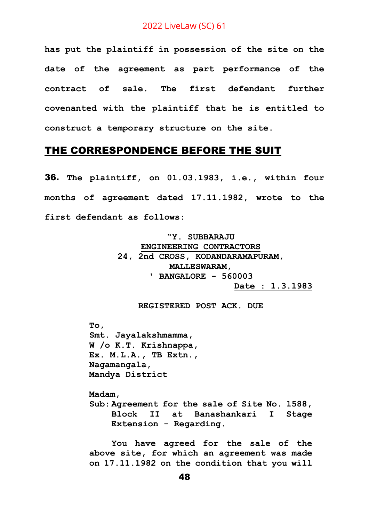**has put the plaintiff in possession of the site on the date of the agreement as part performance of the contract of sale. The first defendant further covenanted with the plaintiff that he is entitled to construct a temporary structure on the site.** 

#### THE CORRESPONDENCE BEFORE THE SUIT

36. **The plaintiff, on 01.03.1983, i.e., within four months of agreement dated 17.11.1982, wrote to the first defendant as follows:**

> **"Y. SUBBARAJU ENGINEERING CONTRACTORS 24, 2nd CROSS, KODANDARAMAPURAM, MALLESWARAM, ' BANGALORE - 560003 Date : 1.3.1983**

> > **REGISTERED POST ACK. DUE**

**To, Smt. Jayalakshmamma, W /o K.T. Krishnappa, Ex. M.L.A., TB Extn., Nagamangala, Mandya District**

**Madam, Sub: Agreement for the sale of Site No. 1588, Block II at Banashankari I Stage Extension - Regarding.** 

**You have agreed for the sale of the above site, for which an agreement was made on 17.11.1982 on the condition that you will**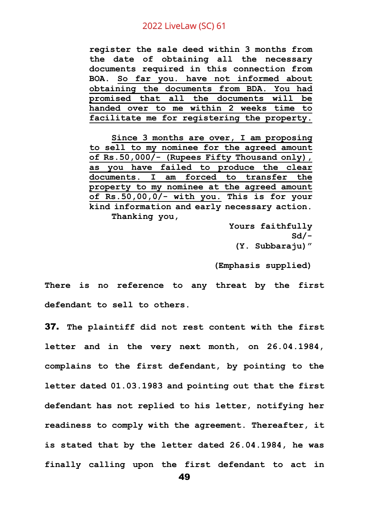**register the sale deed within 3 months from the date of obtaining all the necessary documents required in this connection from BOA. So far you. have not informed about obtaining the documents from BDA. You had promised that all the documents will be handed over to me within 2 weeks time to facilitate me for registering the property.** 

**Since 3 months are over, I am proposing to sell to my nominee for the agreed amount of Rs.50,000/- (Rupees Fifty Thousand only), as you have failed to produce the clear documents. I am forced to transfer the property to my nominee at the agreed amount of Rs.50,00,0/- with you. This is for your kind information and early necessary action. Thanking you,** 

> **Yours faithfully Sd/- (Y. Subbaraju)"**

**(Emphasis supplied)**

**There is no reference to any threat by the first defendant to sell to others.** 

37. **The plaintiff did not rest content with the first letter and in the very next month, on 26.04.1984, complains to the first defendant, by pointing to the letter dated 01.03.1983 and pointing out that the first defendant has not replied to his letter, notifying her readiness to comply with the agreement. Thereafter, it is stated that by the letter dated 26.04.1984, he was finally calling upon the first defendant to act in**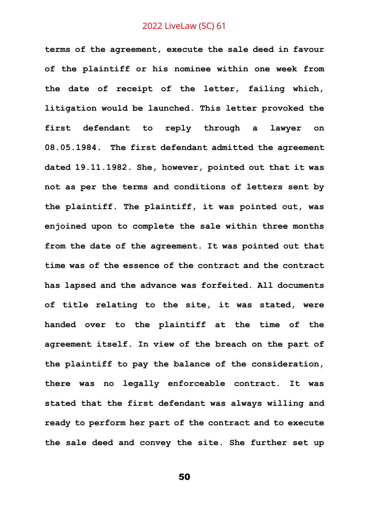**terms of the agreement, execute the sale deed in favour of the plaintiff or his nominee within one week from the date of receipt of the letter, failing which, litigation would be launched. This letter provoked the first defendant to reply through a lawyer on 08.05.1984. The first defendant admitted the agreement dated 19.11.1982. She, however, pointed out that it was not as per the terms and conditions of letters sent by the plaintiff. The plaintiff, it was pointed out, was enjoined upon to complete the sale within three months from the date of the agreement. It was pointed out that time was of the essence of the contract and the contract has lapsed and the advance was forfeited. All documents of title relating to the site, it was stated, were handed over to the plaintiff at the time of the agreement itself. In view of the breach on the part of the plaintiff to pay the balance of the consideration, there was no legally enforceable contract. It was stated that the first defendant was always willing and ready to perform her part of the contract and to execute the sale deed and convey the site. She further set up**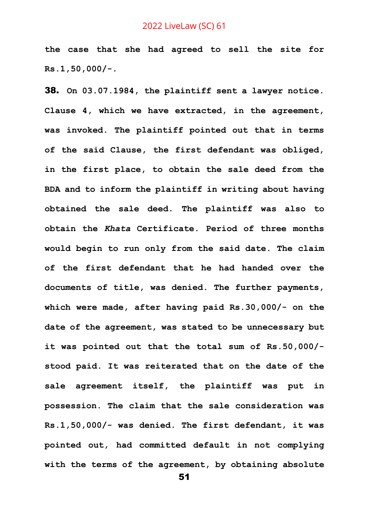**the case that she had agreed to sell the site for Rs.1,50,000/-.**

38. **On 03.07.1984, the plaintiff sent a lawyer notice. Clause 4, which we have extracted, in the agreement, was invoked. The plaintiff pointed out that in terms of the said Clause, the first defendant was obliged, in the first place, to obtain the sale deed from the BDA and to inform the plaintiff in writing about having obtained the sale deed. The plaintiff was also to obtain the** *Khata* **Certificate. Period of three months would begin to run only from the said date. The claim of the first defendant that he had handed over the documents of title, was denied. The further payments, which were made, after having paid Rs.30,000/- on the date of the agreement, was stated to be unnecessary but it was pointed out that the total sum of Rs.50,000/ stood paid. It was reiterated that on the date of the sale agreement itself, the plaintiff was put in possession. The claim that the sale consideration was Rs.1,50,000/- was denied. The first defendant, it was pointed out, had committed default in not complying with the terms of the agreement, by obtaining absolute**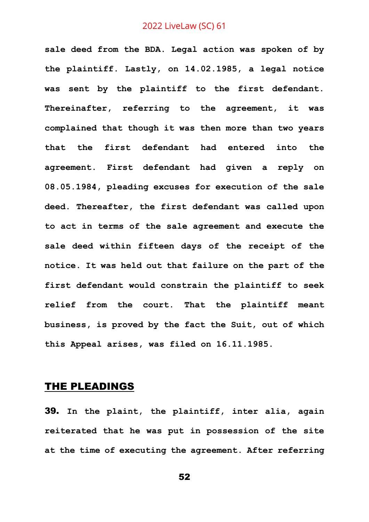**sale deed from the BDA. Legal action was spoken of by the plaintiff. Lastly, on 14.02.1985, a legal notice was sent by the plaintiff to the first defendant. Thereinafter, referring to the agreement, it was complained that though it was then more than two years that the first defendant had entered into the agreement. First defendant had given a reply on 08.05.1984, pleading excuses for execution of the sale deed. Thereafter, the first defendant was called upon to act in terms of the sale agreement and execute the sale deed within fifteen days of the receipt of the notice. It was held out that failure on the part of the first defendant would constrain the plaintiff to seek relief from the court. That the plaintiff meant business, is proved by the fact the Suit, out of which this Appeal arises, was filed on 16.11.1985.** 

## THE PLEADINGS

39. **In the plaint, the plaintiff, inter alia, again reiterated that he was put in possession of the site at the time of executing the agreement. After referring**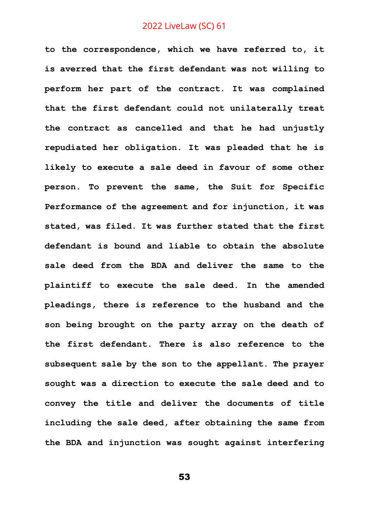**to the correspondence, which we have referred to, it is averred that the first defendant was not willing to perform her part of the contract. It was complained that the first defendant could not unilaterally treat the contract as cancelled and that he had unjustly repudiated her obligation. It was pleaded that he is likely to execute a sale deed in favour of some other person. To prevent the same, the Suit for Specific Performance of the agreement and for injunction, it was stated, was filed. It was further stated that the first defendant is bound and liable to obtain the absolute sale deed from the BDA and deliver the same to the plaintiff to execute the sale deed. In the amended pleadings, there is reference to the husband and the son being brought on the party array on the death of the first defendant. There is also reference to the subsequent sale by the son to the appellant. The prayer sought was a direction to execute the sale deed and to convey the title and deliver the documents of title including the sale deed, after obtaining the same from the BDA and injunction was sought against interfering**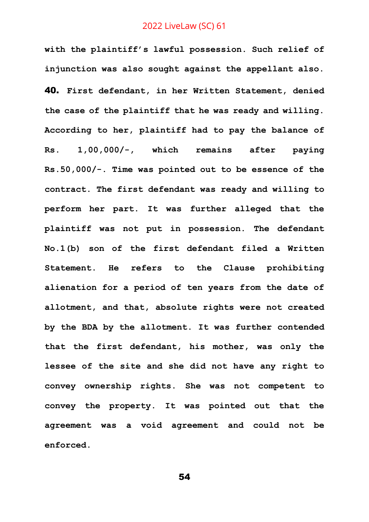**with the plaintiff's lawful possession. Such relief of injunction was also sought against the appellant also.** 40. **First defendant, in her Written Statement, denied the case of the plaintiff that he was ready and willing. According to her, plaintiff had to pay the balance of Rs. 1,00,000/-, which remains after paying Rs.50,000/-. Time was pointed out to be essence of the contract. The first defendant was ready and willing to perform her part. It was further alleged that the plaintiff was not put in possession. The defendant No.1(b) son of the first defendant filed a Written Statement. He refers to the Clause prohibiting alienation for a period of ten years from the date of allotment, and that, absolute rights were not created by the BDA by the allotment. It was further contended that the first defendant, his mother, was only the lessee of the site and she did not have any right to convey ownership rights. She was not competent to convey the property. It was pointed out that the agreement was a void agreement and could not be enforced.**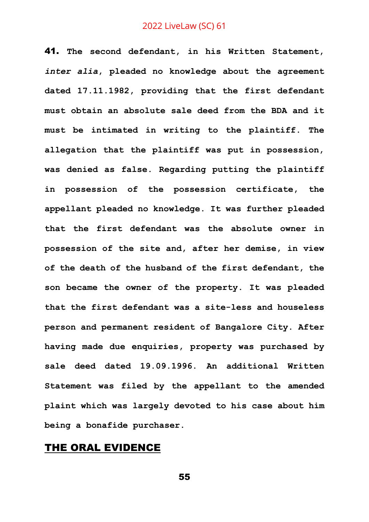41. **The second defendant, in his Written Statement,**  *inter alia***, pleaded no knowledge about the agreement dated 17.11.1982, providing that the first defendant must obtain an absolute sale deed from the BDA and it must be intimated in writing to the plaintiff. The allegation that the plaintiff was put in possession, was denied as false. Regarding putting the plaintiff in possession of the possession certificate, the appellant pleaded no knowledge. It was further pleaded that the first defendant was the absolute owner in possession of the site and, after her demise, in view of the death of the husband of the first defendant, the son became the owner of the property. It was pleaded that the first defendant was a site-less and houseless person and permanent resident of Bangalore City. After having made due enquiries, property was purchased by sale deed dated 19.09.1996. An additional Written Statement was filed by the appellant to the amended plaint which was largely devoted to his case about him being a bonafide purchaser.** 

# THE ORAL EVIDENCE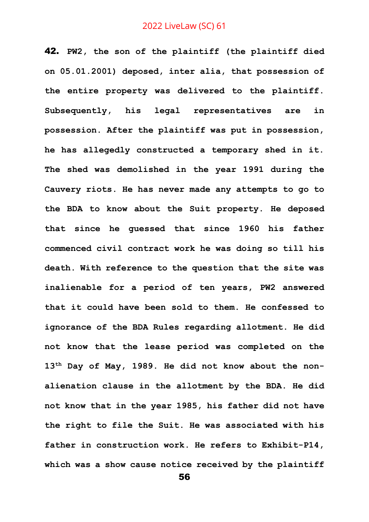42. **PW2, the son of the plaintiff (the plaintiff died on 05.01.2001) deposed, inter alia, that possession of the entire property was delivered to the plaintiff. Subsequently, his legal representatives are in possession. After the plaintiff was put in possession, he has allegedly constructed a temporary shed in it. The shed was demolished in the year 1991 during the Cauvery riots. He has never made any attempts to go to the BDA to know about the Suit property. He deposed that since he guessed that since 1960 his father commenced civil contract work he was doing so till his death. With reference to the question that the site was inalienable for a period of ten years, PW2 answered that it could have been sold to them. He confessed to ignorance of the BDA Rules regarding allotment. He did not know that the lease period was completed on the 13th Day of May, 1989. He did not know about the nonalienation clause in the allotment by the BDA. He did not know that in the year 1985, his father did not have the right to file the Suit. He was associated with his father in construction work. He refers to Exhibit-P14, which was a show cause notice received by the plaintiff**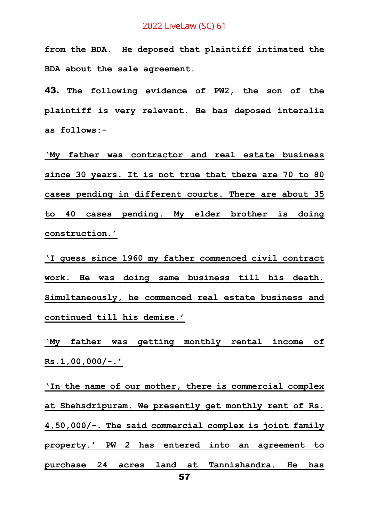**from the BDA. He deposed that plaintiff intimated the BDA about the sale agreement.**

43. **The following evidence of PW2, the son of the plaintiff is very relevant. He has deposed interalia as follows:-**

**'My father was contractor and real estate business since 30 years. It is not true that there are 70 to 80 cases pending in different courts. There are about 35 to 40 cases pending. My elder brother is doing construction.'** 

**'I guess since 1960 my father commenced civil contract work. He was doing same business till his death. Simultaneously, he commenced real estate business and continued till his demise.'**

**'My father was getting monthly rental income of Rs.1,00,000/-.'** 

**'In the name of our mother, there is commercial complex at Shehsdripuram. We presently get monthly rent of Rs. 4,50,000/-. The said commercial complex is joint family property.' PW 2 has entered into an agreement to purchase 24 acres land at Tannishandra. He has**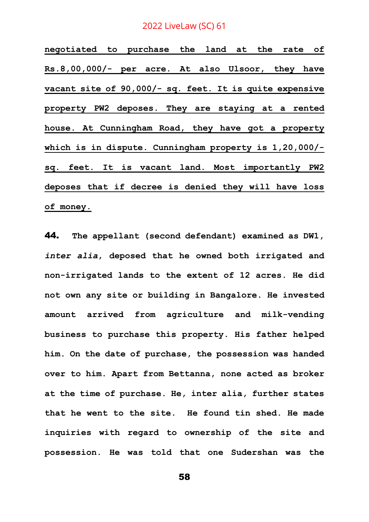**negotiated to purchase the land at the rate of Rs.8,00,000/- per acre. At also Ulsoor, they have vacant site of 90,000/- sq. feet. It is quite expensive property PW2 deposes. They are staying at a rented house. At Cunningham Road, they have got a property which is in dispute. Cunningham property is 1,20,000/ sq. feet. It is vacant land. Most importantly PW2 deposes that if decree is denied they will have loss of money.**

44. **The appellant (second defendant) examined as DW1,**  *inter alia***, deposed that he owned both irrigated and non-irrigated lands to the extent of 12 acres. He did not own any site or building in Bangalore. He invested amount arrived from agriculture and milk-vending business to purchase this property. His father helped him. On the date of purchase, the possession was handed over to him. Apart from Bettanna, none acted as broker at the time of purchase. He, inter alia, further states that he went to the site. He found tin shed. He made inquiries with regard to ownership of the site and possession. He was told that one Sudershan was the**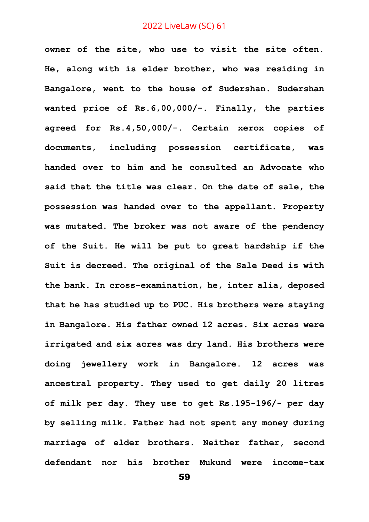**owner of the site, who use to visit the site often. He, along with is elder brother, who was residing in Bangalore, went to the house of Sudershan. Sudershan wanted price of Rs.6,00,000/-. Finally, the parties agreed for Rs.4,50,000/-. Certain xerox copies of documents, including possession certificate, was handed over to him and he consulted an Advocate who said that the title was clear. On the date of sale, the possession was handed over to the appellant. Property was mutated. The broker was not aware of the pendency of the Suit. He will be put to great hardship if the Suit is decreed. The original of the Sale Deed is with the bank. In cross-examination, he, inter alia, deposed that he has studied up to PUC. His brothers were staying in Bangalore. His father owned 12 acres. Six acres were irrigated and six acres was dry land. His brothers were doing jewellery work in Bangalore. 12 acres was ancestral property. They used to get daily 20 litres of milk per day. They use to get Rs.195-196/- per day by selling milk. Father had not spent any money during marriage of elder brothers. Neither father, second defendant nor his brother Mukund were income-tax**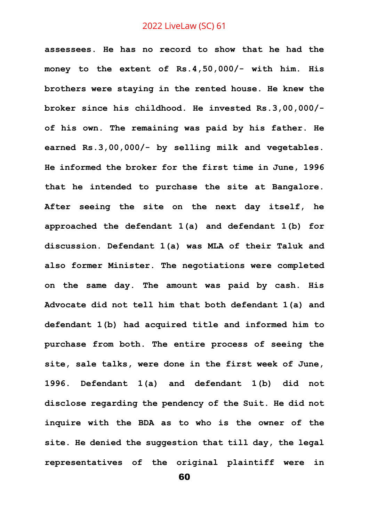**assessees. He has no record to show that he had the money to the extent of Rs.4,50,000/- with him. His brothers were staying in the rented house. He knew the broker since his childhood. He invested Rs.3,00,000/ of his own. The remaining was paid by his father. He earned Rs.3,00,000/- by selling milk and vegetables. He informed the broker for the first time in June, 1996 that he intended to purchase the site at Bangalore. After seeing the site on the next day itself, he approached the defendant 1(a) and defendant 1(b) for discussion. Defendant 1(a) was MLA of their Taluk and also former Minister. The negotiations were completed on the same day. The amount was paid by cash. His Advocate did not tell him that both defendant 1(a) and defendant 1(b) had acquired title and informed him to purchase from both. The entire process of seeing the site, sale talks, were done in the first week of June, 1996. Defendant 1(a) and defendant 1(b) did not disclose regarding the pendency of the Suit. He did not inquire with the BDA as to who is the owner of the site. He denied the suggestion that till day, the legal representatives of the original plaintiff were in**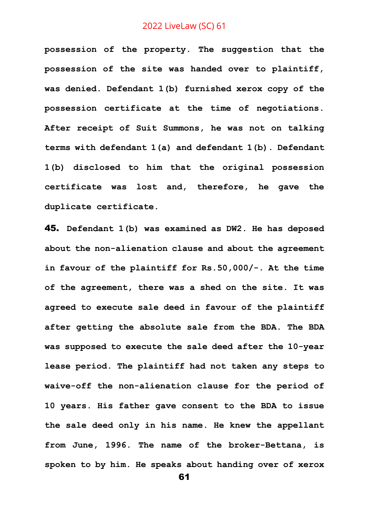**possession of the property. The suggestion that the possession of the site was handed over to plaintiff, was denied. Defendant 1(b) furnished xerox copy of the possession certificate at the time of negotiations. After receipt of Suit Summons, he was not on talking terms with defendant 1(a) and defendant 1(b). Defendant 1(b) disclosed to him that the original possession certificate was lost and, therefore, he gave the duplicate certificate.** 

45. **Defendant 1(b) was examined as DW2. He has deposed about the non-alienation clause and about the agreement in favour of the plaintiff for Rs.50,000/-. At the time of the agreement, there was a shed on the site. It was agreed to execute sale deed in favour of the plaintiff after getting the absolute sale from the BDA. The BDA was supposed to execute the sale deed after the 10-year lease period. The plaintiff had not taken any steps to waive-off the non-alienation clause for the period of 10 years. His father gave consent to the BDA to issue the sale deed only in his name. He knew the appellant from June, 1996. The name of the broker-Bettana, is spoken to by him. He speaks about handing over of xerox**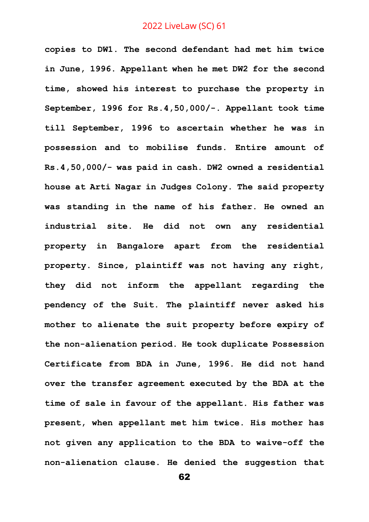**copies to DW1. The second defendant had met him twice in June, 1996. Appellant when he met DW2 for the second time, showed his interest to purchase the property in September, 1996 for Rs.4,50,000/-. Appellant took time till September, 1996 to ascertain whether he was in possession and to mobilise funds. Entire amount of Rs.4,50,000/- was paid in cash. DW2 owned a residential house at Arti Nagar in Judges Colony. The said property was standing in the name of his father. He owned an industrial site. He did not own any residential property in Bangalore apart from the residential property. Since, plaintiff was not having any right, they did not inform the appellant regarding the pendency of the Suit. The plaintiff never asked his mother to alienate the suit property before expiry of the non-alienation period. He took duplicate Possession Certificate from BDA in June, 1996. He did not hand over the transfer agreement executed by the BDA at the time of sale in favour of the appellant. His father was present, when appellant met him twice. His mother has not given any application to the BDA to waive-off the non-alienation clause. He denied the suggestion that**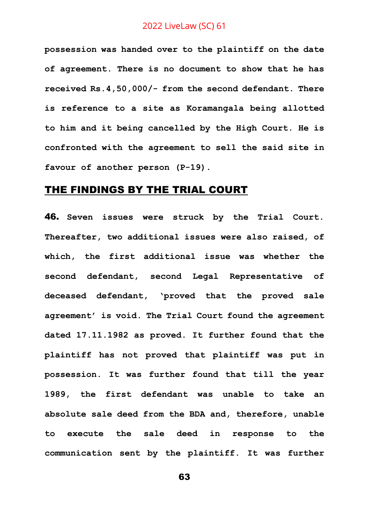**possession was handed over to the plaintiff on the date of agreement. There is no document to show that he has received Rs.4,50,000/- from the second defendant. There is reference to a site as Koramangala being allotted to him and it being cancelled by the High Court. He is confronted with the agreement to sell the said site in favour of another person (P-19).**

# THE FINDINGS BY THE TRIAL COURT

46. **Seven issues were struck by the Trial Court. Thereafter, two additional issues were also raised, of which, the first additional issue was whether the second defendant, second Legal Representative of deceased defendant, 'proved that the proved sale agreement' is void. The Trial Court found the agreement dated 17.11.1982 as proved. It further found that the plaintiff has not proved that plaintiff was put in possession. It was further found that till the year 1989, the first defendant was unable to take an absolute sale deed from the BDA and, therefore, unable to execute the sale deed in response to the communication sent by the plaintiff. It was further**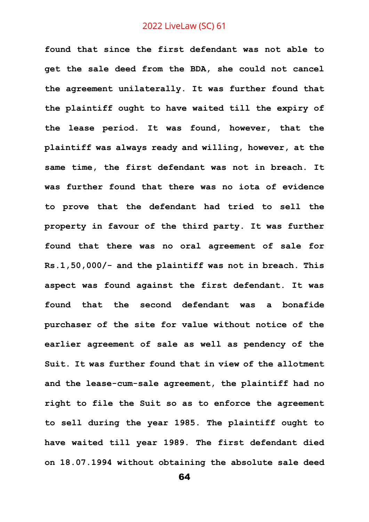**found that since the first defendant was not able to get the sale deed from the BDA, she could not cancel the agreement unilaterally. It was further found that the plaintiff ought to have waited till the expiry of the lease period. It was found, however, that the plaintiff was always ready and willing, however, at the same time, the first defendant was not in breach. It was further found that there was no iota of evidence to prove that the defendant had tried to sell the property in favour of the third party. It was further found that there was no oral agreement of sale for Rs.1,50,000/- and the plaintiff was not in breach. This aspect was found against the first defendant. It was found that the second defendant was a bonafide purchaser of the site for value without notice of the earlier agreement of sale as well as pendency of the Suit. It was further found that in view of the allotment and the lease-cum-sale agreement, the plaintiff had no right to file the Suit so as to enforce the agreement to sell during the year 1985. The plaintiff ought to have waited till year 1989. The first defendant died on 18.07.1994 without obtaining the absolute sale deed**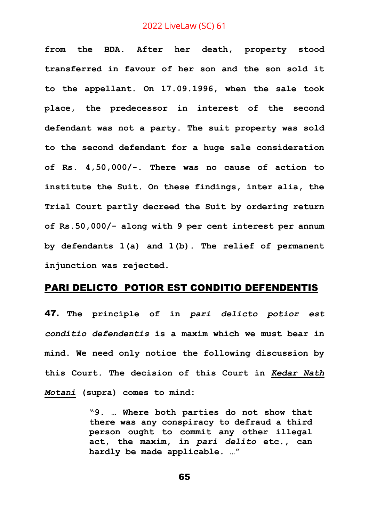**from the BDA. After her death, property stood transferred in favour of her son and the son sold it to the appellant. On 17.09.1996, when the sale took place, the predecessor in interest of the second defendant was not a party. The suit property was sold to the second defendant for a huge sale consideration of Rs. 4,50,000/-. There was no cause of action to institute the Suit. On these findings, inter alia, the Trial Court partly decreed the Suit by ordering return of Rs.50,000/- along with 9 per cent interest per annum by defendants 1(a) and 1(b). The relief of permanent injunction was rejected.** 

#### PARI DELICTO POTIOR EST CONDITIO DEFENDENTIS

47. **The principle of in** *pari delicto potior est conditio defendentis* **is a maxim which we must bear in mind. We need only notice the following discussion by this Court. The decision of this Court in** *Kedar Nath Motani* **(supra) comes to mind:**

> **"9. … Where both parties do not show that there was any conspiracy to defraud a third person ought to commit any other illegal act, the maxim, in** *pari delito* **etc., can hardly be made applicable. …"**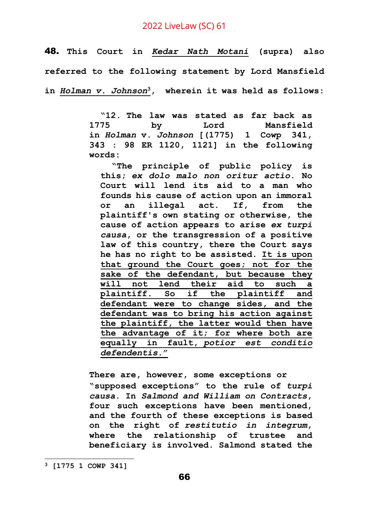48. **This Court in** *Kedar Nath Motani* **(supra) also referred to the following statement by Lord Mansfield in** *Holman v. Johnson***<sup>3</sup>, wherein it was held as follows:**

> **"12. The law was stated as far back as 1775 by Lord Mansfield in** *Holman* **v.** *Johnson* **[(1775) 1 Cowp 341, 343 : 98 ER 1120, 1121] in the following words:**

**"The principle of public policy is this;** *ex dolo malo non oritur actio***. No Court will lend its aid to a man who founds his cause of action upon an immoral or an illegal act. If, from the plaintiff's own stating or otherwise, the cause of action appears to arise** *ex turpi causa***, or the transgression of a positive law of this country, there the Court says he has no right to be assisted. It is upon that ground the Court goes; not for the sake of the defendant, but because they will not lend their aid to such a plaintiff. So if the plaintiff and defendant were to change sides, and the defendant was to bring his action against the plaintiff, the latter would then have the advantage of it; for where both are equally in fault,** *potior est conditio defendentis***."**

**There are, however, some exceptions or "supposed exceptions" to the rule of** *turpi causa***. In** *Salmond and William on Contracts***, four such exceptions have been mentioned, and the fourth of these exceptions is based on the right of** *restitutio in integrum***, where the relationship of trustee and beneficiary is involved. Salmond stated the** 

**<sup>3</sup> [1775 1 COWP 341]**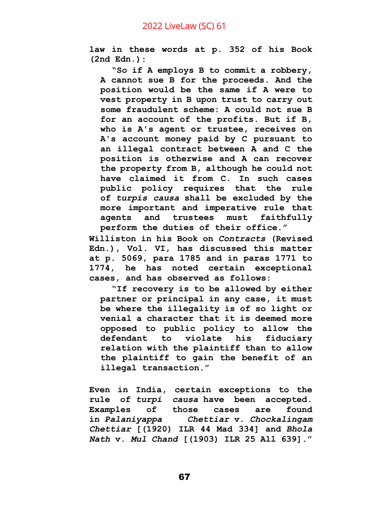**law in these words at p. 352 of his Book (2nd Edn.):**

**"So if A employs B to commit a robbery, A cannot sue B for the proceeds. And the position would be the same if A were to vest property in B upon trust to carry out some fraudulent scheme: A could not sue B for an account of the profits. But if B, who is A's agent or trustee, receives on A's account money paid by C pursuant to an illegal contract between A and C the position is otherwise and A can recover the property from B, although he could not have claimed it from C. In such cases public policy requires that the rule of** *turpis causa* **shall be excluded by the more important and imperative rule that agents and trustees must faithfully perform the duties of their office."**

**Williston in his Book on** *Contracts* **(Revised Edn.), Vol. VI, has discussed this matter at p. 5069, para 1785 and in paras 1771 to 1774, he has noted certain exceptional cases, and has observed as follows:**

**"If recovery is to be allowed by either partner or principal in any case, it must be where the illegality is of so light or venial a character that it is deemed more opposed to public policy to allow the defendant to violate his fiduciary relation with the plaintiff than to allow the plaintiff to gain the benefit of an illegal transaction."**

**Even in India, certain exceptions to the rule of** *turpi causa* **have been accepted. Examples of those cases are found in** *Palaniyappa Chettiar* **v.** *Chockalingam Chettiar* **[(1920) ILR 44 Mad 334] and** *Bhola Nath* **v.** *Mul Chand* **[(1903) ILR 25 All 639]."**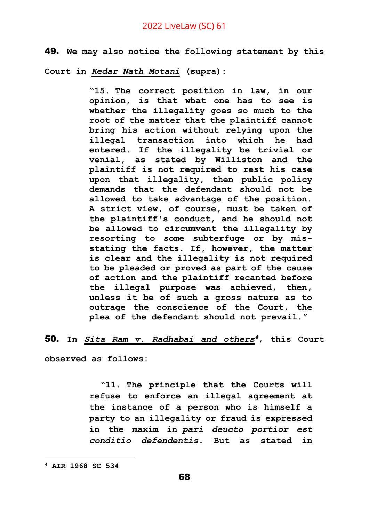49. **We may also notice the following statement by this** 

**Court in** *Kedar Nath Motani* **(supra):**

**"15. The correct position in law, in our opinion, is that what one has to see is whether the illegality goes so much to the root of the matter that the plaintiff cannot bring his action without relying upon the illegal transaction into which he had entered. If the illegality be trivial or venial, as stated by Williston and the plaintiff is not required to rest his case upon that illegality, then public policy demands that the defendant should not be allowed to take advantage of the position. A strict view, of course, must be taken of the plaintiff's conduct, and he should not be allowed to circumvent the illegality by resorting to some subterfuge or by misstating the facts. If, however, the matter is clear and the illegality is not required to be pleaded or proved as part of the cause of action and the plaintiff recanted before the illegal purpose was achieved, then, unless it be of such a gross nature as to outrage the conscience of the Court, the plea of the defendant should not prevail."**

50. **In** *Sita Ram v. Radhabai and others<sup>4</sup>***, this Court** 

**observed as follows:**

**"11. The principle that the Courts will refuse to enforce an illegal agreement at the instance of a person who is himself a party to an illegality or fraud is expressed in the maxim in** *pari deucto portior est conditio defendentis***. But as stated in** 

**<sup>4</sup> AIR 1968 SC 534**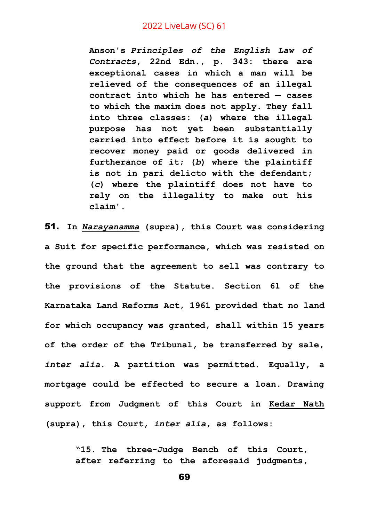**Anson's** *Principles of the English Law of Contracts***, 22nd Edn., p. 343: there are exceptional cases in which a man will be relieved of the consequences of an illegal contract into which he has entered — cases to which the maxim does not apply. They fall into three classes: (***a***) where the illegal purpose has not yet been substantially carried into effect before it is sought to recover money paid or goods delivered in furtherance of it; (***b***) where the plaintiff is not in pari delicto with the defendant; (***c***) where the plaintiff does not have to rely on the illegality to make out his claim'.**

51. **In** *Narayanamma* **(supra), this Court was considering a Suit for specific performance, which was resisted on the ground that the agreement to sell was contrary to the provisions of the Statute. Section 61 of the Karnataka Land Reforms Act, 1961 provided that no land for which occupancy was granted, shall within 15 years of the order of the Tribunal, be transferred by sale,**  *inter alia***. A partition was permitted. Equally, a mortgage could be effected to secure a loan. Drawing support from Judgment of this Court in Kedar Nath (supra), this Court,** *inter alia***, as follows:**

> **"15. The three-Judge Bench of this Court, after referring to the aforesaid judgments,**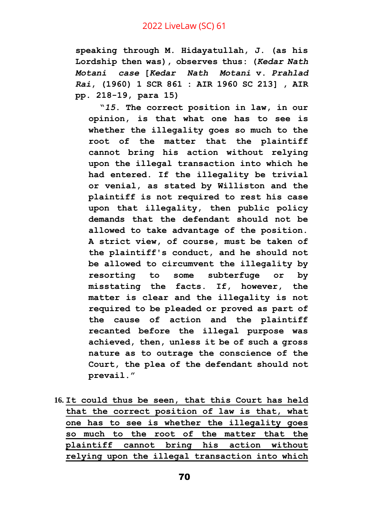**speaking through M. Hidayatullah, J. (as his Lordship then was), observes thus: (***Kedar Nath Motani case* **[***Kedar Nath Motani* **v.** *Prahlad Rai***, (1960) 1 SCR 861 : AIR 1960 SC 213] , AIR pp. 218-19, para 15)**

**"***15***. The correct position in law, in our opinion, is that what one has to see is whether the illegality goes so much to the root of the matter that the plaintiff cannot bring his action without relying upon the illegal transaction into which he had entered. If the illegality be trivial or venial, as stated by Williston and the plaintiff is not required to rest his case upon that illegality, then public policy demands that the defendant should not be allowed to take advantage of the position. A strict view, of course, must be taken of the plaintiff's conduct, and he should not be allowed to circumvent the illegality by resorting to some subterfuge or by misstating the facts. If, however, the matter is clear and the illegality is not required to be pleaded or proved as part of the cause of action and the plaintiff recanted before the illegal purpose was achieved, then, unless it be of such a gross nature as to outrage the conscience of the Court, the plea of the defendant should not prevail."**

**16. It could thus be seen, that this Court has held that the correct position of law is that, what one has to see is whether the illegality goes so much to the root of the matter that the plaintiff cannot bring his action without relying upon the illegal transaction into which**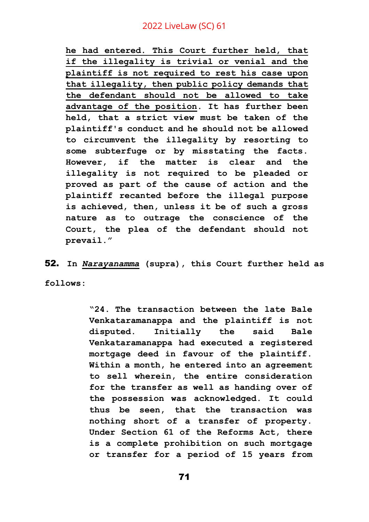**he had entered. This Court further held, that if the illegality is trivial or venial and the plaintiff is not required to rest his case upon that illegality, then public policy demands that the defendant should not be allowed to take advantage of the position. It has further been held, that a strict view must be taken of the plaintiff's conduct and he should not be allowed to circumvent the illegality by resorting to some subterfuge or by misstating the facts. However, if the matter is clear and the illegality is not required to be pleaded or proved as part of the cause of action and the plaintiff recanted before the illegal purpose is achieved, then, unless it be of such a gross nature as to outrage the conscience of the Court, the plea of the defendant should not prevail."**

52. **In** *Narayanamma* **(supra), this Court further held as** 

**follows:**

**"24. The transaction between the late Bale Venkataramanappa and the plaintiff is not disputed. Initially the said Bale Venkataramanappa had executed a registered mortgage deed in favour of the plaintiff. Within a month, he entered into an agreement to sell wherein, the entire consideration for the transfer as well as handing over of the possession was acknowledged. It could thus be seen, that the transaction was nothing short of a transfer of property. Under Section 61 of the Reforms Act, there is a complete prohibition on such mortgage or transfer for a period of 15 years from**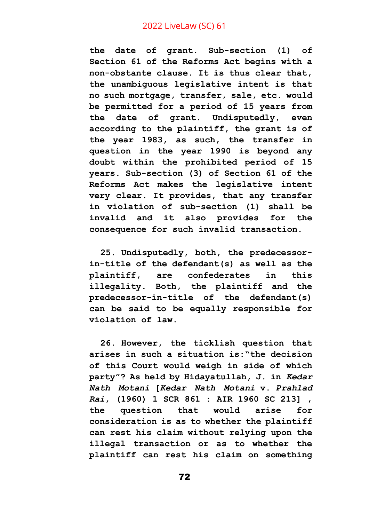**the date of grant. Sub-section (1) of Section 61 of the Reforms Act begins with a non-obstante clause. It is thus clear that, the unambiguous legislative intent is that no such mortgage, transfer, sale, etc. would be permitted for a period of 15 years from the date of grant. Undisputedly, even according to the plaintiff, the grant is of the year 1983, as such, the transfer in question in the year 1990 is beyond any doubt within the prohibited period of 15 years. Sub-section (3) of Section 61 of the Reforms Act makes the legislative intent very clear. It provides, that any transfer in violation of sub-section (1) shall be invalid and it also provides for the consequence for such invalid transaction.**

**25. Undisputedly, both, the predecessorin-title of the defendant(s) as well as the plaintiff, are confederates in this illegality. Both, the plaintiff and the predecessor-in-title of the defendant(s) can be said to be equally responsible for violation of law.**

**26. However, the ticklish question that arises in such a situation is:"the decision of this Court would weigh in side of which party"? As held by Hidayatullah, J. in** *Kedar Nath Motani* **[***Kedar Nath Motani* **v.** *Prahlad Rai***, (1960) 1 SCR 861 : AIR 1960 SC 213] , the question that would arise for consideration is as to whether the plaintiff can rest his claim without relying upon the illegal transaction or as to whether the plaintiff can rest his claim on something**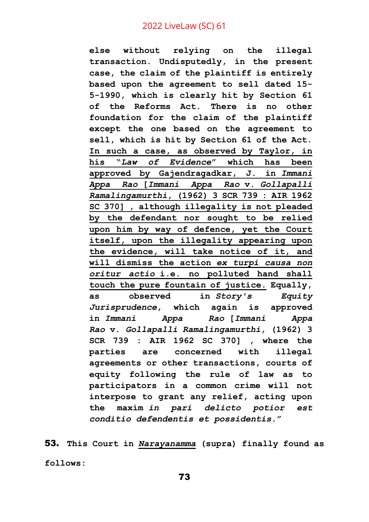**else without relying on the illegal transaction. Undisputedly, in the present case, the claim of the plaintiff is entirely based upon the agreement to sell dated 15- 5-1990, which is clearly hit by Section 61 of the Reforms Act. There is no other foundation for the claim of the plaintiff except the one based on the agreement to sell, which is hit by Section 61 of the Act. In such a case, as observed by Taylor, in his "***Law of Evidence***" which has been approved by Gajendragadkar, J. in** *Immani Appa Rao* **[***Immani Appa Rao* **v.** *Gollapalli Ramalingamurthi***, (1962) 3 SCR 739 : AIR 1962 SC 370] , although illegality is not pleaded by the defendant nor sought to be relied upon him by way of defence, yet the Court itself, upon the illegality appearing upon the evidence, will take notice of it, and will dismiss the action** *ex turpi causa non oritur actio* **i.e. no polluted hand shall touch the pure fountain of justice. Equally, as observed in** *Story's Equity Jurisprudence***, which again is approved in** *Immani Appa Rao* **[***Immani Appa Rao* **v.** *Gollapalli Ramalingamurthi***, (1962) 3 SCR 739 : AIR 1962 SC 370] , where the parties are concerned with illegal agreements or other transactions, courts of equity following the rule of law as to participators in a common crime will not interpose to grant any relief, acting upon the maxim** *in pari delicto potior est conditio defendentis et possidentis***."**

53. **This Court in** *Narayanamma* **(supra) finally found as follows:**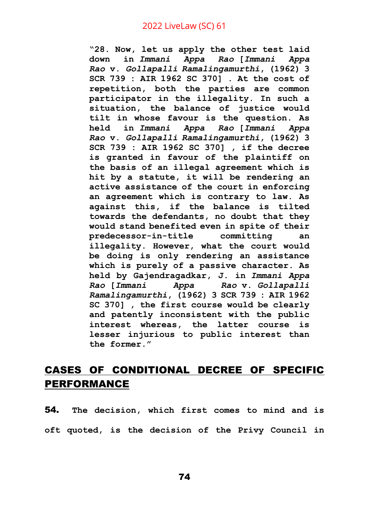**"28. Now, let us apply the other test laid down in** *Immani Appa Rao* **[***Immani Appa Rao* **v.** *Gollapalli Ramalingamurthi***, (1962) 3 SCR 739 : AIR 1962 SC 370] . At the cost of repetition, both the parties are common participator in the illegality. In such a situation, the balance of justice would tilt in whose favour is the question. As held in** *Immani Appa Rao* **[***Immani Appa Rao* **v.** *Gollapalli Ramalingamurthi***, (1962) 3 SCR 739 : AIR 1962 SC 370] , if the decree is granted in favour of the plaintiff on the basis of an illegal agreement which is hit by a statute, it will be rendering an active assistance of the court in enforcing an agreement which is contrary to law. As against this, if the balance is tilted towards the defendants, no doubt that they would stand benefited even in spite of their predecessor-in-title committing an illegality. However, what the court would be doing is only rendering an assistance which is purely of a passive character. As held by Gajendragadkar, J. in** *Immani Appa Rao* **[***Immani Appa Rao* **v.** *Gollapalli Ramalingamurthi***, (1962) 3 SCR 739 : AIR 1962 SC 370] , the first course would be clearly and patently inconsistent with the public interest whereas, the latter course is lesser injurious to public interest than the former."**

## CASES OF CONDITIONAL DECREE OF SPECIFIC PERFORMANCE

54. **The decision, which first comes to mind and is oft quoted, is the decision of the Privy Council in**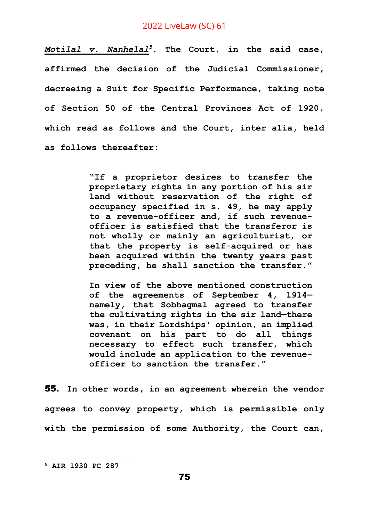*Motilal v. Nanhelal<sup>5</sup>***. The Court, in the said case, affirmed the decision of the Judicial Commissioner, decreeing a Suit for Specific Performance, taking note of Section 50 of the Central Provinces Act of 1920, which read as follows and the Court, inter alia, held as follows thereafter:**

> **"If a proprietor desires to transfer the proprietary rights in any portion of his sir land without reservation of the right of occupancy specified in s. 49, he may apply to a revenue-officer and, if such revenueofficer is satisfied that the transferor is not wholly or mainly an agriculturist, or that the property is self-acquired or has been acquired within the twenty years past preceding, he shall sanction the transfer."**

> **In view of the above mentioned construction of the agreements of September 4, 1914 namely, that Sobhagmal agreed to transfer the cultivating rights in the sir land—there was, in their Lordships' opinion, an implied covenant on his part to do all things necessary to effect such transfer, which would include an application to the revenueofficer to sanction the transfer."**

55. **In other words, in an agreement wherein the vendor agrees to convey property, which is permissible only with the permission of some Authority, the Court can,** 

**<sup>5</sup> AIR 1930 PC 287**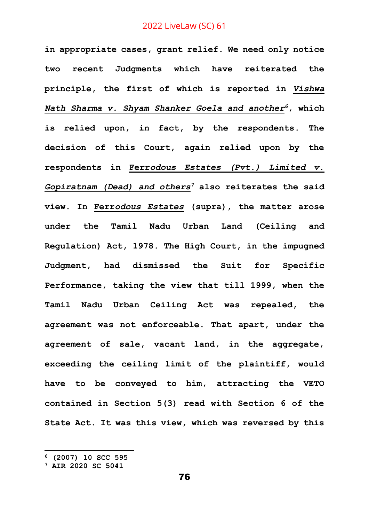**in appropriate cases, grant relief. We need only notice two recent Judgments which have reiterated the principle, the first of which is reported in** *Vishwa Nath Sharma v. Shyam Shanker Goela and another<sup>6</sup>***, which is relied upon, in fact, by the respondents. The decision of this Court, again relied upon by the respondents in Ferr***odous Estates (Pvt.) Limited v. Gopiratnam (Dead) and others<sup>7</sup>* **also reiterates the said view. In Ferr***odous Estates* **(supra), the matter arose under the Tamil Nadu Urban Land (Ceiling and Regulation) Act, 1978. The High Court, in the impugned Judgment, had dismissed the Suit for Specific Performance, taking the view that till 1999, when the Tamil Nadu Urban Ceiling Act was repealed, the agreement was not enforceable. That apart, under the agreement of sale, vacant land, in the aggregate, exceeding the ceiling limit of the plaintiff, would have to be conveyed to him, attracting the VETO contained in Section 5(3) read with Section 6 of the State Act. It was this view, which was reversed by this** 

**<sup>6</sup> (2007) 10 SCC 595**

**<sup>7</sup> AIR 2020 SC 5041**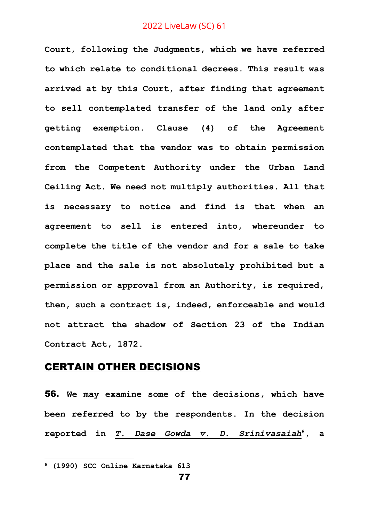**Court, following the Judgments, which we have referred to which relate to conditional decrees. This result was arrived at by this Court, after finding that agreement to sell contemplated transfer of the land only after getting exemption. Clause (4) of the Agreement contemplated that the vendor was to obtain permission from the Competent Authority under the Urban Land Ceiling Act. We need not multiply authorities. All that is necessary to notice and find is that when an agreement to sell is entered into, whereunder to complete the title of the vendor and for a sale to take place and the sale is not absolutely prohibited but a permission or approval from an Authority, is required, then, such a contract is, indeed, enforceable and would not attract the shadow of Section 23 of the Indian Contract Act, 1872.** 

## CERTAIN OTHER DECISIONS

56. **We may examine some of the decisions, which have been referred to by the respondents. In the decision reported in** *T. Dase Gowda v. D. Srinivasaiah***<sup>8</sup>, a** 

**<sup>8</sup> (1990) SCC Online Karnataka 613**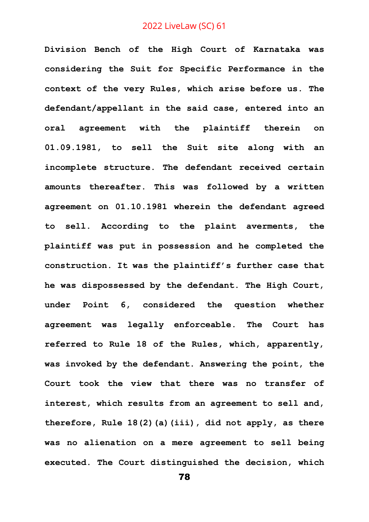**Division Bench of the High Court of Karnataka was considering the Suit for Specific Performance in the context of the very Rules, which arise before us. The defendant/appellant in the said case, entered into an oral agreement with the plaintiff therein on 01.09.1981, to sell the Suit site along with an incomplete structure. The defendant received certain amounts thereafter. This was followed by a written agreement on 01.10.1981 wherein the defendant agreed to sell. According to the plaint averments, the plaintiff was put in possession and he completed the construction. It was the plaintiff's further case that he was dispossessed by the defendant. The High Court, under Point 6, considered the question whether agreement was legally enforceable. The Court has referred to Rule 18 of the Rules, which, apparently, was invoked by the defendant. Answering the point, the Court took the view that there was no transfer of interest, which results from an agreement to sell and, therefore, Rule 18(2)(a)(iii), did not apply, as there was no alienation on a mere agreement to sell being executed. The Court distinguished the decision, which**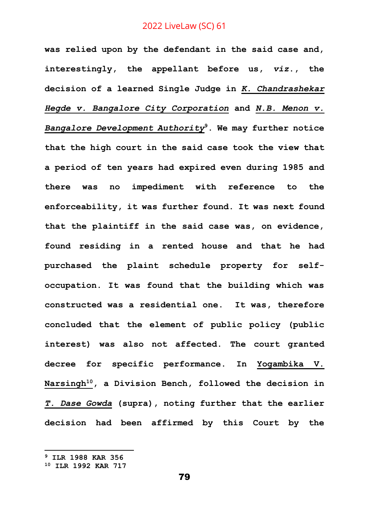**was relied upon by the defendant in the said case and, interestingly, the appellant before us,** *viz***., the decision of a learned Single Judge in** *K. Chandrashekar Hegde v. Bangalore City Corporation* **and** *N.B. Menon v. Bangalore Development Authority***<sup>9</sup>. We may further notice that the high court in the said case took the view that a period of ten years had expired even during 1985 and there was no impediment with reference to the enforceability, it was further found. It was next found that the plaintiff in the said case was, on evidence, found residing in a rented house and that he had purchased the plaint schedule property for selfoccupation. It was found that the building which was constructed was a residential one. It was, therefore concluded that the element of public policy (public interest) was also not affected. The court granted decree for specific performance. In Yogambika V. Narsingh<sup>10</sup>, a Division Bench, followed the decision in**  *T. Dase Gowda* **(supra), noting further that the earlier decision had been affirmed by this Court by the** 

**<sup>9</sup> ILR 1988 KAR 356**

**<sup>10</sup> ILR 1992 KAR 717**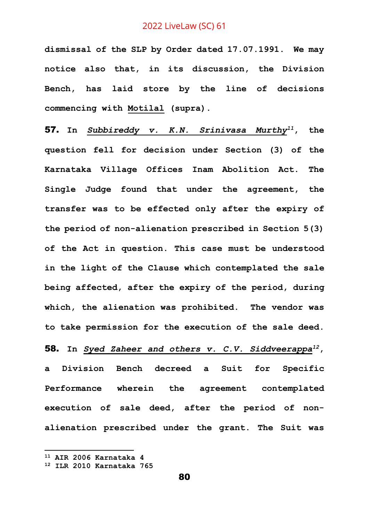**dismissal of the SLP by Order dated 17.07.1991. We may notice also that, in its discussion, the Division Bench, has laid store by the line of decisions commencing with Motilal (supra).**

57. **In** *Subbireddy v. K.N. Srinivasa Murthy<sup>11</sup>***, the question fell for decision under Section (3) of the Karnataka Village Offices Inam Abolition Act. The Single Judge found that under the agreement, the transfer was to be effected only after the expiry of the period of non-alienation prescribed in Section 5(3) of the Act in question. This case must be understood in the light of the Clause which contemplated the sale being affected, after the expiry of the period, during which, the alienation was prohibited. The vendor was to take permission for the execution of the sale deed.**

58. **In** *Syed Zaheer and others v. C.V. Siddveerappa<sup>12</sup>***, a Division Bench decreed a Suit for Specific Performance wherein the agreement contemplated execution of sale deed, after the period of nonalienation prescribed under the grant. The Suit was** 

**<sup>11</sup> AIR 2006 Karnataka 4**

**<sup>12</sup> ILR 2010 Karnataka 765**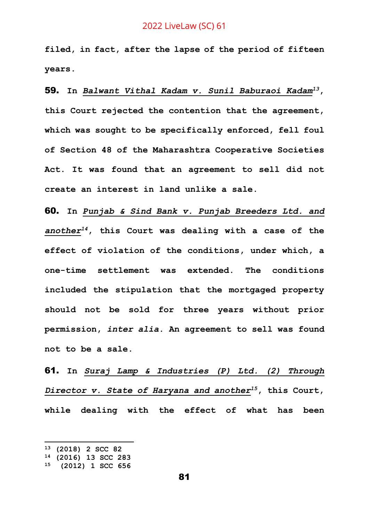**filed, in fact, after the lapse of the period of fifteen years.** 

59. **In** *Balwant Vithal Kadam v. Sunil Baburaoi Kadam<sup>13</sup>***, this Court rejected the contention that the agreement, which was sought to be specifically enforced, fell foul of Section 48 of the Maharashtra Cooperative Societies Act. It was found that an agreement to sell did not create an interest in land unlike a sale.** 

60. **In** *Punjab & Sind Bank v. Punjab Breeders Ltd. and another<sup>14</sup>***, this Court was dealing with a case of the effect of violation of the conditions, under which, a one-time settlement was extended. The conditions included the stipulation that the mortgaged property should not be sold for three years without prior permission,** *inter alia***. An agreement to sell was found not to be a sale.**

61. **In** *Suraj Lamp & Industries (P) Ltd. (2) Through Director v. State of Haryana and another<sup>15</sup>***, this Court, while dealing with the effect of what has been** 

**<sup>13</sup> (2018) 2 SCC 82**

**<sup>14</sup> (2016) 13 SCC 283**

**<sup>15</sup> (2012) 1 SCC 656**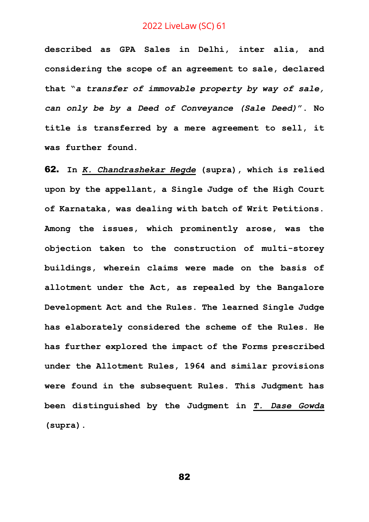**described as GPA Sales in Delhi, inter alia, and considering the scope of an agreement to sale, declared that "***a transfer of immovable property by way of sale, can only be by a Deed of Conveyance (Sale Deed)***". No title is transferred by a mere agreement to sell, it was further found.** 

62. **In** *K. Chandrashekar Hegde* **(supra), which is relied upon by the appellant, a Single Judge of the High Court of Karnataka, was dealing with batch of Writ Petitions. Among the issues, which prominently arose, was the objection taken to the construction of multi-storey buildings, wherein claims were made on the basis of allotment under the Act, as repealed by the Bangalore Development Act and the Rules. The learned Single Judge has elaborately considered the scheme of the Rules. He has further explored the impact of the Forms prescribed under the Allotment Rules, 1964 and similar provisions were found in the subsequent Rules. This Judgment has been distinguished by the Judgment in** *T. Dase Gowda* **(supra).**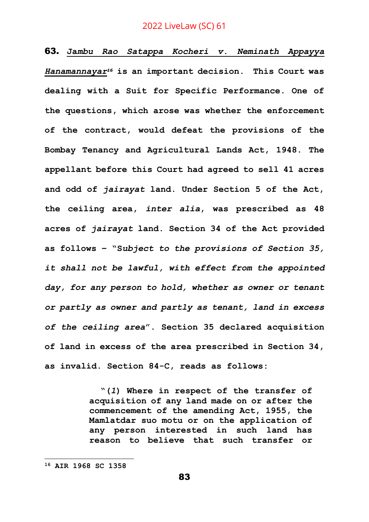63. **Ja***mbu Rao Satappa Kocheri v. Neminath Appayya Hanamannayar<sup>16</sup>* **is an important decision. This Court was dealing with a Suit for Specific Performance. One of the questions, which arose was whether the enforcement of the contract, would defeat the provisions of the Bombay Tenancy and Agricultural Lands Act, 1948. The appellant before this Court had agreed to sell 41 acres and odd of** *jairayat* **land. Under Section 5 of the Act, the ceiling area,** *inter alia***, was prescribed as 48 acres of** *jairayat* **land. Section 34 of the Act provided as follows – "S***ubject to the provisions of Section 35, it shall not be lawful, with effect from the appointed day, for any person to hold, whether as owner or tenant or partly as owner and partly as tenant, land in excess of the ceiling area***". Section 35 declared acquisition of land in excess of the area prescribed in Section 34, as invalid. Section 84-C, reads as follows:**

> **"(***1***) Where in respect of the transfer of acquisition of any land made on or after the commencement of the amending Act, 1955, the Mamlatdar suo motu or on the application of any person interested in such land has reason to believe that such transfer or**

**<sup>16</sup> AIR 1968 SC 1358**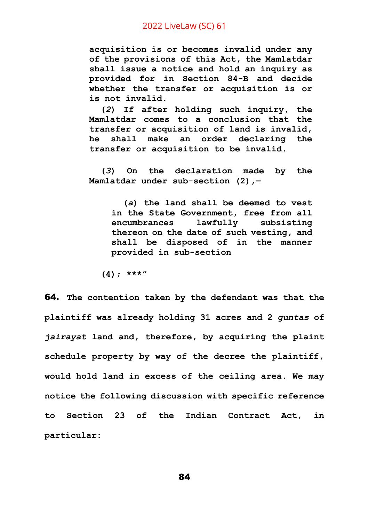**acquisition is or becomes invalid under any of the provisions of this Act, the Mamlatdar shall issue a notice and hold an inquiry as provided for in Section 84-B and decide whether the transfer or acquisition is or is not invalid.**

**(***2***) If after holding such inquiry, the Mamlatdar comes to a conclusion that the transfer or acquisition of land is invalid, he shall make an order declaring the transfer or acquisition to be invalid.**

**(***3***) On the declaration made by the Mamlatdar under sub-section (2),—**

**(***a***) the land shall be deemed to vest in the State Government, free from all encumbrances lawfully subsisting thereon on the date of such vesting, and shall be disposed of in the manner provided in sub-section**

**(4); \*\*\*"**

64. **The contention taken by the defendant was that the plaintiff was already holding 31 acres and 2** *guntas* **of**  *jairayat* **land and, therefore, by acquiring the plaint schedule property by way of the decree the plaintiff, would hold land in excess of the ceiling area. We may notice the following discussion with specific reference to Section 23 of the Indian Contract Act, in particular:**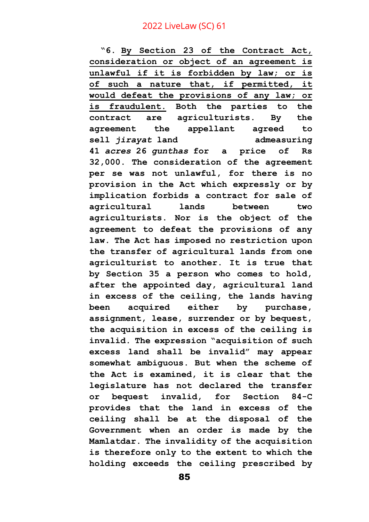**"6. By Section 23 of the Contract Act, consideration or object of an agreement is unlawful if it is forbidden by law; or is of such a nature that, if permitted, it would defeat the provisions of any law; or is fraudulent. Both the parties to the contract are agriculturists. By the agreement the appellant agreed to sell** *jirayat* **land admeasuring 41** *acres* **26** *gunthas* **for a price of Rs 32,000. The consideration of the agreement per se was not unlawful, for there is no provision in the Act which expressly or by implication forbids a contract for sale of agricultural lands between two agriculturists. Nor is the object of the agreement to defeat the provisions of any law. The Act has imposed no restriction upon the transfer of agricultural lands from one agriculturist to another. It is true that by Section 35 a person who comes to hold, after the appointed day, agricultural land in excess of the ceiling, the lands having been acquired either by purchase, assignment, lease, surrender or by bequest, the acquisition in excess of the ceiling is invalid. The expression "acquisition of such excess land shall be invalid" may appear somewhat ambiguous. But when the scheme of the Act is examined, it is clear that the legislature has not declared the transfer or bequest invalid, for Section 84-C provides that the land in excess of the ceiling shall be at the disposal of the Government when an order is made by the Mamlatdar. The invalidity of the acquisition is therefore only to the extent to which the holding exceeds the ceiling prescribed by**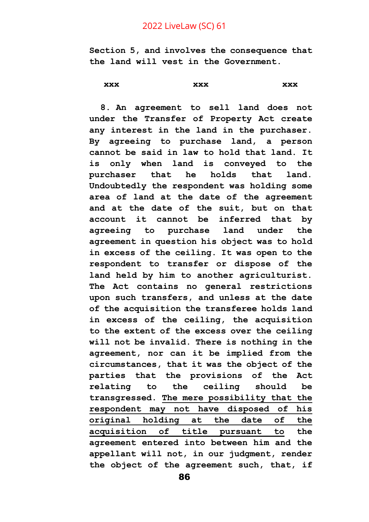**Section 5, and involves the consequence that the land will vest in the Government.**

**xxx xxx xxx**

**8. An agreement to sell land does not under the Transfer of Property Act create any interest in the land in the purchaser. By agreeing to purchase land, a person cannot be said in law to hold that land. It is only when land is conveyed to the purchaser that he holds that land. Undoubtedly the respondent was holding some area of land at the date of the agreement and at the date of the suit, but on that account it cannot be inferred that by agreeing to purchase land under the agreement in question his object was to hold in excess of the ceiling. It was open to the respondent to transfer or dispose of the land held by him to another agriculturist. The Act contains no general restrictions upon such transfers, and unless at the date of the acquisition the transferee holds land in excess of the ceiling, the acquisition to the extent of the excess over the ceiling will not be invalid. There is nothing in the agreement, nor can it be implied from the circumstances, that it was the object of the parties that the provisions of the Act relating to the ceiling should be transgressed. The mere possibility that the respondent may not have disposed of his original holding at the date of the acquisition of title pursuant to the agreement entered into between him and the appellant will not, in our judgment, render the object of the agreement such, that, if**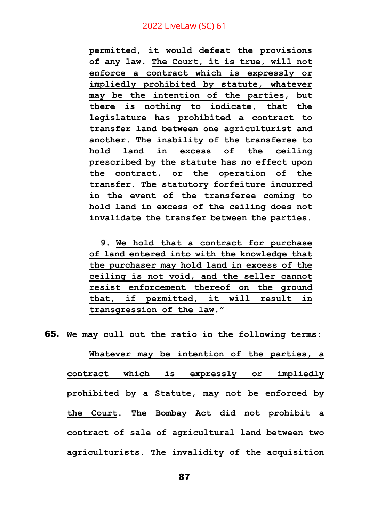**permitted, it would defeat the provisions of any law. The Court, it is true, will not enforce a contract which is expressly or impliedly prohibited by statute, whatever may be the intention of the parties, but there is nothing to indicate, that the legislature has prohibited a contract to transfer land between one agriculturist and another. The inability of the transferee to hold land in excess of the ceiling prescribed by the statute has no effect upon the contract, or the operation of the transfer. The statutory forfeiture incurred in the event of the transferee coming to hold land in excess of the ceiling does not invalidate the transfer between the parties.**

**9. We hold that a contract for purchase of land entered into with the knowledge that the purchaser may hold land in excess of the ceiling is not void, and the seller cannot resist enforcement thereof on the ground that, if permitted, it will result in transgression of the law."**

65. **We may cull out the ratio in the following terms:**

**Whatever may be intention of the parties, a contract which is expressly or impliedly prohibited by a Statute, may not be enforced by the Court. The Bombay Act did not prohibit a contract of sale of agricultural land between two agriculturists. The invalidity of the acquisition**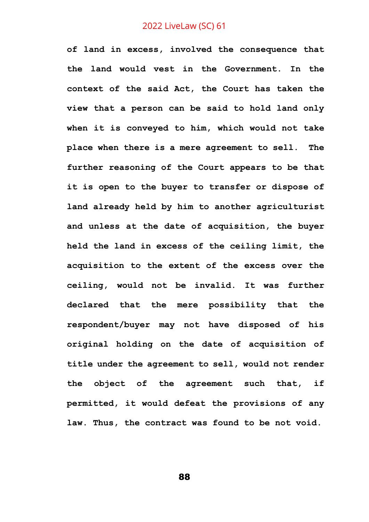**of land in excess, involved the consequence that the land would vest in the Government. In the context of the said Act, the Court has taken the view that a person can be said to hold land only when it is conveyed to him, which would not take place when there is a mere agreement to sell. The further reasoning of the Court appears to be that it is open to the buyer to transfer or dispose of land already held by him to another agriculturist and unless at the date of acquisition, the buyer held the land in excess of the ceiling limit, the acquisition to the extent of the excess over the ceiling, would not be invalid. It was further declared that the mere possibility that the respondent/buyer may not have disposed of his original holding on the date of acquisition of title under the agreement to sell, would not render the object of the agreement such that, if permitted, it would defeat the provisions of any law. Thus, the contract was found to be not void.**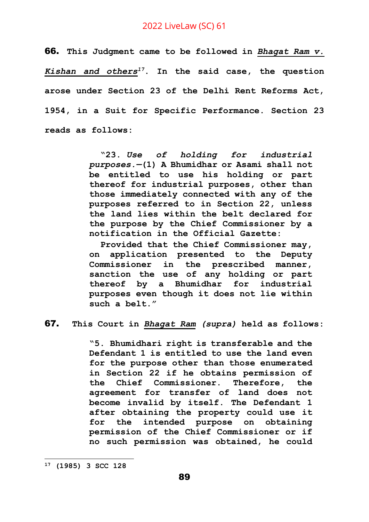66. **This Judgment came to be followed in** *Bhagat Ram v. Kishan and others<sup>17</sup>***. In the said case, the question arose under Section 23 of the Delhi Rent Reforms Act, 1954, in a Suit for Specific Performance. Section 23 reads as follows:**

> **"23.** *Use of holding for industrial purposes.—***(1) A Bhumidhar or Asami shall not be entitled to use his holding or part thereof for industrial purposes, other than those immediately connected with any of the purposes referred to in Section 22, unless the land lies within the belt declared for the purpose by the Chief Commissioner by a notification in the Official Gazette:**

> **Provided that the Chief Commissioner may, on application presented to the Deputy Commissioner in the prescribed manner, sanction the use of any holding or part thereof by a Bhumidhar for industrial purposes even though it does not lie within such a belt."**

67. **This Court in** *Bhagat Ram (supra)* **held as follows:**

**"5. Bhumidhari right is transferable and the Defendant 1 is entitled to use the land even for the purpose other than those enumerated in Section 22 if he obtains permission of the Chief Commissioner. Therefore, the agreement for transfer of land does not become invalid by itself. The Defendant 1 after obtaining the property could use it for the intended purpose on obtaining permission of the Chief Commissioner or if no such permission was obtained, he could** 

**<sup>17</sup> (1985) 3 SCC 128**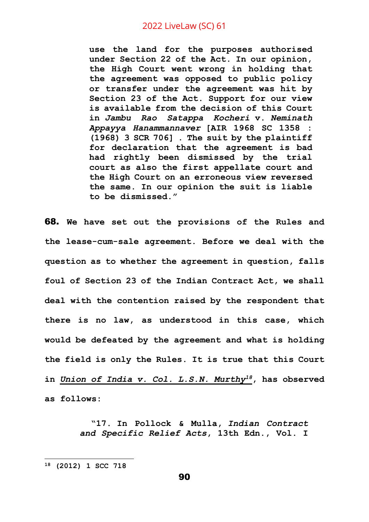**use the land for the purposes authorised under Section 22 of the Act. In our opinion, the High Court went wrong in holding that the agreement was opposed to public policy or transfer under the agreement was hit by Section 23 of the Act. Support for our view is available from the decision of this Court in** *Jambu Rao Satappa Kocheri* **v.** *Neminath Appayya Hanammannaver* **[AIR 1968 SC 1358 : (1968) 3 SCR 706] . The suit by the plaintiff for declaration that the agreement is bad had rightly been dismissed by the trial court as also the first appellate court and the High Court on an erroneous view reversed the same. In our opinion the suit is liable to be dismissed."**

68. **We have set out the provisions of the Rules and the lease-cum-sale agreement. Before we deal with the question as to whether the agreement in question, falls foul of Section 23 of the Indian Contract Act, we shall deal with the contention raised by the respondent that there is no law, as understood in this case, which would be defeated by the agreement and what is holding the field is only the Rules. It is true that this Court in** *Union of India v. Col. L.S.N. Murthy<sup>18</sup>***, has observed as follows:** 

> **"17. In Pollock & Mulla,** *Indian Contract and Specific Relief Acts***, 13th Edn., Vol. I**

**<sup>18</sup> (2012) 1 SCC 718**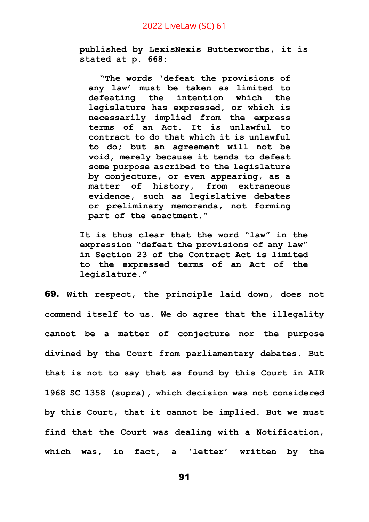**published by LexisNexis Butterworths, it is stated at p. 668:**

**"The words 'defeat the provisions of any law' must be taken as limited to defeating the intention which the legislature has expressed, or which is necessarily implied from the express terms of an Act. It is unlawful to contract to do that which it is unlawful to do; but an agreement will not be void, merely because it tends to defeat some purpose ascribed to the legislature by conjecture, or even appearing, as a matter of history, from extraneous evidence, such as legislative debates or preliminary memoranda, not forming part of the enactment."**

**It is thus clear that the word "law" in the expression "defeat the provisions of any law" in Section 23 of the Contract Act is limited to the expressed terms of an Act of the legislature."**

69. **With respect, the principle laid down, does not commend itself to us. We do agree that the illegality cannot be a matter of conjecture nor the purpose divined by the Court from parliamentary debates. But that is not to say that as found by this Court in AIR 1968 SC 1358 (supra), which decision was not considered by this Court, that it cannot be implied. But we must find that the Court was dealing with a Notification, which was, in fact, a 'letter' written by the**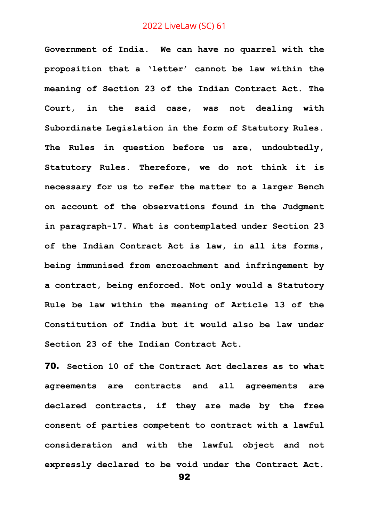**Government of India. We can have no quarrel with the proposition that a 'letter' cannot be law within the meaning of Section 23 of the Indian Contract Act. The Court, in the said case, was not dealing with Subordinate Legislation in the form of Statutory Rules. The Rules in question before us are, undoubtedly, Statutory Rules. Therefore, we do not think it is necessary for us to refer the matter to a larger Bench on account of the observations found in the Judgment in paragraph-17. What is contemplated under Section 23 of the Indian Contract Act is law, in all its forms, being immunised from encroachment and infringement by a contract, being enforced. Not only would a Statutory Rule be law within the meaning of Article 13 of the Constitution of India but it would also be law under Section 23 of the Indian Contract Act.**

70. **Section 10 of the Contract Act declares as to what agreements are contracts and all agreements are declared contracts, if they are made by the free consent of parties competent to contract with a lawful consideration and with the lawful object and not expressly declared to be void under the Contract Act.** 

```
92
```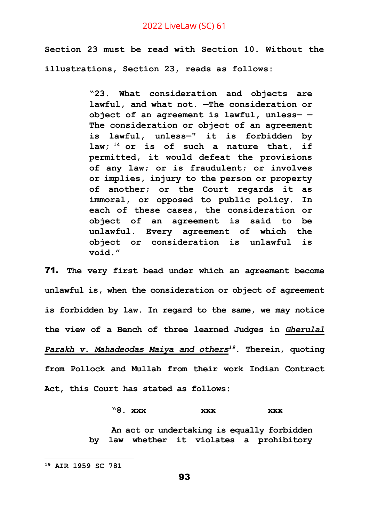**Section 23 must be read with Section 10. Without the illustrations, Section 23, reads as follows:** 

> **"23. What consideration and objects are lawful, and what not. —The consideration or object of an agreement is lawful, unless— — The consideration or object of an agreement is lawful, unless—" it is forbidden by law; <sup>14</sup> or is of such a nature that, if permitted, it would defeat the provisions of any law; or is fraudulent; or involves or implies, injury to the person or property of another; or the Court regards it as immoral, or opposed to public policy. In each of these cases, the consideration or object of an agreement is said to be unlawful. Every agreement of which the object or consideration is unlawful is void."**

71. **The very first head under which an agreement become unlawful is, when the consideration or object of agreement is forbidden by law. In regard to the same, we may notice the view of a Bench of three learned Judges in** *Gherulal Parakh v. Mahadeodas Maiya and others<sup>19</sup>***. Therein, quoting from Pollock and Mullah from their work Indian Contract Act, this Court has stated as follows:**

#### **"8. xxx xxx xxx**

**An act or undertaking is equally forbidden by law whether it violates a prohibitory** 

**<sup>19</sup> AIR 1959 SC 781**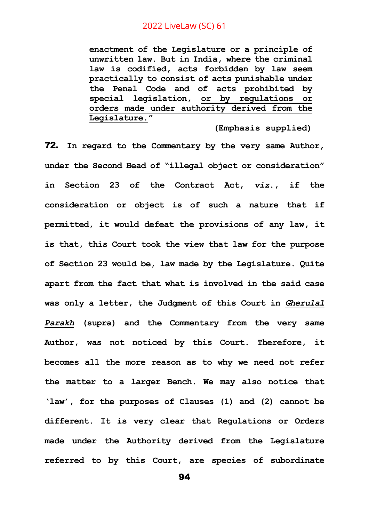**enactment of the Legislature or a principle of unwritten law. But in India, where the criminal law is codified, acts forbidden by law seem practically to consist of acts punishable under the Penal Code and of acts prohibited by special legislation, or by regulations or orders made under authority derived from the Legislature."**

**(Emphasis supplied)**

72. **In regard to the Commentary by the very same Author, under the Second Head of "illegal object or consideration" in Section 23 of the Contract Act,** *viz***., if the consideration or object is of such a nature that if permitted, it would defeat the provisions of any law, it is that, this Court took the view that law for the purpose of Section 23 would be, law made by the Legislature. Quite apart from the fact that what is involved in the said case was only a letter, the Judgment of this Court in** *Gherulal Parakh* **(supra) and the Commentary from the very same Author, was not noticed by this Court. Therefore, it becomes all the more reason as to why we need not refer the matter to a larger Bench. We may also notice that 'law', for the purposes of Clauses (1) and (2) cannot be different. It is very clear that Regulations or Orders made under the Authority derived from the Legislature referred to by this Court, are species of subordinate**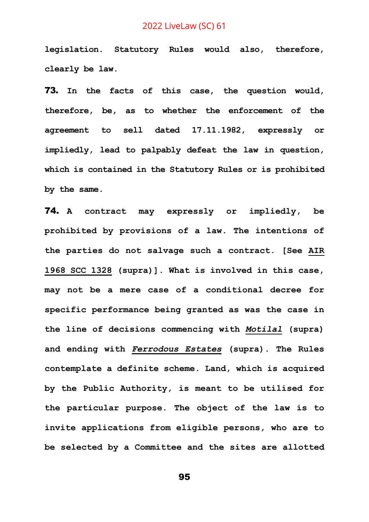**legislation. Statutory Rules would also, therefore, clearly be law.**

73. **In the facts of this case, the question would, therefore, be, as to whether the enforcement of the agreement to sell dated 17.11.1982, expressly or impliedly, lead to palpably defeat the law in question, which is contained in the Statutory Rules or is prohibited by the same.**

74. **A contract may expressly or impliedly, be prohibited by provisions of a law. The intentions of the parties do not salvage such a contract. [See AIR 1968 SCC 1328 (supra)]. What is involved in this case, may not be a mere case of a conditional decree for specific performance being granted as was the case in the line of decisions commencing with** *Motilal* **(supra) and ending with** *Ferrodous Estates* **(supra). The Rules contemplate a definite scheme. Land, which is acquired by the Public Authority, is meant to be utilised for the particular purpose. The object of the law is to invite applications from eligible persons, who are to be selected by a Committee and the sites are allotted**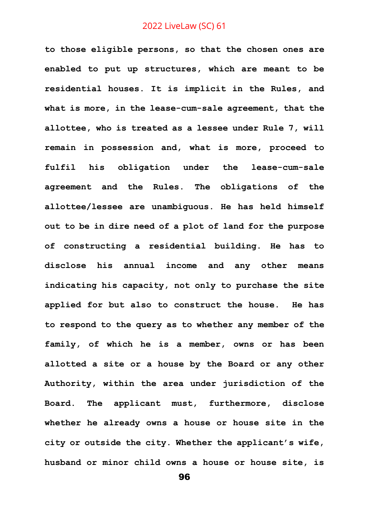**to those eligible persons, so that the chosen ones are enabled to put up structures, which are meant to be residential houses. It is implicit in the Rules, and what is more, in the lease-cum-sale agreement, that the allottee, who is treated as a lessee under Rule 7, will remain in possession and, what is more, proceed to fulfil his obligation under the lease-cum-sale agreement and the Rules. The obligations of the allottee/lessee are unambiguous. He has held himself out to be in dire need of a plot of land for the purpose of constructing a residential building. He has to disclose his annual income and any other means indicating his capacity, not only to purchase the site applied for but also to construct the house. He has to respond to the query as to whether any member of the family, of which he is a member, owns or has been allotted a site or a house by the Board or any other Authority, within the area under jurisdiction of the Board. The applicant must, furthermore, disclose whether he already owns a house or house site in the city or outside the city. Whether the applicant's wife, husband or minor child owns a house or house site, is**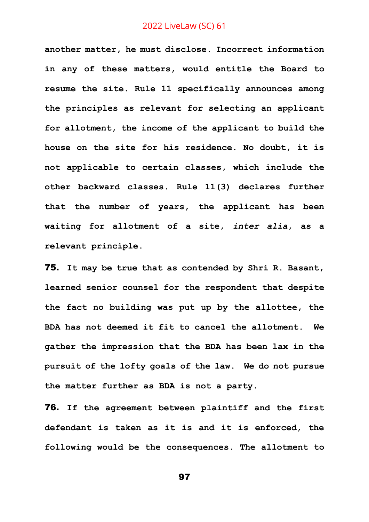**another matter, he must disclose. Incorrect information in any of these matters, would entitle the Board to resume the site. Rule 11 specifically announces among the principles as relevant for selecting an applicant for allotment, the income of the applicant to build the house on the site for his residence. No doubt, it is not applicable to certain classes, which include the other backward classes. Rule 11(3) declares further that the number of years, the applicant has been waiting for allotment of a site,** *inter alia***, as a relevant principle.** 

75. **It may be true that as contended by Shri R. Basant, learned senior counsel for the respondent that despite the fact no building was put up by the allottee, the BDA has not deemed it fit to cancel the allotment. We gather the impression that the BDA has been lax in the pursuit of the lofty goals of the law. We do not pursue the matter further as BDA is not a party.**

76. **If the agreement between plaintiff and the first defendant is taken as it is and it is enforced, the following would be the consequences. The allotment to**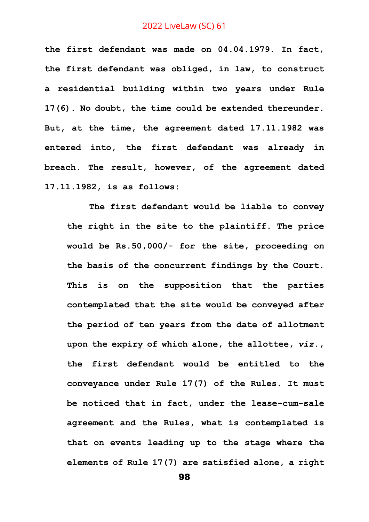**the first defendant was made on 04.04.1979. In fact, the first defendant was obliged, in law, to construct a residential building within two years under Rule 17(6). No doubt, the time could be extended thereunder. But, at the time, the agreement dated 17.11.1982 was entered into, the first defendant was already in breach. The result, however, of the agreement dated 17.11.1982, is as follows:** 

**The first defendant would be liable to convey the right in the site to the plaintiff. The price would be Rs.50,000/- for the site, proceeding on the basis of the concurrent findings by the Court. This is on the supposition that the parties contemplated that the site would be conveyed after the period of ten years from the date of allotment upon the expiry of which alone, the allottee,** *viz***., the first defendant would be entitled to the conveyance under Rule 17(7) of the Rules. It must be noticed that in fact, under the lease-cum-sale agreement and the Rules, what is contemplated is that on events leading up to the stage where the elements of Rule 17(7) are satisfied alone, a right**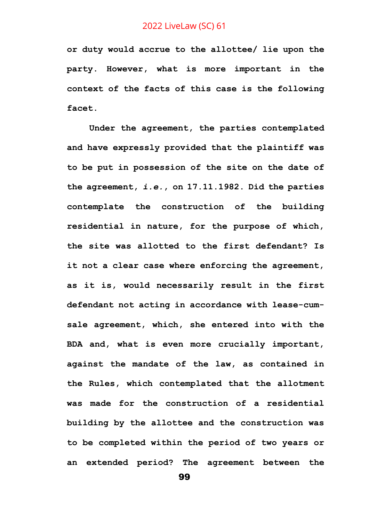**or duty would accrue to the allottee/ lie upon the party. However, what is more important in the context of the facts of this case is the following facet.**

**Under the agreement, the parties contemplated and have expressly provided that the plaintiff was to be put in possession of the site on the date of the agreement,** *i.e.***, on 17.11.1982. Did the parties contemplate the construction of the building residential in nature, for the purpose of which, the site was allotted to the first defendant? Is it not a clear case where enforcing the agreement, as it is, would necessarily result in the first defendant not acting in accordance with lease-cumsale agreement, which, she entered into with the BDA and, what is even more crucially important, against the mandate of the law, as contained in the Rules, which contemplated that the allotment was made for the construction of a residential building by the allottee and the construction was to be completed within the period of two years or an extended period? The agreement between the**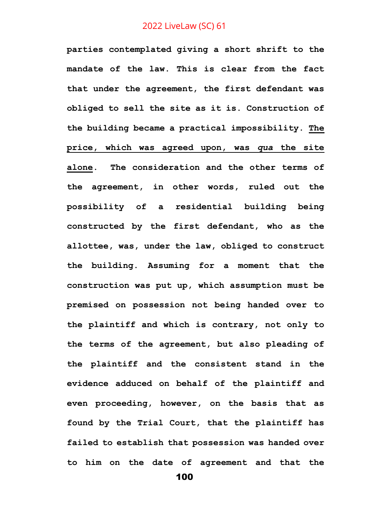**parties contemplated giving a short shrift to the mandate of the law. This is clear from the fact that under the agreement, the first defendant was obliged to sell the site as it is. Construction of the building became a practical impossibility. The price, which was agreed upon, was** *qua* **the site alone. The consideration and the other terms of the agreement, in other words, ruled out the possibility of a residential building being constructed by the first defendant, who as the allottee, was, under the law, obliged to construct the building. Assuming for a moment that the construction was put up, which assumption must be premised on possession not being handed over to the plaintiff and which is contrary, not only to the terms of the agreement, but also pleading of the plaintiff and the consistent stand in the evidence adduced on behalf of the plaintiff and even proceeding, however, on the basis that as found by the Trial Court, that the plaintiff has failed to establish that possession was handed over to him on the date of agreement and that the**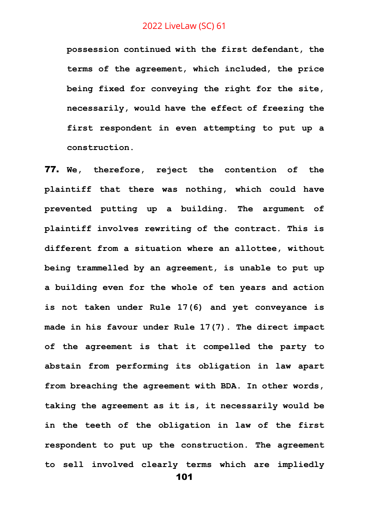**possession continued with the first defendant, the terms of the agreement, which included, the price being fixed for conveying the right for the site, necessarily, would have the effect of freezing the first respondent in even attempting to put up a construction.**

77. **We, therefore, reject the contention of the plaintiff that there was nothing, which could have prevented putting up a building. The argument of plaintiff involves rewriting of the contract. This is different from a situation where an allottee, without being trammelled by an agreement, is unable to put up a building even for the whole of ten years and action is not taken under Rule 17(6) and yet conveyance is made in his favour under Rule 17(7). The direct impact of the agreement is that it compelled the party to abstain from performing its obligation in law apart from breaching the agreement with BDA. In other words, taking the agreement as it is, it necessarily would be in the teeth of the obligation in law of the first respondent to put up the construction. The agreement to sell involved clearly terms which are impliedly**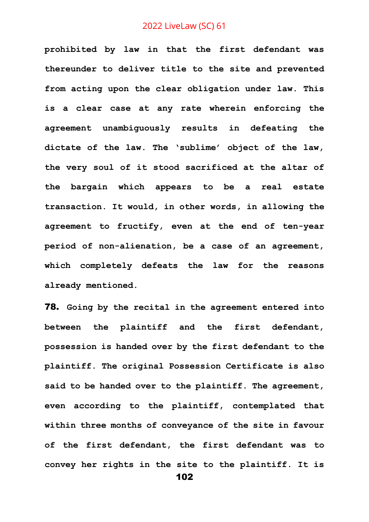**prohibited by law in that the first defendant was thereunder to deliver title to the site and prevented from acting upon the clear obligation under law. This is a clear case at any rate wherein enforcing the agreement unambiguously results in defeating the dictate of the law. The 'sublime' object of the law, the very soul of it stood sacrificed at the altar of the bargain which appears to be a real estate transaction. It would, in other words, in allowing the agreement to fructify, even at the end of ten-year period of non-alienation, be a case of an agreement, which completely defeats the law for the reasons already mentioned.** 

78. **Going by the recital in the agreement entered into between the plaintiff and the first defendant, possession is handed over by the first defendant to the plaintiff. The original Possession Certificate is also said to be handed over to the plaintiff. The agreement, even according to the plaintiff, contemplated that within three months of conveyance of the site in favour of the first defendant, the first defendant was to convey her rights in the site to the plaintiff. It is**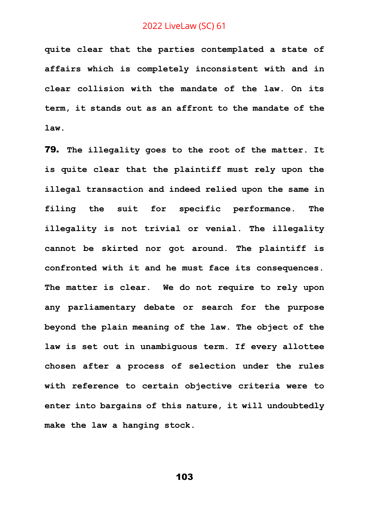**quite clear that the parties contemplated a state of affairs which is completely inconsistent with and in clear collision with the mandate of the law. On its term, it stands out as an affront to the mandate of the law.**

79. **The illegality goes to the root of the matter. It is quite clear that the plaintiff must rely upon the illegal transaction and indeed relied upon the same in filing the suit for specific performance. The illegality is not trivial or venial. The illegality cannot be skirted nor got around. The plaintiff is confronted with it and he must face its consequences. The matter is clear. We do not require to rely upon any parliamentary debate or search for the purpose beyond the plain meaning of the law. The object of the law is set out in unambiguous term. If every allottee chosen after a process of selection under the rules with reference to certain objective criteria were to enter into bargains of this nature, it will undoubtedly make the law a hanging stock.**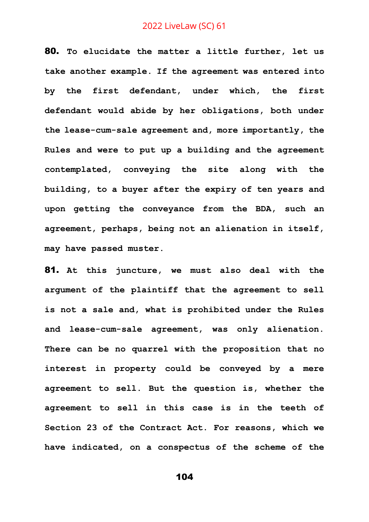80. **To elucidate the matter a little further, let us take another example. If the agreement was entered into by the first defendant, under which, the first defendant would abide by her obligations, both under the lease-cum-sale agreement and, more importantly, the Rules and were to put up a building and the agreement contemplated, conveying the site along with the building, to a buyer after the expiry of ten years and upon getting the conveyance from the BDA, such an agreement, perhaps, being not an alienation in itself, may have passed muster.** 

81. **At this juncture, we must also deal with the argument of the plaintiff that the agreement to sell is not a sale and, what is prohibited under the Rules and lease-cum-sale agreement, was only alienation. There can be no quarrel with the proposition that no interest in property could be conveyed by a mere agreement to sell. But the question is, whether the agreement to sell in this case is in the teeth of Section 23 of the Contract Act. For reasons, which we have indicated, on a conspectus of the scheme of the**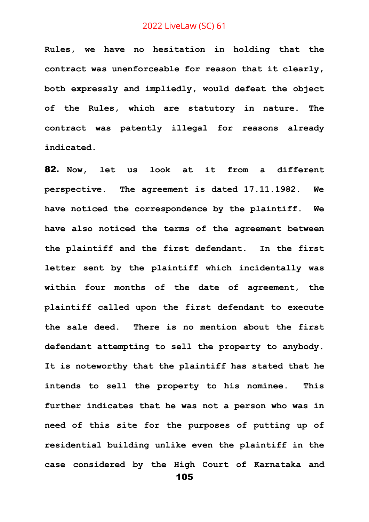**Rules, we have no hesitation in holding that the contract was unenforceable for reason that it clearly, both expressly and impliedly, would defeat the object of the Rules, which are statutory in nature. The contract was patently illegal for reasons already indicated.**

105 82. **Now, let us look at it from a different perspective. The agreement is dated 17.11.1982. We have noticed the correspondence by the plaintiff. We have also noticed the terms of the agreement between the plaintiff and the first defendant. In the first letter sent by the plaintiff which incidentally was within four months of the date of agreement, the plaintiff called upon the first defendant to execute the sale deed. There is no mention about the first defendant attempting to sell the property to anybody. It is noteworthy that the plaintiff has stated that he intends to sell the property to his nominee. This further indicates that he was not a person who was in need of this site for the purposes of putting up of residential building unlike even the plaintiff in the case considered by the High Court of Karnataka and**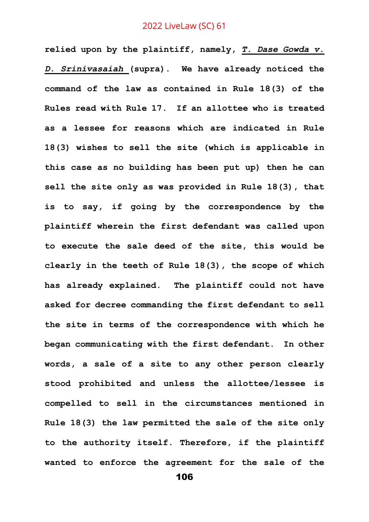**relied upon by the plaintiff, namely,** *T. Dase Gowda v. D. Srinivasaiah* **(supra). We have already noticed the command of the law as contained in Rule 18(3) of the Rules read with Rule 17. If an allottee who is treated as a lessee for reasons which are indicated in Rule 18(3) wishes to sell the site (which is applicable in this case as no building has been put up) then he can sell the site only as was provided in Rule 18(3), that is to say, if going by the correspondence by the plaintiff wherein the first defendant was called upon to execute the sale deed of the site, this would be clearly in the teeth of Rule 18(3), the scope of which has already explained. The plaintiff could not have asked for decree commanding the first defendant to sell the site in terms of the correspondence with which he began communicating with the first defendant. In other words, a sale of a site to any other person clearly stood prohibited and unless the allottee/lessee is compelled to sell in the circumstances mentioned in Rule 18(3) the law permitted the sale of the site only to the authority itself. Therefore, if the plaintiff wanted to enforce the agreement for the sale of the**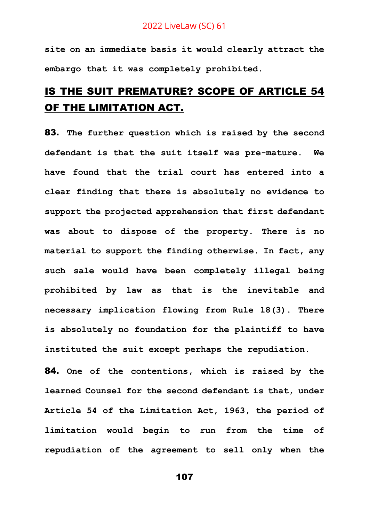**site on an immediate basis it would clearly attract the embargo that it was completely prohibited.** 

# IS THE SUIT PREMATURE? SCOPE OF ARTICLE 54 OF THE LIMITATION ACT.

83. **The further question which is raised by the second defendant is that the suit itself was pre-mature. We have found that the trial court has entered into a clear finding that there is absolutely no evidence to support the projected apprehension that first defendant was about to dispose of the property. There is no material to support the finding otherwise. In fact, any such sale would have been completely illegal being prohibited by law as that is the inevitable and necessary implication flowing from Rule 18(3). There is absolutely no foundation for the plaintiff to have instituted the suit except perhaps the repudiation.**

84. **One of the contentions, which is raised by the learned Counsel for the second defendant is that, under Article 54 of the Limitation Act, 1963, the period of limitation would begin to run from the time of repudiation of the agreement to sell only when the**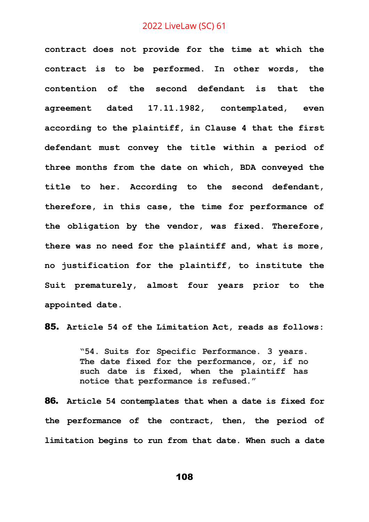**contract does not provide for the time at which the contract is to be performed. In other words, the contention of the second defendant is that the agreement dated 17.11.1982, contemplated, even according to the plaintiff, in Clause 4 that the first defendant must convey the title within a period of three months from the date on which, BDA conveyed the title to her. According to the second defendant, therefore, in this case, the time for performance of the obligation by the vendor, was fixed. Therefore, there was no need for the plaintiff and, what is more, no justification for the plaintiff, to institute the Suit prematurely, almost four years prior to the appointed date.**

85. **Article 54 of the Limitation Act, reads as follows:**

**"54. Suits for Specific Performance. 3 years. The date fixed for the performance, or, if no such date is fixed, when the plaintiff has notice that performance is refused."**

86. **Article 54 contemplates that when a date is fixed for the performance of the contract, then, the period of limitation begins to run from that date. When such a date**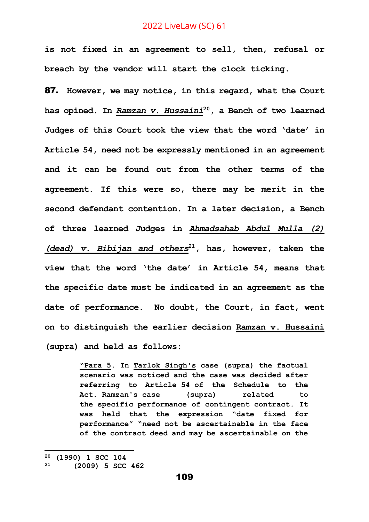**is not fixed in an agreement to sell, then, refusal or breach by the vendor will start the clock ticking.**

87. **However, we may notice, in this regard, what the Court has opined. In** *Ramzan v. Hussaini***<sup>20</sup>, a Bench of two learned Judges of this Court took the view that the word 'date' in Article 54, need not be expressly mentioned in an agreement and it can be found out from the other terms of the agreement. If this were so, there may be merit in the second defendant contention. In a later decision, a Bench of three learned Judges in** *Ahmadsahab Abdul Mulla (2) (dead) v. Bibijan and others***<sup>21</sup>, has, however, taken the view that the word 'the date' in Article 54, means that the specific date must be indicated in an agreement as the date of performance. No doubt, the Court, in fact, went on to distinguish the earlier decision Ramzan v. Hussaini (supra) and held as follows:**

> **"Para 5. In Tarlok Singh's case (supra) the factual scenario was noticed and the case was decided after referring to Article 54 of the Schedule to the Act. Ramzan's case (supra) related to the [specific](https://www.manupatrafast.com/pers/StickyNoteviewDoc.aspx?cit=(2009%20)5SCC%20462&manuid=zwKDa4S8QbBCBSkXPhUPwazQzL9Nn2tH63hkbZbRMIGXPeOgBnaUk6esO1xJaNCmQXy7R3Ac8HnUflO/RCq0Pg/Vchar(43)5ujV/1L4Ivhn4RKratoeYpvbMq1EcHPYsJXwRZeMNHZhcnvz7auyutKTnddN1EBu8FzWnXj7fis/sugiePChQGAErdzDoDsVSMecFlOOJchar(43)pow9AEkyb0chl/ofEYZtFv7fTEM5ADxAS6/sJUQAQ1S5WZshZIsT53a8KQRMFnC84EIMqyqsCeAl15V/cQg==) performance of [contingent](https://www.manupatrafast.com/pers/StickyNoteviewDoc.aspx?cit=(2009%20)5SCC%20462&manuid=zwKDa4S8QbBCBSkXPhUPwazQzL9Nn2tH63hkbZbRMIGXPeOgBnaUk6esO1xJaNCmQXy7R3Ac8HnUflO/RCq0Pg/Vchar(43)5ujV/1L4Ivhn4RKratoeYpvbMq1EcHPYsJXwRZeMNHZhcnvz7auyutKTnddN1EBu8FzWnXj7fis/sugiePChQGAErdzDoDsVSMecFlOOJchar(43)pow9AEkyb0chl/ofEYZtFv7fTEM5ADxAS6/sJUQAQ1S5WZshZIsT53a8KQRMFnC84EIMqyqsCeAl15V/cQg==) contract. It was held that the expression "date fixed for performance" "need not be ascertainable in the face of the contract deed and may be ascertainable on the**

**<sup>20</sup> (1990) 1 SCC 104**

**<sup>21</sup> (2009) 5 SCC 462**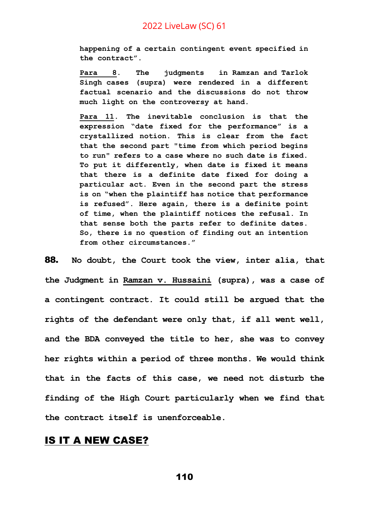**happening of a certain [contingent](https://www.manupatrafast.com/pers/StickyNoteviewDoc.aspx?cit=(2009%20)5SCC%20462&manuid=zwKDa4S8QbBCBSkXPhUPwazQzL9Nn2tH63hkbZbRMIGXPeOgBnaUk6esO1xJaNCmQXy7R3Ac8HnUflO/RCq0Pg/Vchar(43)5ujV/1L4Ivhn4RKratoeYpvbMq1EcHPYsJXwRZeMNHZhcnvz7auyutKTnddN1EBu8FzWnXj7fis/sugiePChQGAErdzDoDsVSMecFlOOJchar(43)pow9AEkyb0chl/ofEYZtFv7fTEM5ADxAS6/sJUQAQ1S5WZshZIsT53a8KQRMFnC84EIMqyqsCeAl15V/cQg==) event specified in the contract".**

**Para 8. The judgments in Ramzan and Tarlok Singh cases (supra) were rendered in a different factual scenario and the discussions do not throw much light on the controversy at hand.**

**Para 11. The inevitable conclusion is that the expression "date fixed for the performance" is a crystallized notion. This is clear from the fact that the second part "time from which period begins to run" refers to a case where no such date is fixed. To put it differently, when date is fixed it means that there is a definite date fixed for doing a particular act. Even in the second part the stress is on "when the plaintiff has notice that performance is refused". Here again, there is a definite point of time, when the plaintiff notices the [refusal.](https://www.manupatrafast.com/pers/StickyNoteviewDoc.aspx?cit=(2009%20)5SCC%20462&manuid=zwKDa4S8QbBCBSkXPhUPwazQzL9Nn2tH63hkbZbRMIGXPeOgBnaUk6esO1xJaNCmQXy7R3Ac8HnUflO/RCq0Pg/Vchar(43)5ujV/1L4Ivhn4RKratoeYpvbMq1EcHPYsJXwRZeMNHZhcnvz7auyutKTnddN1EBu8FzWnXj7fis/sugiePChQGAErdzDoDsVSMecFlOOJchar(43)pow9AEkyb0chl/ofEYZtFv7fTEM5ADxAS6/sJUQAQ1S5WZshZIsT53a8KQRMFnC84EIMqyqsCeAl15V/cQg==) In that sense both the parts refer to definite dates. So, there is no [question](https://www.manupatrafast.com/pers/StickyNoteviewDoc.aspx?cit=(2009%20)5SCC%20462&manuid=zwKDa4S8QbBCBSkXPhUPwazQzL9Nn2tH63hkbZbRMIGXPeOgBnaUk6esO1xJaNCmQXy7R3Ac8HnUflO/RCq0Pg/Vchar(43)5ujV/1L4Ivhn4RKratoeYpvbMq1EcHPYsJXwRZeMNHZhcnvz7auyutKTnddN1EBu8FzWnXj7fis/sugiePChQGAErdzDoDsVSMecFlOOJchar(43)pow9AEkyb0chl/ofEYZtFv7fTEM5ADxAS6/sJUQAQ1S5WZshZIsT53a8KQRMFnC84EIMqyqsCeAl15V/cQg==) of finding out an intention from other circumstances."**

88. **No doubt, the Court took the view, inter alia, that the Judgment in Ramzan v. Hussaini (supra), was a case of a contingent contract. It could still be argued that the rights of the defendant were only that, if all went well, and the BDA conveyed the title to her, she was to convey her rights within a period of three months. We would think that in the facts of this case, we need not disturb the finding of the High Court particularly when we find that the contract itself is unenforceable.**

# IS IT A NEW CASE?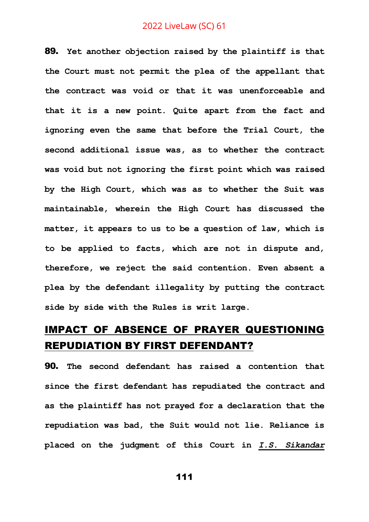89. **Yet another objection raised by the plaintiff is that the Court must not permit the plea of the appellant that the contract was void or that it was unenforceable and that it is a new point. Quite apart from the fact and ignoring even the same that before the Trial Court, the second additional issue was, as to whether the contract was void but not ignoring the first point which was raised by the High Court, which was as to whether the Suit was maintainable, wherein the High Court has discussed the matter, it appears to us to be a question of law, which is to be applied to facts, which are not in dispute and, therefore, we reject the said contention. Even absent a plea by the defendant illegality by putting the contract side by side with the Rules is writ large.**

# IMPACT OF ABSENCE OF PRAYER QUESTIONING REPUDIATION BY FIRST DEFENDANT?

90. **The second defendant has raised a contention that since the first defendant has repudiated the contract and as the plaintiff has not prayed for a declaration that the repudiation was bad, the Suit would not lie. Reliance is placed on the judgment of this Court in** *I.S. Sikandar*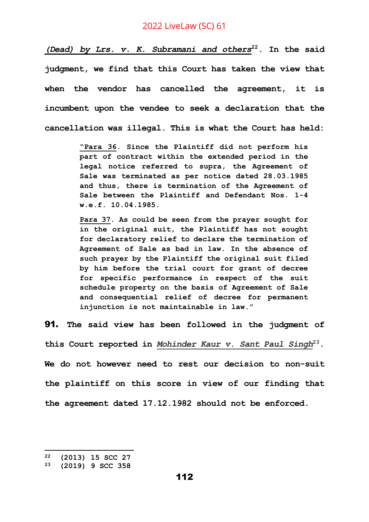*(Dead) by Lrs. v. K. Subramani and others***<sup>22</sup>. In the said judgment, we find that this Court has taken the view that when the vendor has cancelled the agreement, it is incumbent upon the vendee to seek a declaration that the cancellation was illegal. This is what the Court has held:**

> **"Para 36. Since the Plaintiff did not perform his part of contract within the extended period in the legal notice referred to supra, the Agreement of Sale was terminated as per notice dated 28.03.1985 and thus, there is termination of the Agreement of Sale between the Plaintiff and Defendant Nos. 1-4 w.e.f. 10.04.1985.**

> **Para 37. As could be seen from the prayer sought for in the original suit, the Plaintiff has not sought for declaratory relief to declare the termination of Agreement of Sale as bad in law. In the absence of such prayer by the Plaintiff the original suit filed by him before the trial court for grant of decree for specific performance in respect of the suit schedule property on the basis of Agreement of Sale and consequential relief of decree for permanent injunction is not maintainable in law."**

91. **The said view has been followed in the judgment of this Court reported in** *Mohinder Kaur v. Sant Paul Singh***<sup>23</sup>. We do not however need to rest our decision to non-suit the plaintiff on this score in view of our finding that the agreement dated 17.12.1982 should not be enforced.**

**<sup>22</sup> (2013) 15 SCC 27**

**<sup>23</sup> (2019) 9 SCC 358**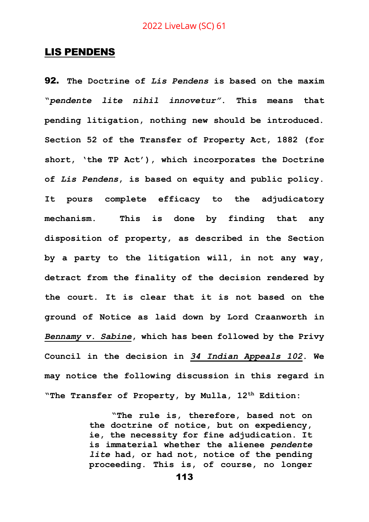### LIS PENDENS

92. **The Doctrine of** *Lis Pendens* **is based on the maxim "***pendente lite nihil innovetur"***. This means that pending litigation, nothing new should be introduced. Section 52 of the Transfer of Property Act, 1882 (for short, 'the TP Act'), which incorporates the Doctrine of** *Lis Pendens***, is based on equity and public policy. It pours complete efficacy to the adjudicatory mechanism. This is done by finding that any disposition of property, as described in the Section by a party to the litigation will, in not any way, detract from the finality of the decision rendered by the court. It is clear that it is not based on the ground of Notice as laid down by Lord Craanworth in**  *Bennamy v. Sabine***, which has been followed by the Privy Council in the decision in** *34 Indian Appeals 102***. We may notice the following discussion in this regard in "The Transfer of Property, by Mulla, 12th Edition:**

> **"The rule is, therefore, based not on the doctrine of notice, but on expediency, ie, the necessity for fine adjudication. It is immaterial whether the alienee** *pendente lite* **had, or had not, notice of the pending proceeding. This is, of course, no longer**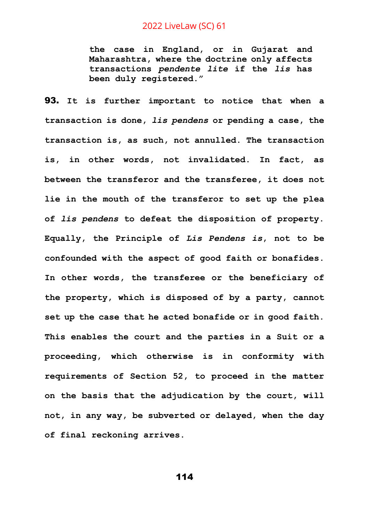**the case in England, or in Gujarat and Maharashtra, where the doctrine only affects transactions** *pendente lite* **if the** *lis* **has been duly registered."**

93. **It is further important to notice that when a transaction is done,** *lis pendens* **or pending a case, the transaction is, as such, not annulled. The transaction is, in other words, not invalidated. In fact, as between the transferor and the transferee, it does not lie in the mouth of the transferor to set up the plea of** *lis pendens* **to defeat the disposition of property. Equally, the Principle of** *Lis Pendens is***, not to be confounded with the aspect of good faith or bonafides. In other words, the transferee or the beneficiary of the property, which is disposed of by a party, cannot set up the case that he acted bonafide or in good faith. This enables the court and the parties in a Suit or a proceeding, which otherwise is in conformity with requirements of Section 52, to proceed in the matter on the basis that the adjudication by the court, will not, in any way, be subverted or delayed, when the day of final reckoning arrives.**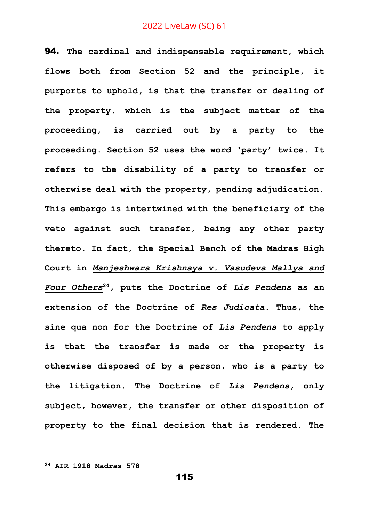94. **The cardinal and indispensable requirement, which flows both from Section 52 and the principle, it purports to uphold, is that the transfer or dealing of the property, which is the subject matter of the proceeding, is carried out by a party to the proceeding. Section 52 uses the word 'party' twice. It refers to the disability of a party to transfer or otherwise deal with the property, pending adjudication. This embargo is intertwined with the beneficiary of the veto against such transfer, being any other party thereto. In fact, the Special Bench of the Madras High Court in** *Manjeshwara Krishnaya v. Vasudeva Mallya and Four Others***<sup>24</sup>, puts the Doctrine of** *Lis Pendens* **as an extension of the Doctrine of** *Res Judicata***. Thus, the sine qua non for the Doctrine of** *Lis Pendens* **to apply is that the transfer is made or the property is otherwise disposed of by a person, who is a party to the litigation. The Doctrine of** *Lis Pendens***, only subject, however, the transfer or other disposition of property to the final decision that is rendered. The** 

**<sup>24</sup> AIR 1918 Madras 578**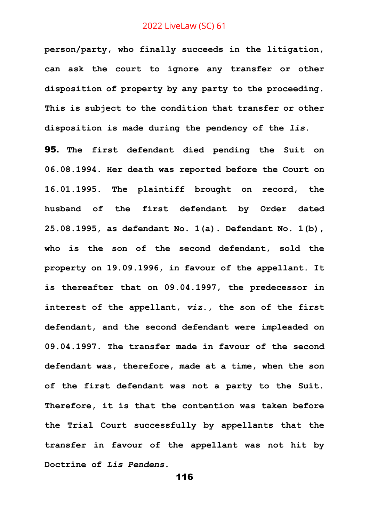**person/party, who finally succeeds in the litigation, can ask the court to ignore any transfer or other disposition of property by any party to the proceeding. This is subject to the condition that transfer or other disposition is made during the pendency of the** *lis***.**

95. **The first defendant died pending the Suit on 06.08.1994. Her death was reported before the Court on 16.01.1995. The plaintiff brought on record, the husband of the first defendant by Order dated 25.08.1995, as defendant No. 1(a). Defendant No. 1(b), who is the son of the second defendant, sold the property on 19.09.1996, in favour of the appellant. It is thereafter that on 09.04.1997, the predecessor in interest of the appellant,** *viz***., the son of the first defendant, and the second defendant were impleaded on 09.04.1997. The transfer made in favour of the second defendant was, therefore, made at a time, when the son of the first defendant was not a party to the Suit. Therefore, it is that the contention was taken before the Trial Court successfully by appellants that the transfer in favour of the appellant was not hit by Doctrine of** *Lis Pendens***.**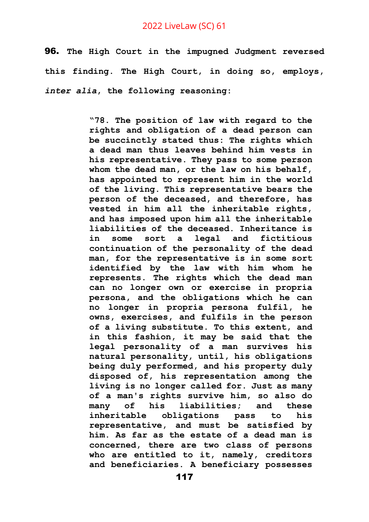96. **The High Court in the impugned Judgment reversed this finding. The High Court, in doing so, employs,**  *inter alia***, the following reasoning:**

> **"78. The position of law with regard to the rights and obligation of a dead person can be succinctly stated thus: The rights which a dead man thus leaves behind him vests in his representative. They pass to some person whom the dead man, or the law on his behalf, has appointed to represent him in the world of the living. This representative bears the person of the deceased, and therefore, has vested in him all the inheritable rights, and has imposed upon him all the inheritable liabilities of the deceased. Inheritance is in some sort a legal and fictitious continuation of the personality of the dead man, for the representative is in some sort identified by the law with him whom he represents. The rights which the dead man can no longer own or exercise in propria persona, and the obligations which he can no longer in propria persona fulfil, he owns, exercises, and fulfils in the person of a living substitute. To this extent, and in this fashion, it may be said that the legal personality of a man survives his natural personality, until, his obligations being duly performed, and his property duly disposed of, his representation among the living is no longer called for. Just as many of a man's rights survive him, so also do many of his liabilities; and these inheritable obligations pass to his representative, and must be satisfied by him. As far as the estate of a dead man is concerned, there are two class of persons who are entitled to it, namely, creditors and beneficiaries. A beneficiary possesses**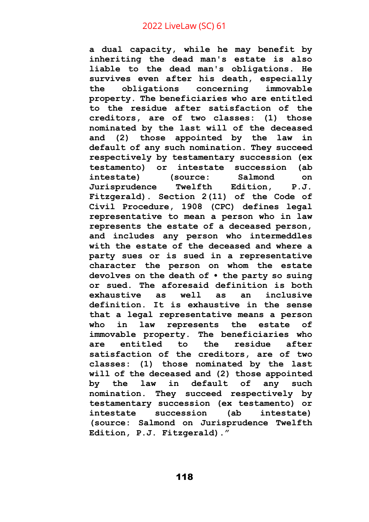**a dual capacity, while he may benefit by inheriting the dead man's estate is also liable to the dead man's obligations. He survives even after his death, especially the obligations concerning immovable property. The beneficiaries who are entitled to the residue after satisfaction of the creditors, are of two classes: (1) those nominated by the last will of the deceased and (2) those appointed by the law in default of any such nomination. They succeed respectively by testamentary succession (ex testamento) or intestate succession (ab intestate) (source: Salmond on Jurisprudence Twelfth Edition, P.J. Fitzgerald). Section 2(11) of the Code of Civil Procedure, 1908 (CPC) defines legal representative to mean a person who in law represents the estate of a deceased person, and includes any person who intermeddles with the estate of the deceased and where a party sues or is sued in a representative character the person on whom the estate devolves on the death of • the party so suing or sued. The aforesaid definition is both exhaustive as well as an inclusive definition. It is exhaustive in the sense that a legal representative means a person who in law represents the estate of immovable property. The beneficiaries who are entitled to the residue after satisfaction of the creditors, are of two classes: (1) those nominated by the last will of the deceased and (2) those appointed by the law in default of any such nomination. They succeed respectively by testamentary succession (ex testamento) or intestate succession (ab intestate) (source: Salmond on Jurisprudence Twelfth Edition, P.J. Fitzgerald)."**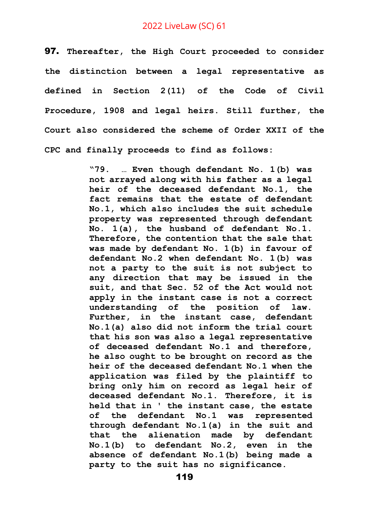97. **Thereafter, the High Court proceeded to consider the distinction between a legal representative as defined in Section 2(11) of the Code of Civil Procedure, 1908 and legal heirs. Still further, the Court also considered the scheme of Order XXII of the CPC and finally proceeds to find as follows:**

> **"79. … Even though defendant No. 1(b) was not arrayed along with his father as a legal heir of the deceased defendant No.1, the fact remains that the estate of defendant No.1, which also includes the suit schedule property was represented through defendant No. 1(a), the husband of defendant No.1. Therefore, the contention that the sale that was made by defendant No. 1(b) in favour of defendant No.2 when defendant No. 1(b) was not a party to the suit is not subject to any direction that may be issued in the suit, and that Sec. 52 of the Act would not apply in the instant case is not a correct understanding of the position of law. Further, in the instant case, defendant No.1(a) also did not inform the trial court that his son was also a legal representative of deceased defendant No.1 and therefore, he also ought to be brought on record as the heir of the deceased defendant No.1 when the application was filed by the plaintiff to bring only him on record as legal heir of deceased defendant No.1. Therefore, it is held that in ' the instant case, the estate of the defendant No.1 was represented through defendant No.1(a) in the suit and that the alienation made by defendant No.1(b) to defendant No.2, even in the absence of defendant No.1(b) being made a party to the suit has no significance.**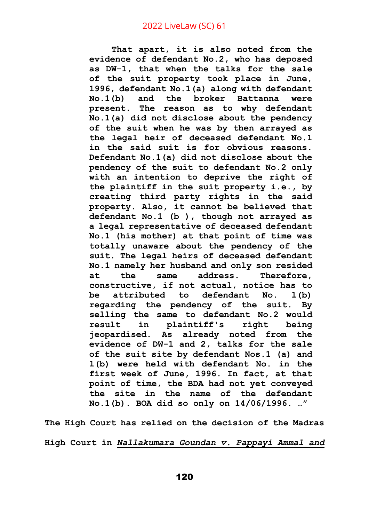**That apart, it is also noted from the evidence of defendant No.2, who has deposed as DW-1, that when the talks for the sale of the suit property took place in June, 1996, defendant No.1(a) along with defendant No.1(b) and the broker Battanna were present. The reason as to why defendant No.1(a) did not disclose about the pendency of the suit when he was by then arrayed as the legal heir of deceased defendant No.1 in the said suit is for obvious reasons. Defendant No.1(a) did not disclose about the pendency of the suit to defendant No.2 only with an intention to deprive the right of the plaintiff in the suit property i.e., by creating third party rights in the said property. Also, it cannot be believed that defendant No.1 (b ), though not arrayed as a legal representative of deceased defendant No.1 (his mother) at that point of time was totally unaware about the pendency of the suit. The legal heirs of deceased defendant No.1 namely her husband and only son resided at the same address. Therefore, constructive, if not actual, notice has to be attributed to defendant No. l(b) regarding the pendency of the suit. By selling the same to defendant No.2 would result in plaintiff's right being jeopardised. As already noted from the evidence of DW-1 and 2, talks for the sale of the suit site by defendant Nos.1 (a) and l(b) were held with defendant No. in the first week of June, 1996. In fact, at that point of time, the BDA had not yet conveyed the site in the name of the defendant No.1(b). BOA did so only on 14/06/1996. …"**

**The High Court has relied on the decision of the Madras High Court in** *Nallakumara Goundan v. Pappayi Ammal and*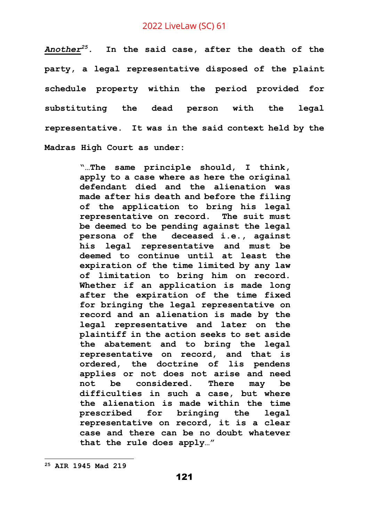*Another<sup>25</sup>.* **In the said case, after the death of the party, a legal representative disposed of the plaint schedule property within the period provided for substituting the dead person with the legal representative. It was in the said context held by the Madras High Court as under:**

> **"…The same principle should, I think, apply to a case where as here the original defendant died and the alienation was made after his death and before the filing of the application to bring his legal representative on record. The suit must be deemed to be pending against the legal persona of the deceased i.e., against his legal representative and must be deemed to continue until at least the expiration of the time limited by any law of limitation to bring him on record. Whether if an application is made long after the expiration of the time fixed for bringing the legal representative on record and an alienation is made by the legal representative and later on the plaintiff in the action seeks to set aside the abatement and to bring the legal representative on record, and that is ordered, the doctrine of lis pendens applies or not does not arise and need not be considered. There may be difficulties in such a case, but where the alienation is made within the time prescribed for bringing the legal representative on record, it is a clear case and there can be no doubt whatever that the rule does apply…"**

**<sup>25</sup> AIR 1945 Mad 219**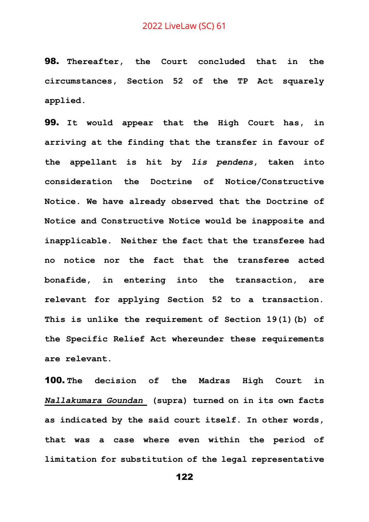98. **Thereafter, the Court concluded that in the circumstances, Section 52 of the TP Act squarely applied.** 

99. **It would appear that the High Court has, in arriving at the finding that the transfer in favour of the appellant is hit by** *lis pendens***, taken into consideration the Doctrine of Notice/Constructive Notice. We have already observed that the Doctrine of Notice and Constructive Notice would be inapposite and inapplicable. Neither the fact that the transferee had no notice nor the fact that the transferee acted bonafide, in entering into the transaction, are relevant for applying Section 52 to a transaction. This is unlike the requirement of Section 19(1)(b) of the Specific Relief Act whereunder these requirements are relevant.**

100. **The decision of the Madras High Court in**  *Nallakumara Goundan* **(supra) turned on in its own facts as indicated by the said court itself. In other words, that was a case where even within the period of limitation for substitution of the legal representative**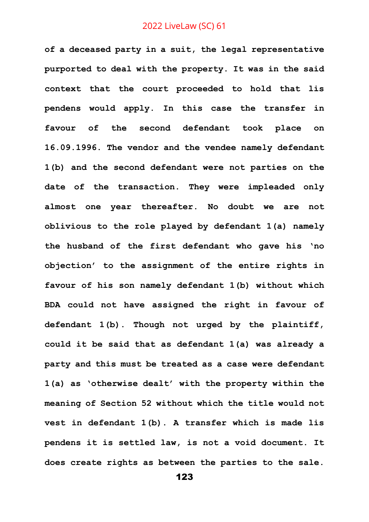**of a deceased party in a suit, the legal representative purported to deal with the property. It was in the said context that the court proceeded to hold that lis pendens would apply. In this case the transfer in favour of the second defendant took place on 16.09.1996. The vendor and the vendee namely defendant 1(b) and the second defendant were not parties on the date of the transaction. They were impleaded only almost one year thereafter. No doubt we are not oblivious to the role played by defendant 1(a) namely the husband of the first defendant who gave his 'no objection' to the assignment of the entire rights in favour of his son namely defendant 1(b) without which BDA could not have assigned the right in favour of defendant 1(b). Though not urged by the plaintiff, could it be said that as defendant 1(a) was already a party and this must be treated as a case were defendant 1(a) as 'otherwise dealt' with the property within the meaning of Section 52 without which the title would not vest in defendant 1(b). A transfer which is made lis pendens it is settled law, is not a void document. It does create rights as between the parties to the sale.**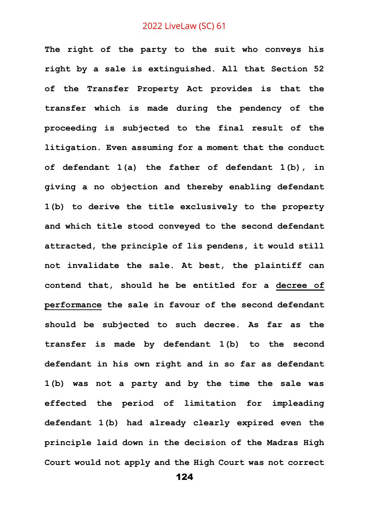**The right of the party to the suit who conveys his right by a sale is extinguished. All that Section 52 of the Transfer Property Act provides is that the transfer which is made during the pendency of the proceeding is subjected to the final result of the litigation. Even assuming for a moment that the conduct of defendant 1(a) the father of defendant 1(b), in giving a no objection and thereby enabling defendant 1(b) to derive the title exclusively to the property and which title stood conveyed to the second defendant attracted, the principle of lis pendens, it would still not invalidate the sale. At best, the plaintiff can contend that, should he be entitled for a decree of performance the sale in favour of the second defendant should be subjected to such decree. As far as the transfer is made by defendant 1(b) to the second defendant in his own right and in so far as defendant 1(b) was not a party and by the time the sale was effected the period of limitation for impleading defendant 1(b) had already clearly expired even the principle laid down in the decision of the Madras High Court would not apply and the High Court was not correct**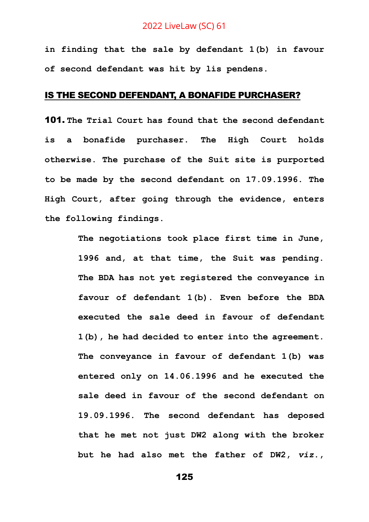**in finding that the sale by defendant 1(b) in favour of second defendant was hit by lis pendens.** 

# IS THE SECOND DEFENDANT, A BONAFIDE PURCHASER?

101. **The Trial Court has found that the second defendant is a bonafide purchaser. The High Court holds otherwise. The purchase of the Suit site is purported to be made by the second defendant on 17.09.1996. The High Court, after going through the evidence, enters the following findings.**

> **The negotiations took place first time in June, 1996 and, at that time, the Suit was pending. The BDA has not yet registered the conveyance in favour of defendant 1(b). Even before the BDA executed the sale deed in favour of defendant 1(b), he had decided to enter into the agreement. The conveyance in favour of defendant 1(b) was entered only on 14.06.1996 and he executed the sale deed in favour of the second defendant on 19.09.1996. The second defendant has deposed that he met not just DW2 along with the broker but he had also met the father of DW2,** *viz***.,**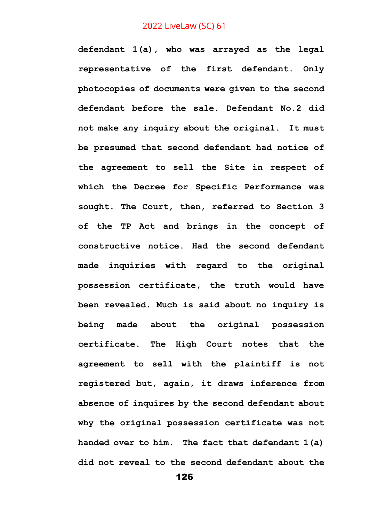**defendant 1(a), who was arrayed as the legal representative of the first defendant. Only photocopies of documents were given to the second defendant before the sale. Defendant No.2 did not make any inquiry about the original. It must be presumed that second defendant had notice of the agreement to sell the Site in respect of which the Decree for Specific Performance was sought. The Court, then, referred to Section 3 of the TP Act and brings in the concept of constructive notice. Had the second defendant made inquiries with regard to the original possession certificate, the truth would have been revealed. Much is said about no inquiry is being made about the original possession certificate. The High Court notes that the agreement to sell with the plaintiff is not registered but, again, it draws inference from absence of inquires by the second defendant about why the original possession certificate was not handed over to him. The fact that defendant 1(a) did not reveal to the second defendant about the**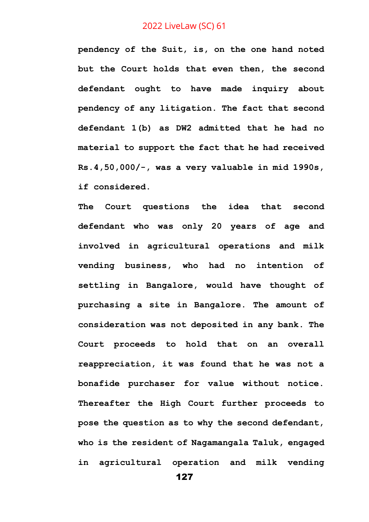**pendency of the Suit, is, on the one hand noted but the Court holds that even then, the second defendant ought to have made inquiry about pendency of any litigation. The fact that second defendant 1(b) as DW2 admitted that he had no material to support the fact that he had received Rs.4,50,000/-, was a very valuable in mid 1990s, if considered.** 

**The Court questions the idea that second defendant who was only 20 years of age and involved in agricultural operations and milk vending business, who had no intention of settling in Bangalore, would have thought of purchasing a site in Bangalore. The amount of consideration was not deposited in any bank. The Court proceeds to hold that on an overall reappreciation, it was found that he was not a bonafide purchaser for value without notice. Thereafter the High Court further proceeds to pose the question as to why the second defendant, who is the resident of Nagamangala Taluk, engaged in agricultural operation and milk vending**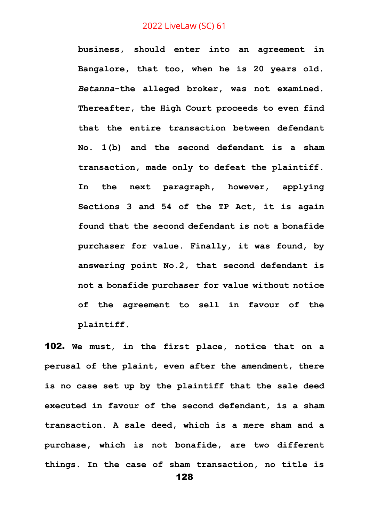**business, should enter into an agreement in Bangalore, that too, when he is 20 years old.**  *Betanna***-the alleged broker, was not examined. Thereafter, the High Court proceeds to even find that the entire transaction between defendant No. 1(b) and the second defendant is a sham transaction, made only to defeat the plaintiff. In the next paragraph, however, applying Sections 3 and 54 of the TP Act, it is again found that the second defendant is not a bonafide purchaser for value. Finally, it was found, by answering point No.2, that second defendant is not a bonafide purchaser for value without notice of the agreement to sell in favour of the plaintiff.** 

102. **We must, in the first place, notice that on a perusal of the plaint, even after the amendment, there is no case set up by the plaintiff that the sale deed executed in favour of the second defendant, is a sham transaction. A sale deed, which is a mere sham and a purchase, which is not bonafide, are two different things. In the case of sham transaction, no title is**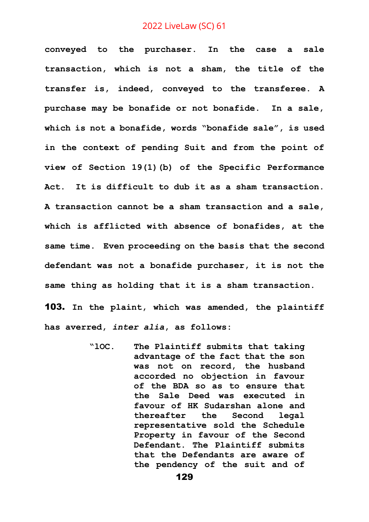**conveyed to the purchaser. In the case a sale transaction, which is not a sham, the title of the transfer is, indeed, conveyed to the transferee. A purchase may be bonafide or not bonafide. In a sale, which is not a bonafide, words "bonafide sale", is used in the context of pending Suit and from the point of view of Section 19(1)(b) of the Specific Performance Act. It is difficult to dub it as a sham transaction. A transaction cannot be a sham transaction and a sale, which is afflicted with absence of bonafides, at the same time. Even proceeding on the basis that the second defendant was not a bonafide purchaser, it is not the same thing as holding that it is a sham transaction.**

103. **In the plaint, which was amended, the plaintiff has averred,** *inter alia***, as follows:**

> **"lOC. The Plaintiff submits that taking advantage of the fact that the son was not on record, the husband accorded no objection in favour of the BDA so as to ensure that the Sale Deed was executed in favour of HK Sudarshan alone and thereafter the Second legal representative sold the Schedule Property in favour of the Second Defendant. The Plaintiff submits that the Defendants are aware of the pendency of the suit and of**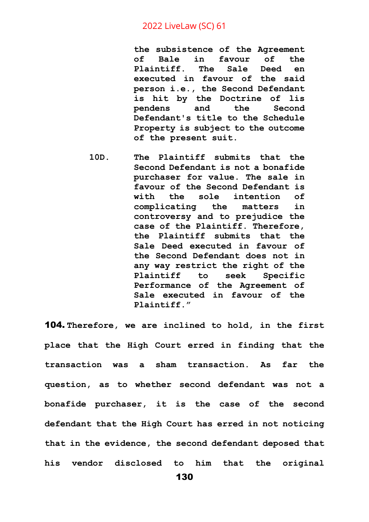**the subsistence of the Agreement of Bale in favour of the Plaintiff. The Sale Deed en executed in favour of the said person i.e., the Second Defendant is hit by the Doctrine of lis pendens and the Second Defendant's title to the Schedule Property is subject to the outcome of the present suit.**

**10D. The Plaintiff submits that the Second Defendant is not a bonafide purchaser for value. The sale in favour of the Second Defendant is with the sole intention of complicating the matters in controversy and to prejudice the case of the Plaintiff. Therefore, the Plaintiff submits that the Sale Deed executed in favour of the Second Defendant does not in any way restrict the right of the Plaintiff to seek Specific Performance of the Agreement of Sale executed in favour of the Plaintiff."**

104. **Therefore, we are inclined to hold, in the first place that the High Court erred in finding that the transaction was a sham transaction. As far the question, as to whether second defendant was not a bonafide purchaser, it is the case of the second defendant that the High Court has erred in not noticing that in the evidence, the second defendant deposed that his vendor disclosed to him that the original**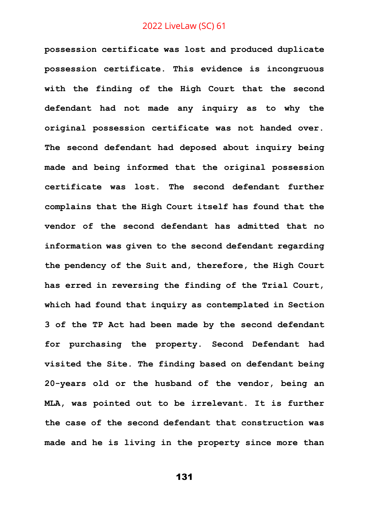**possession certificate was lost and produced duplicate possession certificate. This evidence is incongruous with the finding of the High Court that the second defendant had not made any inquiry as to why the original possession certificate was not handed over. The second defendant had deposed about inquiry being made and being informed that the original possession certificate was lost. The second defendant further complains that the High Court itself has found that the vendor of the second defendant has admitted that no information was given to the second defendant regarding the pendency of the Suit and, therefore, the High Court has erred in reversing the finding of the Trial Court, which had found that inquiry as contemplated in Section 3 of the TP Act had been made by the second defendant for purchasing the property. Second Defendant had visited the Site. The finding based on defendant being 20-years old or the husband of the vendor, being an MLA, was pointed out to be irrelevant. It is further the case of the second defendant that construction was made and he is living in the property since more than**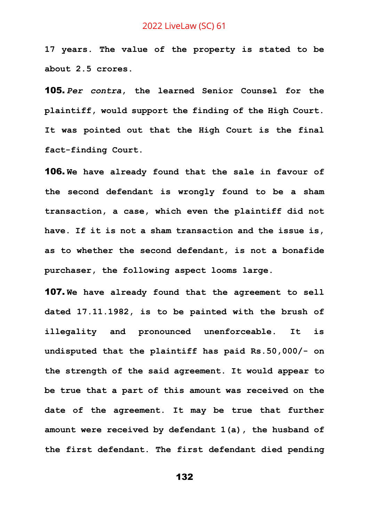**17 years. The value of the property is stated to be about 2.5 crores.** 

105. *Per contra***, the learned Senior Counsel for the plaintiff, would support the finding of the High Court. It was pointed out that the High Court is the final fact-finding Court.** 

106. **We have already found that the sale in favour of the second defendant is wrongly found to be a sham transaction, a case, which even the plaintiff did not have. If it is not a sham transaction and the issue is, as to whether the second defendant, is not a bonafide purchaser, the following aspect looms large.**

107. **We have already found that the agreement to sell dated 17.11.1982, is to be painted with the brush of illegality and pronounced unenforceable. It is undisputed that the plaintiff has paid Rs.50,000/- on the strength of the said agreement. It would appear to be true that a part of this amount was received on the date of the agreement. It may be true that further amount were received by defendant 1(a), the husband of the first defendant. The first defendant died pending**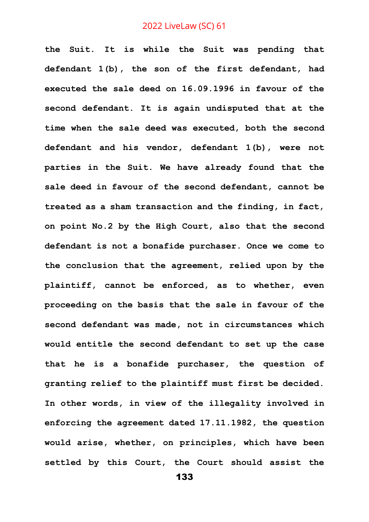**the Suit. It is while the Suit was pending that defendant 1(b), the son of the first defendant, had executed the sale deed on 16.09.1996 in favour of the second defendant. It is again undisputed that at the time when the sale deed was executed, both the second defendant and his vendor, defendant 1(b), were not parties in the Suit. We have already found that the sale deed in favour of the second defendant, cannot be treated as a sham transaction and the finding, in fact, on point No.2 by the High Court, also that the second defendant is not a bonafide purchaser. Once we come to the conclusion that the agreement, relied upon by the plaintiff, cannot be enforced, as to whether, even proceeding on the basis that the sale in favour of the second defendant was made, not in circumstances which would entitle the second defendant to set up the case that he is a bonafide purchaser, the question of granting relief to the plaintiff must first be decided. In other words, in view of the illegality involved in enforcing the agreement dated 17.11.1982, the question would arise, whether, on principles, which have been settled by this Court, the Court should assist the**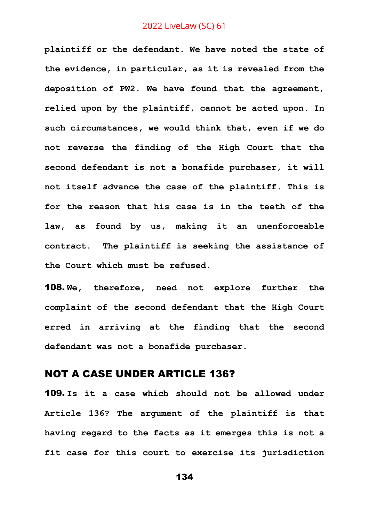**plaintiff or the defendant. We have noted the state of the evidence, in particular, as it is revealed from the deposition of PW2. We have found that the agreement, relied upon by the plaintiff, cannot be acted upon. In such circumstances, we would think that, even if we do not reverse the finding of the High Court that the second defendant is not a bonafide purchaser, it will not itself advance the case of the plaintiff. This is for the reason that his case is in the teeth of the law, as found by us, making it an unenforceable contract. The plaintiff is seeking the assistance of the Court which must be refused.**

108. **We, therefore, need not explore further the complaint of the second defendant that the High Court erred in arriving at the finding that the second defendant was not a bonafide purchaser.** 

# NOT A CASE UNDER ARTICLE 136?

109. **Is it a case which should not be allowed under Article 136? The argument of the plaintiff is that having regard to the facts as it emerges this is not a fit case for this court to exercise its jurisdiction**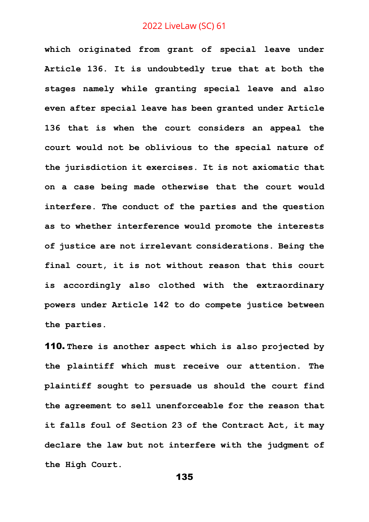**which originated from grant of special leave under Article 136. It is undoubtedly true that at both the stages namely while granting special leave and also even after special leave has been granted under Article 136 that is when the court considers an appeal the court would not be oblivious to the special nature of the jurisdiction it exercises. It is not axiomatic that on a case being made otherwise that the court would interfere. The conduct of the parties and the question as to whether interference would promote the interests of justice are not irrelevant considerations. Being the final court, it is not without reason that this court is accordingly also clothed with the extraordinary powers under Article 142 to do compete justice between the parties.** 

110. **There is another aspect which is also projected by the plaintiff which must receive our attention. The plaintiff sought to persuade us should the court find the agreement to sell unenforceable for the reason that it falls foul of Section 23 of the Contract Act, it may declare the law but not interfere with the judgment of the High Court.**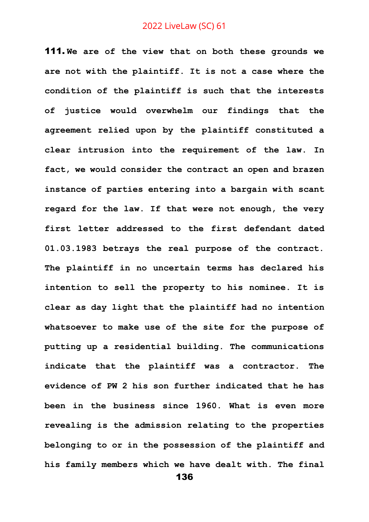111. **We are of the view that on both these grounds we are not with the plaintiff. It is not a case where the condition of the plaintiff is such that the interests of justice would overwhelm our findings that the agreement relied upon by the plaintiff constituted a clear intrusion into the requirement of the law. In fact, we would consider the contract an open and brazen instance of parties entering into a bargain with scant regard for the law. If that were not enough, the very first letter addressed to the first defendant dated 01.03.1983 betrays the real purpose of the contract. The plaintiff in no uncertain terms has declared his intention to sell the property to his nominee. It is clear as day light that the plaintiff had no intention whatsoever to make use of the site for the purpose of putting up a residential building. The communications indicate that the plaintiff was a contractor. The evidence of PW 2 his son further indicated that he has been in the business since 1960. What is even more revealing is the admission relating to the properties belonging to or in the possession of the plaintiff and his family members which we have dealt with. The final**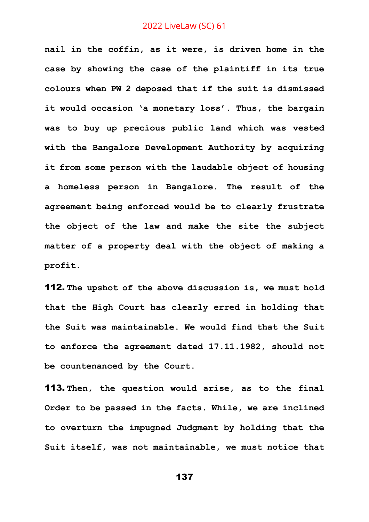**nail in the coffin, as it were, is driven home in the case by showing the case of the plaintiff in its true colours when PW 2 deposed that if the suit is dismissed it would occasion 'a monetary loss'. Thus, the bargain was to buy up precious public land which was vested with the Bangalore Development Authority by acquiring it from some person with the laudable object of housing a homeless person in Bangalore. The result of the agreement being enforced would be to clearly frustrate the object of the law and make the site the subject matter of a property deal with the object of making a profit.** 

112. **The upshot of the above discussion is, we must hold that the High Court has clearly erred in holding that the Suit was maintainable. We would find that the Suit to enforce the agreement dated 17.11.1982, should not be countenanced by the Court.**

113. **Then, the question would arise, as to the final Order to be passed in the facts. While, we are inclined to overturn the impugned Judgment by holding that the Suit itself, was not maintainable, we must notice that**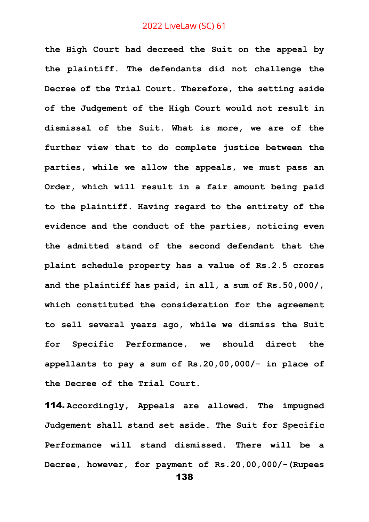**the High Court had decreed the Suit on the appeal by the plaintiff. The defendants did not challenge the Decree of the Trial Court. Therefore, the setting aside of the Judgement of the High Court would not result in dismissal of the Suit. What is more, we are of the further view that to do complete justice between the parties, while we allow the appeals, we must pass an Order, which will result in a fair amount being paid to the plaintiff***.* **Having regard to the entirety of the evidence and the conduct of the parties, noticing even the admitted stand of the second defendant that the plaint schedule property has a value of Rs.2.5 crores and the plaintiff has paid, in all, a sum of Rs.50,000/, which constituted the consideration for the agreement to sell several years ago, while we dismiss the Suit for Specific Performance, we should direct the appellants to pay a sum of Rs.20,00,000/- in place of the Decree of the Trial Court.**

114. **Accordingly, Appeals are allowed. The impugned Judgement shall stand set aside. The Suit for Specific Performance will stand dismissed. There will be a Decree, however, for payment of Rs.20,00,000/-(Rupees**